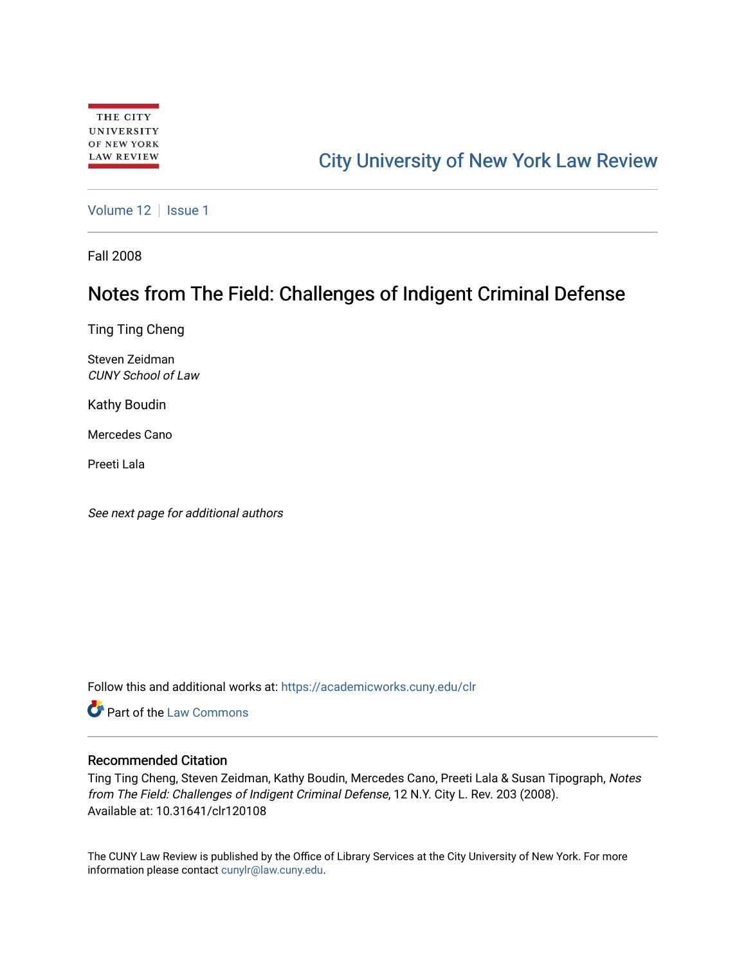# [City University of New York Law Review](https://academicworks.cuny.edu/clr)

[Volume 12](https://academicworks.cuny.edu/clr/vol12) | [Issue 1](https://academicworks.cuny.edu/clr/vol12/iss1)

Fall 2008

# Notes from The Field: Challenges of Indigent Criminal Defense

Ting Ting Cheng

Steven Zeidman CUNY School of Law

Kathy Boudin

Mercedes Cano

Preeti Lala

See next page for additional authors

Follow this and additional works at: [https://academicworks.cuny.edu/clr](https://academicworks.cuny.edu/clr?utm_source=academicworks.cuny.edu%2Fclr%2Fvol12%2Fiss1%2F9&utm_medium=PDF&utm_campaign=PDFCoverPages) 

**C** Part of the [Law Commons](http://network.bepress.com/hgg/discipline/578?utm_source=academicworks.cuny.edu%2Fclr%2Fvol12%2Fiss1%2F9&utm_medium=PDF&utm_campaign=PDFCoverPages)

## Recommended Citation

Ting Ting Cheng, Steven Zeidman, Kathy Boudin, Mercedes Cano, Preeti Lala & Susan Tipograph, Notes from The Field: Challenges of Indigent Criminal Defense, 12 N.Y. City L. Rev. 203 (2008). Available at: 10.31641/clr120108

The CUNY Law Review is published by the Office of Library Services at the City University of New York. For more information please contact [cunylr@law.cuny.edu](mailto:cunylr@law.cuny.edu).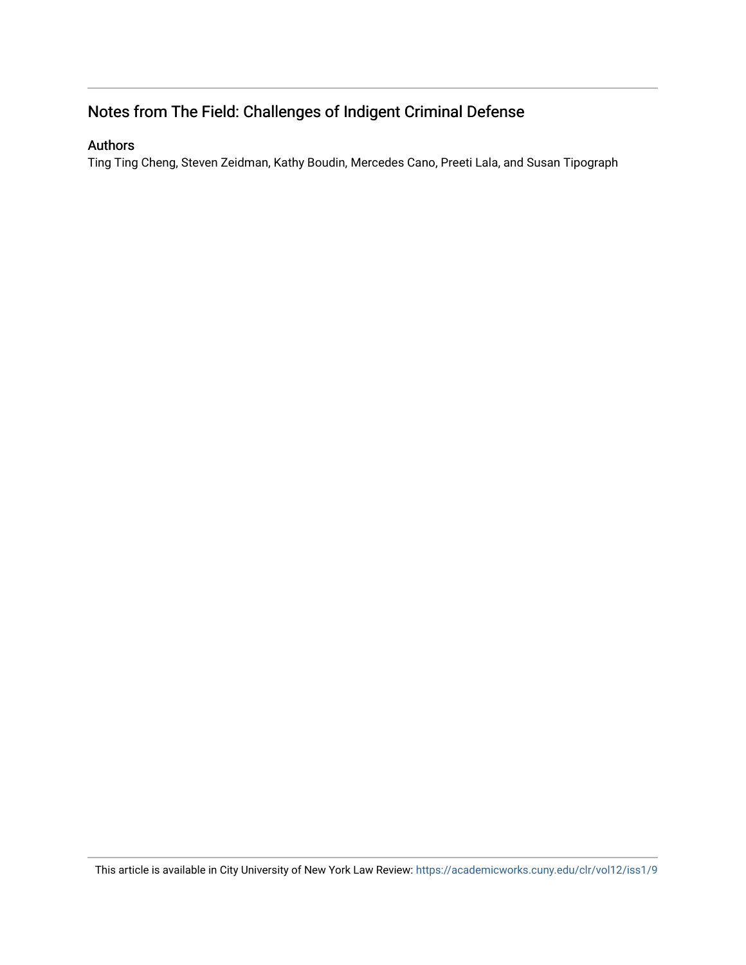## Notes from The Field: Challenges of Indigent Criminal Defense

## Authors

Ting Ting Cheng, Steven Zeidman, Kathy Boudin, Mercedes Cano, Preeti Lala, and Susan Tipograph

This article is available in City University of New York Law Review: <https://academicworks.cuny.edu/clr/vol12/iss1/9>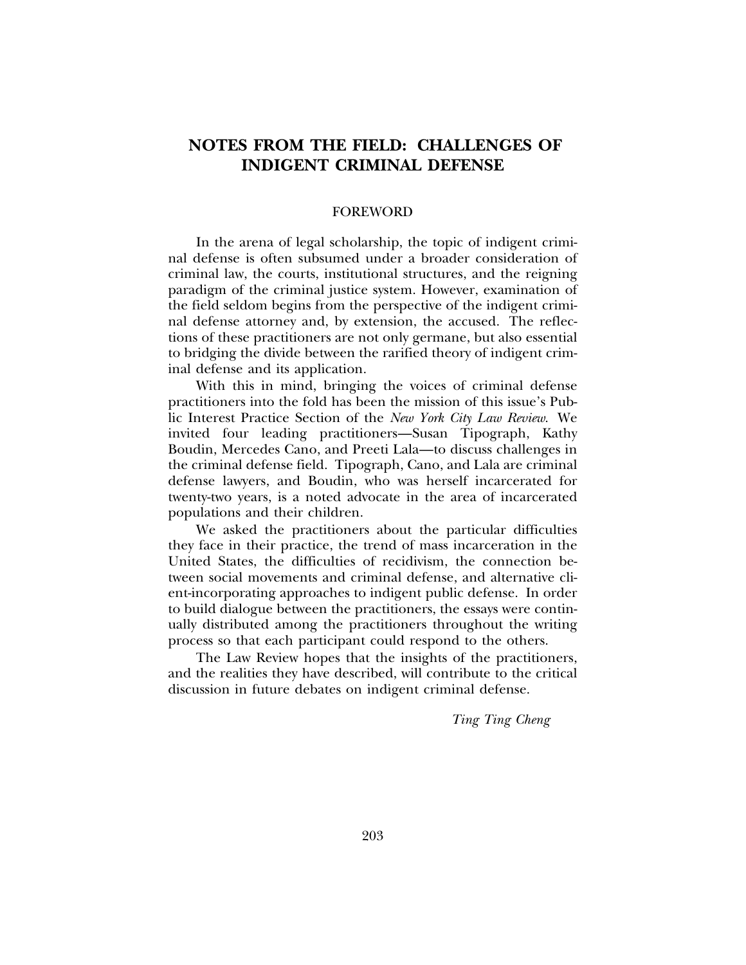## **NOTES FROM THE FIELD: CHALLENGES OF INDIGENT CRIMINAL DEFENSE**

## FOREWORD

In the arena of legal scholarship, the topic of indigent criminal defense is often subsumed under a broader consideration of criminal law, the courts, institutional structures, and the reigning paradigm of the criminal justice system. However, examination of the field seldom begins from the perspective of the indigent criminal defense attorney and, by extension, the accused. The reflections of these practitioners are not only germane, but also essential to bridging the divide between the rarified theory of indigent criminal defense and its application.

With this in mind, bringing the voices of criminal defense practitioners into the fold has been the mission of this issue's Public Interest Practice Section of the *New York City Law Review*. We invited four leading practitioners—Susan Tipograph, Kathy Boudin, Mercedes Cano, and Preeti Lala—to discuss challenges in the criminal defense field. Tipograph, Cano, and Lala are criminal defense lawyers, and Boudin, who was herself incarcerated for twenty-two years, is a noted advocate in the area of incarcerated populations and their children.

We asked the practitioners about the particular difficulties they face in their practice, the trend of mass incarceration in the United States, the difficulties of recidivism, the connection between social movements and criminal defense, and alternative client-incorporating approaches to indigent public defense. In order to build dialogue between the practitioners, the essays were continually distributed among the practitioners throughout the writing process so that each participant could respond to the others.

The Law Review hopes that the insights of the practitioners, and the realities they have described, will contribute to the critical discussion in future debates on indigent criminal defense.

*Ting Ting Cheng*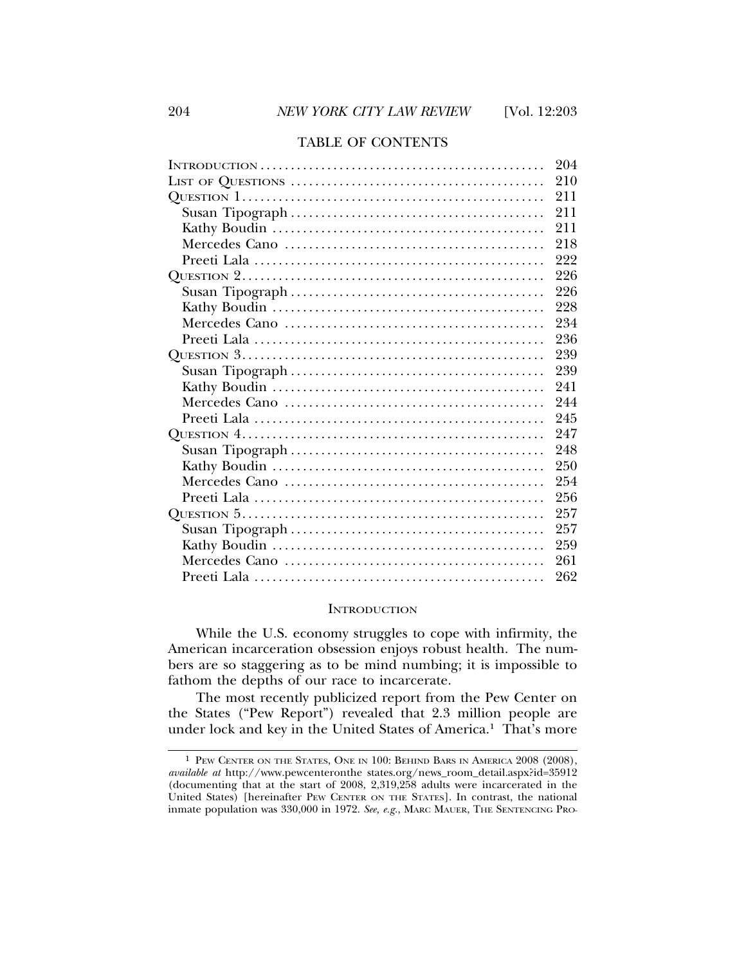## TABLE OF CONTENTS

| 204 |
|-----|
| 210 |
| 211 |
| 211 |
| 211 |
| 218 |
| 222 |
| 226 |
| 226 |
| 228 |
| 234 |
| 236 |
| 239 |
| 239 |
| 241 |
| 244 |
| 245 |
| 247 |
| 248 |
| 250 |
| 254 |
| 256 |
| 257 |
| 257 |
| 259 |
| 261 |
| 262 |

## **INTRODUCTION**

While the U.S. economy struggles to cope with infirmity, the American incarceration obsession enjoys robust health. The numbers are so staggering as to be mind numbing; it is impossible to fathom the depths of our race to incarcerate.

The most recently publicized report from the Pew Center on the States ("Pew Report") revealed that 2.3 million people are under lock and key in the United States of America.<sup>1</sup> That's more

<sup>1</sup> PEW CENTER ON THE STATES, ONE IN 100: BEHIND BARS IN AMERICA 2008 (2008), *available at* http://www.pewcenteronthe states.org/news\_room\_detail.aspx?id=35912 (documenting that at the start of 2008, 2,319,258 adults were incarcerated in the United States) [hereinafter PEW CENTER ON THE STATES]. In contrast, the national inmate population was 330,000 in 1972. *See, e.g.*, MARC MAUER, THE SENTENCING PRO-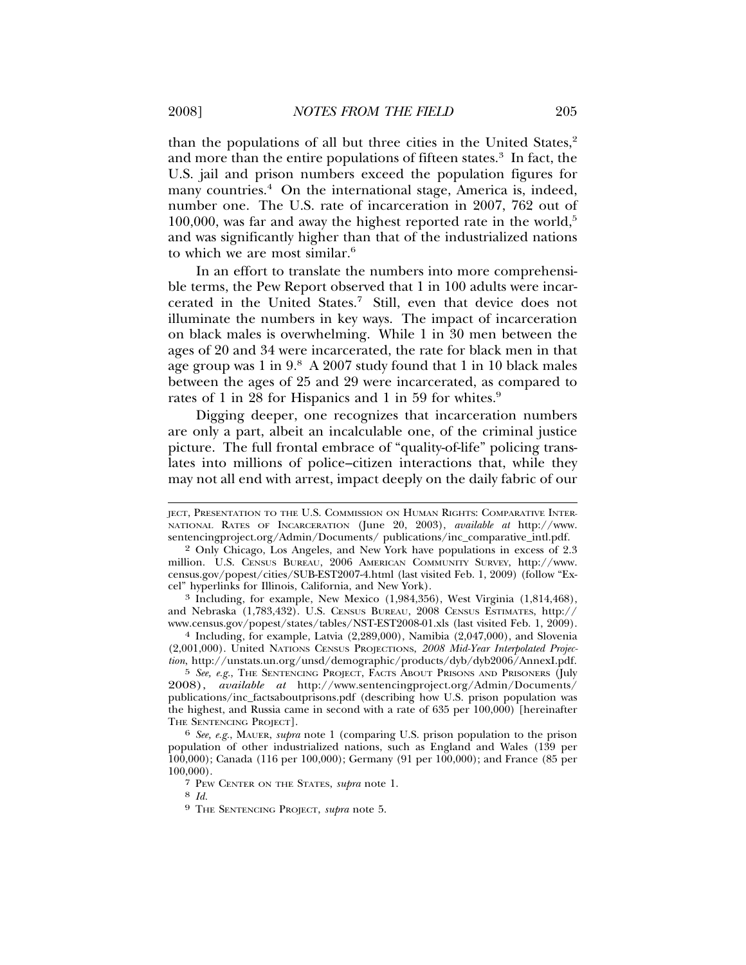than the populations of all but three cities in the United States,<sup>2</sup> and more than the entire populations of fifteen states.<sup>3</sup> In fact, the U.S. jail and prison numbers exceed the population figures for many countries.<sup>4</sup> On the international stage, America is, indeed, number one. The U.S. rate of incarceration in 2007, 762 out of  $100,000$ , was far and away the highest reported rate in the world,<sup>5</sup> and was significantly higher than that of the industrialized nations to which we are most similar.<sup>6</sup>

In an effort to translate the numbers into more comprehensible terms, the Pew Report observed that 1 in 100 adults were incarcerated in the United States.7 Still, even that device does not illuminate the numbers in key ways. The impact of incarceration on black males is overwhelming. While 1 in 30 men between the ages of 20 and 34 were incarcerated, the rate for black men in that age group was 1 in 9.8 A 2007 study found that 1 in 10 black males between the ages of 25 and 29 were incarcerated, as compared to rates of 1 in 28 for Hispanics and 1 in 59 for whites.<sup>9</sup>

Digging deeper, one recognizes that incarceration numbers are only a part, albeit an incalculable one, of the criminal justice picture. The full frontal embrace of "quality-of-life" policing translates into millions of police–citizen interactions that, while they may not all end with arrest, impact deeply on the daily fabric of our

3 Including, for example, New Mexico (1,984,356), West Virginia (1,814,468), and Nebraska (1,783,432). U.S. CENSUS BUREAU, 2008 CENSUS ESTIMATES, http:// www.census.gov/popest/states/tables/NST-EST2008-01.xls (last visited Feb. 1, 2009).

4 Including, for example, Latvia (2,289,000), Namibia (2,047,000), and Slovenia (2,001,000). United NATIONS CENSUS PROJECTIONS, *2008 Mid-Year Interpolated Projection*, http://unstats.un.org/unsd/demographic/products/dyb/dyb2006/AnnexI.pdf.

5 *See, e.g.*, THE SENTENCING PROJECT, FACTS ABOUT PRISONS AND PRISONERS (July 2008), *available at* http://www.sentencingproject.org/Admin/Documents/ publications/inc\_factsaboutprisons.pdf (describing how U.S. prison population was the highest, and Russia came in second with a rate of 635 per 100,000) [hereinafter THE SENTENCING PROJECT].

6 *See, e.g.*, MAUER, *supra* note 1 (comparing U.S. prison population to the prison population of other industrialized nations, such as England and Wales (139 per 100,000); Canada (116 per 100,000); Germany (91 per 100,000); and France (85 per 100,000).

7 PEW CENTER ON THE STATES, *supra* note 1.

8 *Id.*

9 THE SENTENCING PROJECT, *supra* note 5.

JECT, PRESENTATION TO THE U.S. COMMISSION ON HUMAN RIGHTS: COMPARATIVE INTER-NATIONAL RATES OF INCARCERATION (June 20, 2003), *available at* http://www. sentencingproject.org/Admin/Documents/ publications/inc\_comparative\_intl.pdf.

<sup>2</sup> Only Chicago, Los Angeles, and New York have populations in excess of 2.3 million. U.S. CENSUS BUREAU, 2006 AMERICAN COMMUNITY SURVEY, http://www. census.gov/popest/cities/SUB-EST2007-4.html (last visited Feb. 1, 2009) (follow "Excel" hyperlinks for Illinois, California, and New York).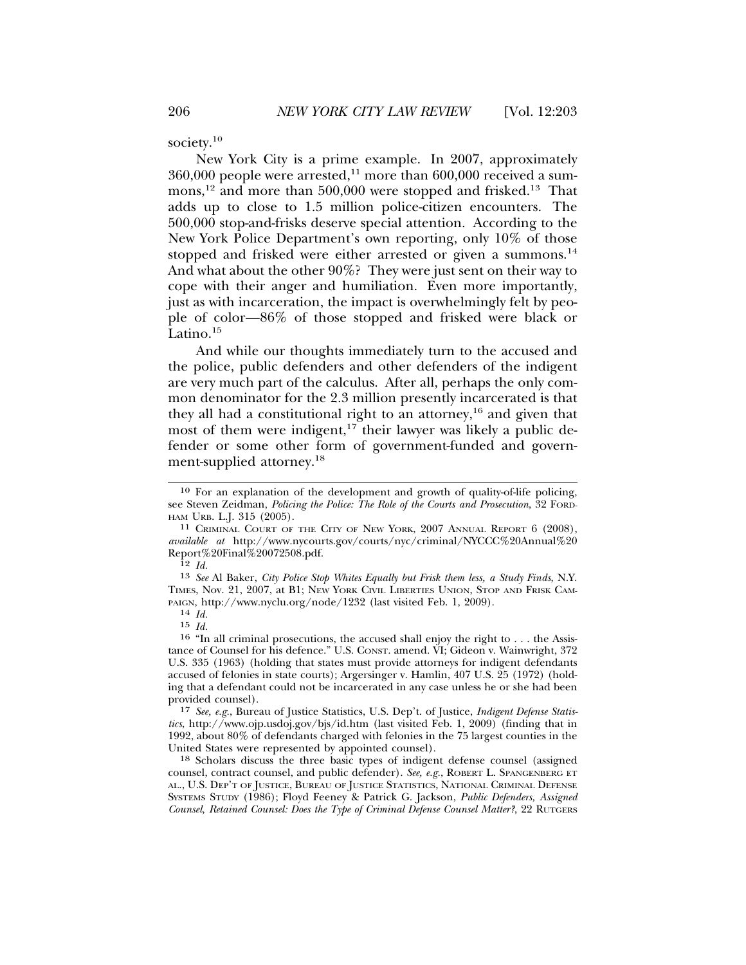society.<sup>10</sup>

New York City is a prime example. In 2007, approximately  $360,000$  people were arrested,<sup>11</sup> more than  $600,000$  received a summons,<sup>12</sup> and more than 500,000 were stopped and frisked.<sup>13</sup> That adds up to close to 1.5 million police-citizen encounters. The 500,000 stop-and-frisks deserve special attention. According to the New York Police Department's own reporting, only 10% of those stopped and frisked were either arrested or given a summons.<sup>14</sup> And what about the other 90%? They were just sent on their way to cope with their anger and humiliation. Even more importantly, just as with incarceration, the impact is overwhelmingly felt by people of color—86% of those stopped and frisked were black or Latino.<sup>15</sup>

And while our thoughts immediately turn to the accused and the police, public defenders and other defenders of the indigent are very much part of the calculus. After all, perhaps the only common denominator for the 2.3 million presently incarcerated is that they all had a constitutional right to an attorney,<sup>16</sup> and given that most of them were indigent,<sup>17</sup> their lawyer was likely a public defender or some other form of government-funded and government-supplied attorney.<sup>18</sup>

17 *See, e.g.*, Bureau of Justice Statistics, U.S. Dep't. of Justice, *Indigent Defense Statistics*, http://www.ojp.usdoj.gov/bjs/id.htm (last visited Feb. 1, 2009) (finding that in 1992, about 80% of defendants charged with felonies in the 75 largest counties in the United States were represented by appointed counsel).

18 Scholars discuss the three basic types of indigent defense counsel (assigned counsel, contract counsel, and public defender). *See, e.g.*, ROBERT L. SPANGENBERG ET AL., U.S. DEP'T OF JUSTICE, BUREAU OF JUSTICE STATISTICS, NATIONAL CRIMINAL DEFENSE SYSTEMS STUDY (1986); Floyd Feeney & Patrick G. Jackson, *Public Defenders, Assigned Counsel, Retained Counsel: Does the Type of Criminal Defense Counsel Matter?*, 22 RUTGERS

<sup>10</sup> For an explanation of the development and growth of quality-of-life policing, see Steven Zeidman, *Policing the Police: The Role of the Courts and Prosecution*, 32 FORD-HAM URB. L.J. 315 (2005).<br><sup>11</sup> Criminal Court of the City of New York, 2007 Annual Report 6 (2008),

*available at* http://www.nycourts.gov/courts/nyc/criminal/NYCCC%20Annual%20 Report%20Final%20072508.pdf.

<sup>12</sup> *Id.*

<sup>13</sup> *See* Al Baker, *City Police Stop Whites Equally but Frisk them less, a Study Finds*, N.Y. TIMES, Nov. 21, 2007, at B1; NEW YORK CIVIL LIBERTIES UNION, STOP AND FRISK CAM-PAIGN, http://www.nyclu.org/node/1232 (last visited Feb. 1, 2009). <sup>14</sup> *Id.*

<sup>15</sup> *Id.*

<sup>16</sup> "In all criminal prosecutions, the accused shall enjoy the right to . . . the Assistance of Counsel for his defence." U.S. CONST. amend. VI; Gideon v. Wainwright, 372 U.S. 335 (1963) (holding that states must provide attorneys for indigent defendants accused of felonies in state courts); Argersinger v. Hamlin, 407 U.S. 25 (1972) (holding that a defendant could not be incarcerated in any case unless he or she had been provided counsel).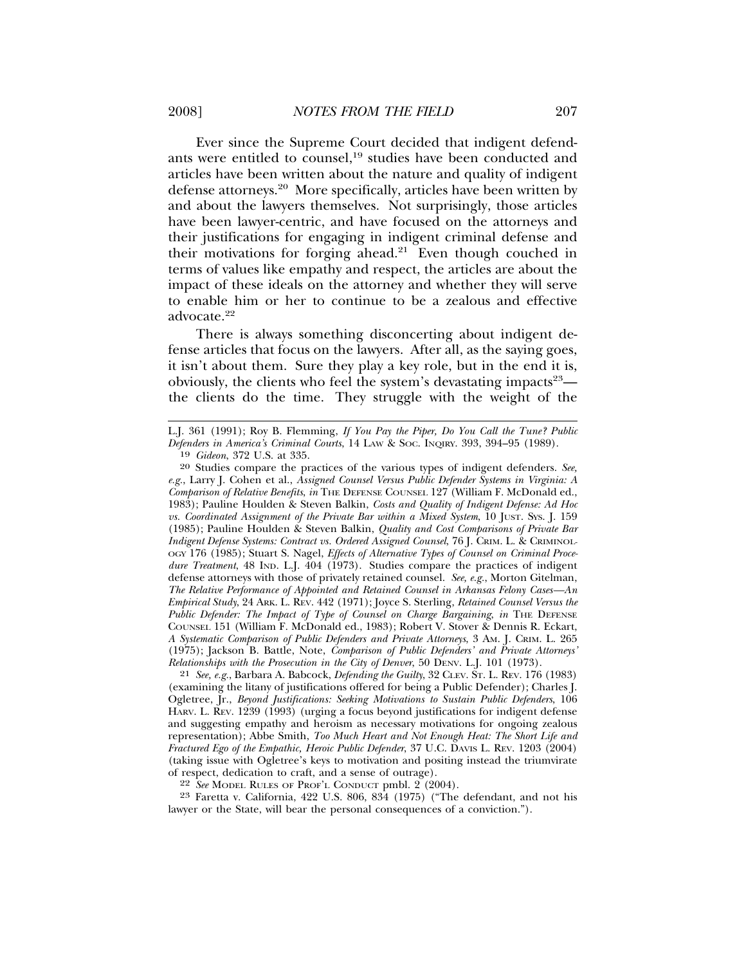Ever since the Supreme Court decided that indigent defendants were entitled to counsel,<sup>19</sup> studies have been conducted and articles have been written about the nature and quality of indigent defense attorneys.<sup>20</sup> More specifically, articles have been written by and about the lawyers themselves. Not surprisingly, those articles have been lawyer-centric, and have focused on the attorneys and their justifications for engaging in indigent criminal defense and their motivations for forging ahead. $21$  Even though couched in terms of values like empathy and respect, the articles are about the impact of these ideals on the attorney and whether they will serve to enable him or her to continue to be a zealous and effective advocate.<sup>22</sup>

There is always something disconcerting about indigent defense articles that focus on the lawyers. After all, as the saying goes, it isn't about them. Sure they play a key role, but in the end it is, obviously, the clients who feel the system's devastating impacts<sup>23</sup> the clients do the time. They struggle with the weight of the

21 *See, e.g.*, Barbara A. Babcock, *Defending the Guilty*, 32 CLEV. ST. L. REV. 176 (1983) (examining the litany of justifications offered for being a Public Defender); Charles J. Ogletree, Jr., *Beyond Justifications: Seeking Motivations to Sustain Public Defenders*, 106 HARV. L. REV. 1239 (1993) (urging a focus beyond justifications for indigent defense and suggesting empathy and heroism as necessary motivations for ongoing zealous representation); Abbe Smith, *Too Much Heart and Not Enough Heat: The Short Life and Fractured Ego of the Empathic, Heroic Public Defender*, 37 U.C. DAVIS L. REV. 1203 (2004) (taking issue with Ogletree's keys to motivation and positing instead the triumvirate of respect, dedication to craft, and a sense of outrage).

22 *See* MODEL RULES OF PROF'L CONDUCT pmbl. 2 (2004).

23 Faretta v. California, 422 U.S. 806, 834 (1975) ("The defendant, and not his lawyer or the State, will bear the personal consequences of a conviction.").

L.J. 361 (1991); Roy B. Flemming, *If You Pay the Piper, Do You Call the Tune? Public Defenders in America's Criminal Courts*, 14 LAW & SOC. INQIRY. 393, 394–95 (1989).

<sup>19</sup> *Gideon*, 372 U.S. at 335.

<sup>20</sup> Studies compare the practices of the various types of indigent defenders. *See, e.g.*, Larry J. Cohen et al., *Assigned Counsel Versus Public Defender Systems in Virginia: A Comparison of Relative Benefits*, *in* THE DEFENSE COUNSEL 127 (William F. McDonald ed., 1983); Pauline Houlden & Steven Balkin, *Costs and Quality of Indigent Defense: Ad Hoc vs. Coordinated Assignment of the Private Bar within a Mixed System*, 10 JUST. SYS. J. 159 (1985); Pauline Houlden & Steven Balkin, *Quality and Cost Comparisons of Private Bar Indigent Defense Systems: Contract vs. Ordered Assigned Counsel*, 76 J. CRIM. L. & CRIMINOL-OGY 176 (1985); Stuart S. Nagel, *Effects of Alternative Types of Counsel on Criminal Procedure Treatment*, 48 IND. L.J. 404 (1973). Studies compare the practices of indigent defense attorneys with those of privately retained counsel. *See, e.g.*, Morton Gitelman, *The Relative Performance of Appointed and Retained Counsel in Arkansas Felony Cases—An Empirical Study*, 24 ARK. L. REV. 442 (1971); Joyce S. Sterling, *Retained Counsel Versus the Public Defender: The Impact of Type of Counsel on Charge Bargaining*, *in* THE DEFENSE COUNSEL 151 (William F. McDonald ed., 1983); Robert V. Stover & Dennis R. Eckart, *A Systematic Comparison of Public Defenders and Private Attorneys*, 3 AM. J. CRIM. L. 265 (1975); Jackson B. Battle, Note, *Comparison of Public Defenders' and Private Attorneys' Relationships with the Prosecution in the City of Denver*, 50 DENV. L.J. 101 (1973).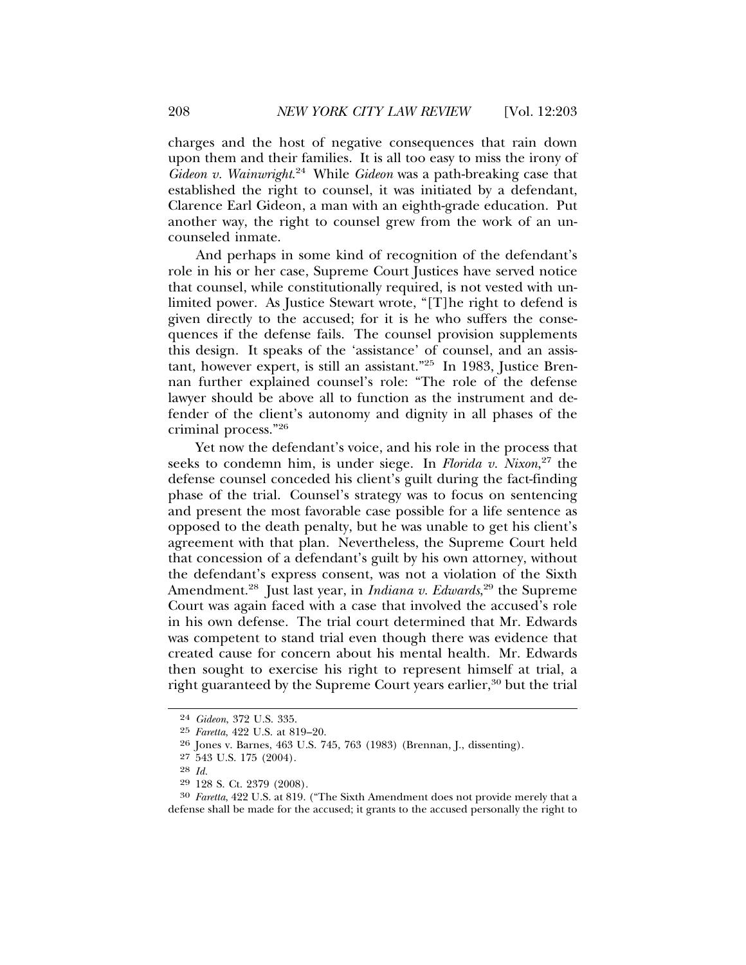charges and the host of negative consequences that rain down upon them and their families. It is all too easy to miss the irony of *Gideon v. Wainwright*. 24 While *Gideon* was a path-breaking case that established the right to counsel, it was initiated by a defendant, Clarence Earl Gideon, a man with an eighth-grade education. Put another way, the right to counsel grew from the work of an uncounseled inmate.

And perhaps in some kind of recognition of the defendant's role in his or her case, Supreme Court Justices have served notice that counsel, while constitutionally required, is not vested with unlimited power. As Justice Stewart wrote, "[T]he right to defend is given directly to the accused; for it is he who suffers the consequences if the defense fails. The counsel provision supplements this design. It speaks of the 'assistance' of counsel, and an assistant, however expert, is still an assistant."25 In 1983, Justice Brennan further explained counsel's role: "The role of the defense lawyer should be above all to function as the instrument and defender of the client's autonomy and dignity in all phases of the criminal process."26

Yet now the defendant's voice, and his role in the process that seeks to condemn him, is under siege. In *Florida v. Nixon*, 27 the defense counsel conceded his client's guilt during the fact-finding phase of the trial. Counsel's strategy was to focus on sentencing and present the most favorable case possible for a life sentence as opposed to the death penalty, but he was unable to get his client's agreement with that plan. Nevertheless, the Supreme Court held that concession of a defendant's guilt by his own attorney, without the defendant's express consent, was not a violation of the Sixth Amendment.28 Just last year, in *Indiana v. Edwards*, 29 the Supreme Court was again faced with a case that involved the accused's role in his own defense. The trial court determined that Mr. Edwards was competent to stand trial even though there was evidence that created cause for concern about his mental health. Mr. Edwards then sought to exercise his right to represent himself at trial, a right guaranteed by the Supreme Court years earlier,<sup>30</sup> but the trial

<sup>24</sup> *Gideon*, 372 U.S. 335.

<sup>25</sup> *Faretta*, 422 U.S. at 819–20.

<sup>26</sup> Jones v. Barnes, 463 U.S. 745, 763 (1983) (Brennan, J., dissenting).

<sup>27</sup> 543 U.S. 175 (2004).

<sup>28</sup> *Id.*

<sup>29</sup> 128 S. Ct. 2379 (2008).

<sup>30</sup> *Faretta*, 422 U.S. at 819. ("The Sixth Amendment does not provide merely that a defense shall be made for the accused; it grants to the accused personally the right to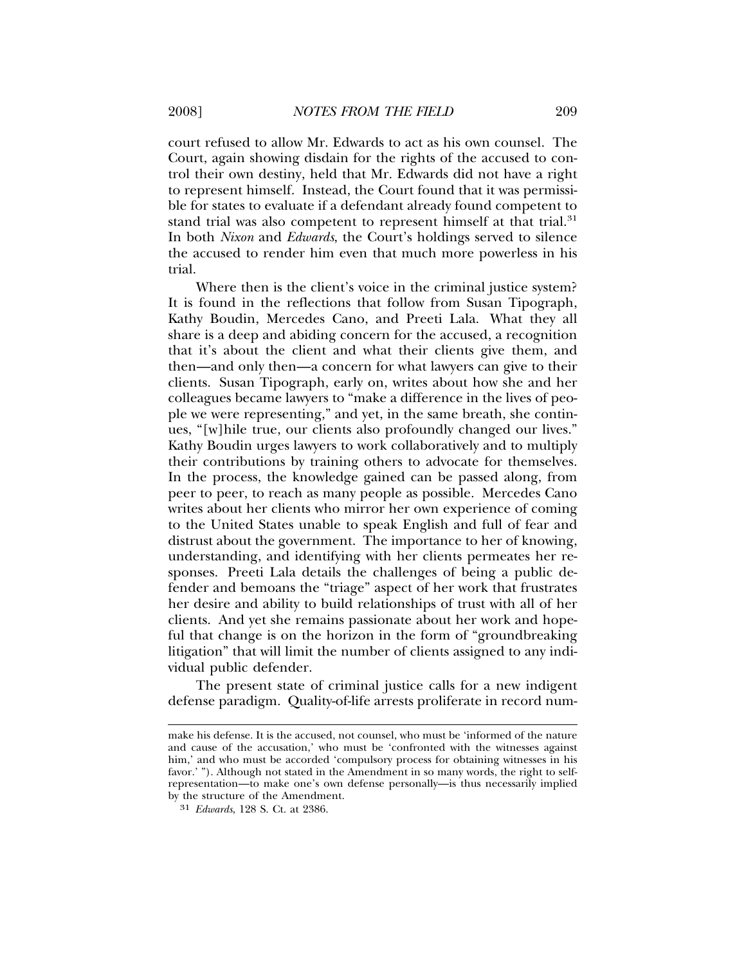court refused to allow Mr. Edwards to act as his own counsel. The Court, again showing disdain for the rights of the accused to control their own destiny, held that Mr. Edwards did not have a right to represent himself. Instead, the Court found that it was permissible for states to evaluate if a defendant already found competent to stand trial was also competent to represent himself at that trial.<sup>31</sup> In both *Nixon* and *Edwards*, the Court's holdings served to silence the accused to render him even that much more powerless in his trial.

Where then is the client's voice in the criminal justice system? It is found in the reflections that follow from Susan Tipograph, Kathy Boudin, Mercedes Cano, and Preeti Lala. What they all share is a deep and abiding concern for the accused, a recognition that it's about the client and what their clients give them, and then—and only then—a concern for what lawyers can give to their clients. Susan Tipograph, early on, writes about how she and her colleagues became lawyers to "make a difference in the lives of people we were representing," and yet, in the same breath, she continues, "[w]hile true, our clients also profoundly changed our lives." Kathy Boudin urges lawyers to work collaboratively and to multiply their contributions by training others to advocate for themselves. In the process, the knowledge gained can be passed along, from peer to peer, to reach as many people as possible. Mercedes Cano writes about her clients who mirror her own experience of coming to the United States unable to speak English and full of fear and distrust about the government. The importance to her of knowing, understanding, and identifying with her clients permeates her responses. Preeti Lala details the challenges of being a public defender and bemoans the "triage" aspect of her work that frustrates her desire and ability to build relationships of trust with all of her clients. And yet she remains passionate about her work and hopeful that change is on the horizon in the form of "groundbreaking litigation" that will limit the number of clients assigned to any individual public defender.

The present state of criminal justice calls for a new indigent defense paradigm. Quality-of-life arrests proliferate in record num-

make his defense. It is the accused, not counsel, who must be 'informed of the nature and cause of the accusation,' who must be 'confronted with the witnesses against him,' and who must be accorded 'compulsory process for obtaining witnesses in his favor.' "). Although not stated in the Amendment in so many words, the right to selfrepresentation—to make one's own defense personally—is thus necessarily implied by the structure of the Amendment.

<sup>31</sup> *Edwards*, 128 S. Ct. at 2386.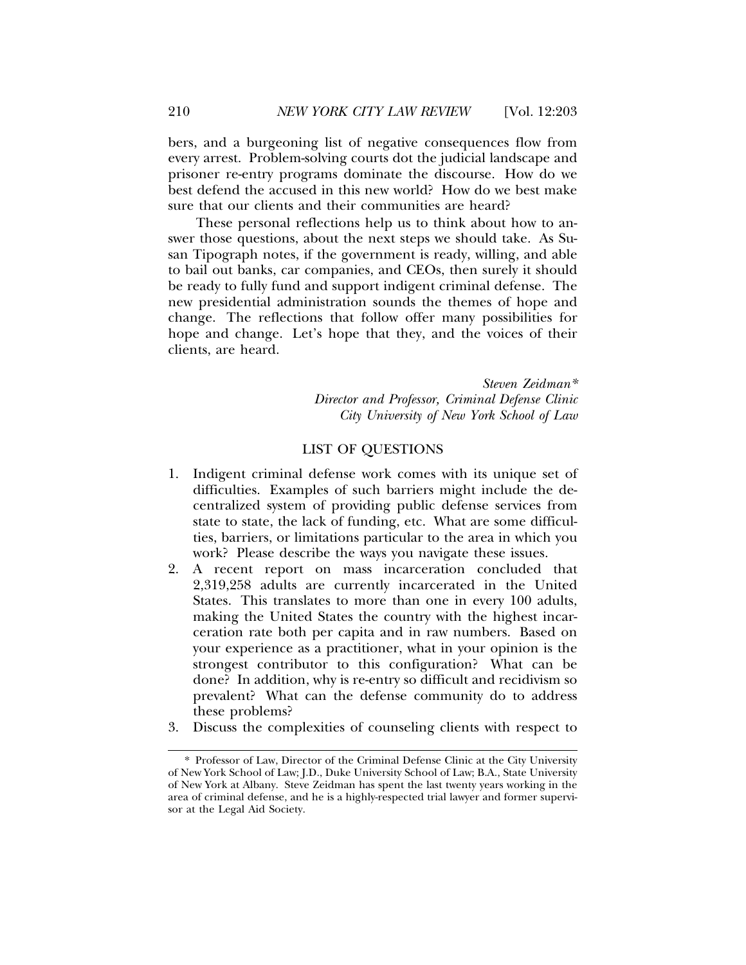bers, and a burgeoning list of negative consequences flow from every arrest. Problem-solving courts dot the judicial landscape and prisoner re-entry programs dominate the discourse. How do we best defend the accused in this new world? How do we best make sure that our clients and their communities are heard?

These personal reflections help us to think about how to answer those questions, about the next steps we should take. As Susan Tipograph notes, if the government is ready, willing, and able to bail out banks, car companies, and CEOs, then surely it should be ready to fully fund and support indigent criminal defense. The new presidential administration sounds the themes of hope and change. The reflections that follow offer many possibilities for hope and change. Let's hope that they, and the voices of their clients, are heard.

> *Steven Zeidman\* Director and Professor, Criminal Defense Clinic City University of New York School of Law*

## LIST OF QUESTIONS

- 1. Indigent criminal defense work comes with its unique set of difficulties. Examples of such barriers might include the decentralized system of providing public defense services from state to state, the lack of funding, etc. What are some difficulties, barriers, or limitations particular to the area in which you work? Please describe the ways you navigate these issues.
- 2. A recent report on mass incarceration concluded that 2,319,258 adults are currently incarcerated in the United States. This translates to more than one in every 100 adults, making the United States the country with the highest incarceration rate both per capita and in raw numbers. Based on your experience as a practitioner, what in your opinion is the strongest contributor to this configuration? What can be done? In addition, why is re-entry so difficult and recidivism so prevalent? What can the defense community do to address these problems?
- 3. Discuss the complexities of counseling clients with respect to

<sup>\*</sup> Professor of Law, Director of the Criminal Defense Clinic at the City University of New York School of Law; J.D., Duke University School of Law; B.A., State University of New York at Albany. Steve Zeidman has spent the last twenty years working in the area of criminal defense, and he is a highly-respected trial lawyer and former supervisor at the Legal Aid Society.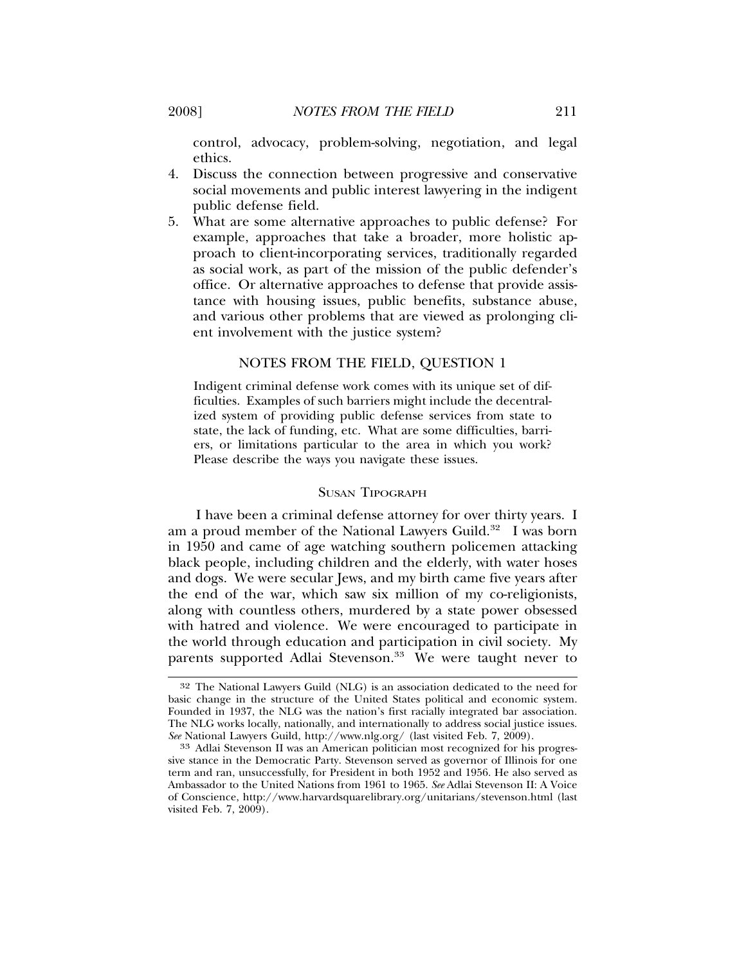control, advocacy, problem-solving, negotiation, and legal ethics.

- 4. Discuss the connection between progressive and conservative social movements and public interest lawyering in the indigent public defense field.
- 5. What are some alternative approaches to public defense? For example, approaches that take a broader, more holistic approach to client-incorporating services, traditionally regarded as social work, as part of the mission of the public defender's office. Or alternative approaches to defense that provide assistance with housing issues, public benefits, substance abuse, and various other problems that are viewed as prolonging client involvement with the justice system?

#### NOTES FROM THE FIELD, QUESTION 1

Indigent criminal defense work comes with its unique set of difficulties. Examples of such barriers might include the decentralized system of providing public defense services from state to state, the lack of funding, etc. What are some difficulties, barriers, or limitations particular to the area in which you work? Please describe the ways you navigate these issues.

## SUSAN TIPOGRAPH

I have been a criminal defense attorney for over thirty years. I am a proud member of the National Lawyers Guild.<sup>32</sup> I was born in 1950 and came of age watching southern policemen attacking black people, including children and the elderly, with water hoses and dogs. We were secular Jews, and my birth came five years after the end of the war, which saw six million of my co-religionists, along with countless others, murdered by a state power obsessed with hatred and violence. We were encouraged to participate in the world through education and participation in civil society. My parents supported Adlai Stevenson.<sup>33</sup> We were taught never to

<sup>32</sup> The National Lawyers Guild (NLG) is an association dedicated to the need for basic change in the structure of the United States political and economic system. Founded in 1937, the NLG was the nation's first racially integrated bar association. The NLG works locally, nationally, and internationally to address social justice issues. *See* National Lawyers Guild, http://www.nlg.org/ (last visited Feb. 7, 2009).

<sup>33</sup> Adlai Stevenson II was an American politician most recognized for his progressive stance in the Democratic Party. Stevenson served as governor of Illinois for one term and ran, unsuccessfully, for President in both 1952 and 1956. He also served as Ambassador to the United Nations from 1961 to 1965. *See* Adlai Stevenson II: A Voice of Conscience, http://www.harvardsquarelibrary.org/unitarians/stevenson.html (last visited Feb. 7, 2009).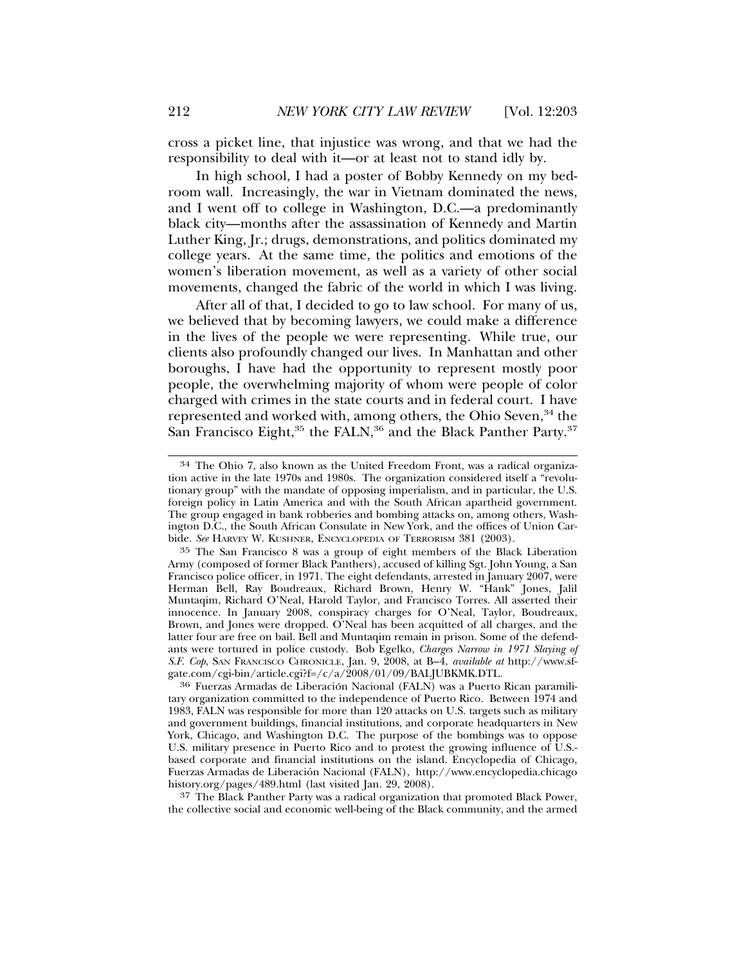cross a picket line, that injustice was wrong, and that we had the responsibility to deal with it—or at least not to stand idly by.

In high school, I had a poster of Bobby Kennedy on my bedroom wall. Increasingly, the war in Vietnam dominated the news, and I went off to college in Washington, D.C.—a predominantly black city—months after the assassination of Kennedy and Martin Luther King, Jr.; drugs, demonstrations, and politics dominated my college years. At the same time, the politics and emotions of the women's liberation movement, as well as a variety of other social movements, changed the fabric of the world in which I was living.

After all of that, I decided to go to law school. For many of us, we believed that by becoming lawyers, we could make a difference in the lives of the people we were representing. While true, our clients also profoundly changed our lives. In Manhattan and other boroughs, I have had the opportunity to represent mostly poor people, the overwhelming majority of whom were people of color charged with crimes in the state courts and in federal court. I have represented and worked with, among others, the Ohio Seven,<sup>34</sup> the San Francisco Eight,<sup>35</sup> the FALN,<sup>36</sup> and the Black Panther Party.<sup>37</sup>

37 The Black Panther Party was a radical organization that promoted Black Power, the collective social and economic well-being of the Black community, and the armed

<sup>34</sup> The Ohio 7, also known as the United Freedom Front, was a radical organization active in the late 1970s and 1980s. The organization considered itself a "revolutionary group" with the mandate of opposing imperialism, and in particular, the U.S. foreign policy in Latin America and with the South African apartheid government. The group engaged in bank robberies and bombing attacks on, among others, Washington D.C., the South African Consulate in New York, and the offices of Union Carbide. *See* HARVEY W. KUSHNER, ENCYCLOPEDIA OF TERRORISM 381 (2003).

<sup>35</sup> The San Francisco 8 was a group of eight members of the Black Liberation Army (composed of former Black Panthers), accused of killing Sgt. John Young, a San Francisco police officer, in 1971. The eight defendants, arrested in January 2007, were Herman Bell, Ray Boudreaux, Richard Brown, Henry W. "Hank" Jones, Jalil Muntaqim, Richard O'Neal, Harold Taylor, and Francisco Torres. All asserted their innocence. In January 2008, conspiracy charges for O'Neal, Taylor, Boudreaux, Brown, and Jones were dropped. O'Neal has been acquitted of all charges, and the latter four are free on bail. Bell and Muntaqim remain in prison. Some of the defendants were tortured in police custody. Bob Egelko, *Charges Narrow in 1971 Slaying of S.F. Cop*, SAN FRANCISCO CHRONICLE, Jan. 9, 2008, at B–4, *available at* http://www.sfgate.com/cgi-bin/article.cgi?f=/c/a/2008/01/09/BALJUBKMK.DTL.

<sup>&</sup>lt;sup>36</sup> Fuerzas Armadas de Liberación Nacional (FALN) was a Puerto Rican paramilitary organization committed to the independence of Puerto Rico. Between 1974 and 1983, FALN was responsible for more than 120 attacks on U.S. targets such as military and government buildings, financial institutions, and corporate headquarters in New York, Chicago, and Washington D.C. The purpose of the bombings was to oppose U.S. military presence in Puerto Rico and to protest the growing influence of U.S. based corporate and financial institutions on the island. Encyclopedia of Chicago, Fuerzas Armadas de Liberacion Nacional (FALN), http://www.encyclopedia.chicago ´ history.org/pages/489.html (last visited Jan. 29, 2008).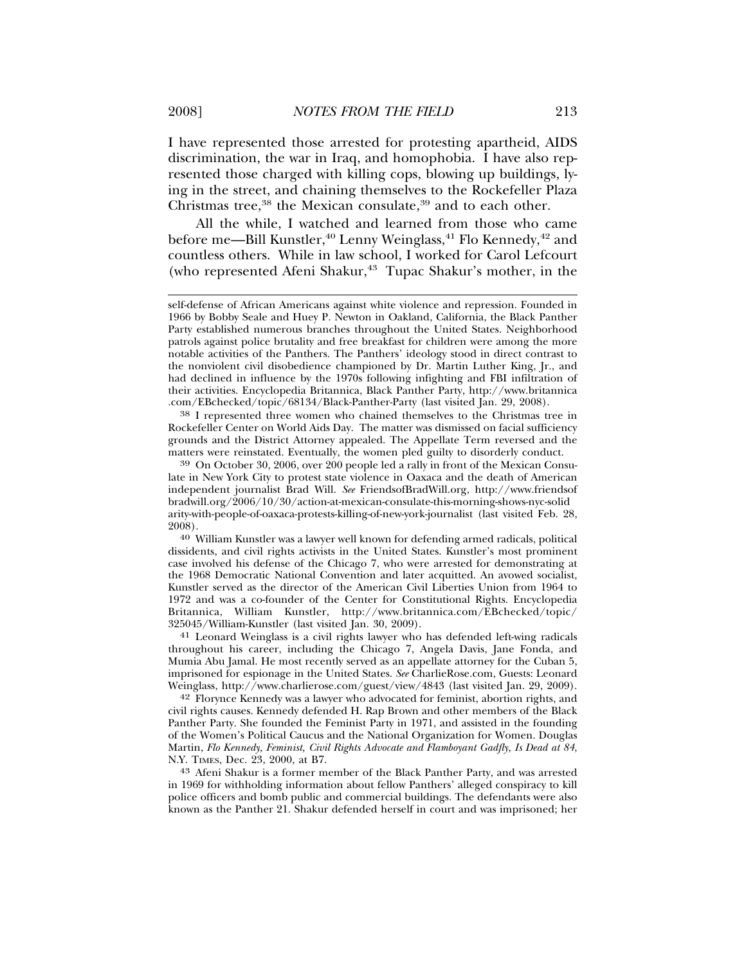I have represented those arrested for protesting apartheid, AIDS discrimination, the war in Iraq, and homophobia. I have also represented those charged with killing cops, blowing up buildings, lying in the street, and chaining themselves to the Rockefeller Plaza Christmas tree, $38$  the Mexican consulate, $39$  and to each other.

All the while, I watched and learned from those who came before me—Bill Kunstler,<sup>40</sup> Lenny Weinglass,<sup>41</sup> Flo Kennedy,<sup>42</sup> and countless others. While in law school, I worked for Carol Lefcourt (who represented Afeni Shakur,<sup>43</sup> Tupac Shakur's mother, in the

38 I represented three women who chained themselves to the Christmas tree in Rockefeller Center on World Aids Day. The matter was dismissed on facial sufficiency grounds and the District Attorney appealed. The Appellate Term reversed and the matters were reinstated. Eventually, the women pled guilty to disorderly conduct.

41 Leonard Weinglass is a civil rights lawyer who has defended left-wing radicals throughout his career, including the Chicago 7, Angela Davis, Jane Fonda, and Mumia Abu Jamal. He most recently served as an appellate attorney for the Cuban 5, imprisoned for espionage in the United States. *See* CharlieRose.com, Guests: Leonard Weinglass, http://www.charlierose.com/guest/view/4843 (last visited Jan. 29, 2009).

42 Florynce Kennedy was a lawyer who advocated for feminist, abortion rights, and civil rights causes. Kennedy defended H. Rap Brown and other members of the Black Panther Party. She founded the Feminist Party in 1971, and assisted in the founding of the Women's Political Caucus and the National Organization for Women. Douglas Martin, *Flo Kennedy, Feminist, Civil Rights Advocate and Flamboyant Gadfly, Is Dead at 84*, N.Y. TIMES, Dec. 23, 2000, at B7.

43 Afeni Shakur is a former member of the Black Panther Party, and was arrested in 1969 for withholding information about fellow Panthers' alleged conspiracy to kill police officers and bomb public and commercial buildings. The defendants were also known as the Panther 21. Shakur defended herself in court and was imprisoned; her

self-defense of African Americans against white violence and repression. Founded in 1966 by Bobby Seale and Huey P. Newton in Oakland, California, the Black Panther Party established numerous branches throughout the United States. Neighborhood patrols against police brutality and free breakfast for children were among the more notable activities of the Panthers. The Panthers' ideology stood in direct contrast to the nonviolent civil disobedience championed by Dr. Martin Luther King, Jr., and had declined in influence by the 1970s following infighting and FBI infiltration of their activities. Encyclopedia Britannica, Black Panther Party, http://www.britannica .com/EBchecked/topic/68134/Black-Panther-Party (last visited Jan. 29, 2008).

<sup>39</sup> On October 30, 2006, over 200 people led a rally in front of the Mexican Consulate in New York City to protest state violence in Oaxaca and the death of American independent journalist Brad Will. *See* FriendsofBradWill.org, http://www.friendsof bradwill.org/2006/10/30/action-at-mexican-consulate-this-morning-shows-nyc-solid arity-with-people-of-oaxaca-protests-killing-of-new-york-journalist (last visited Feb. 28, 2008).

<sup>40</sup> William Kunstler was a lawyer well known for defending armed radicals, political dissidents, and civil rights activists in the United States. Kunstler's most prominent case involved his defense of the Chicago 7, who were arrested for demonstrating at the 1968 Democratic National Convention and later acquitted. An avowed socialist, Kunstler served as the director of the American Civil Liberties Union from 1964 to 1972 and was a co-founder of the Center for Constitutional Rights. Encyclopedia Britannica, William Kunstler, http://www.britannica.com/EBchecked/topic/ 325045/William-Kunstler (last visited Jan. 30, 2009).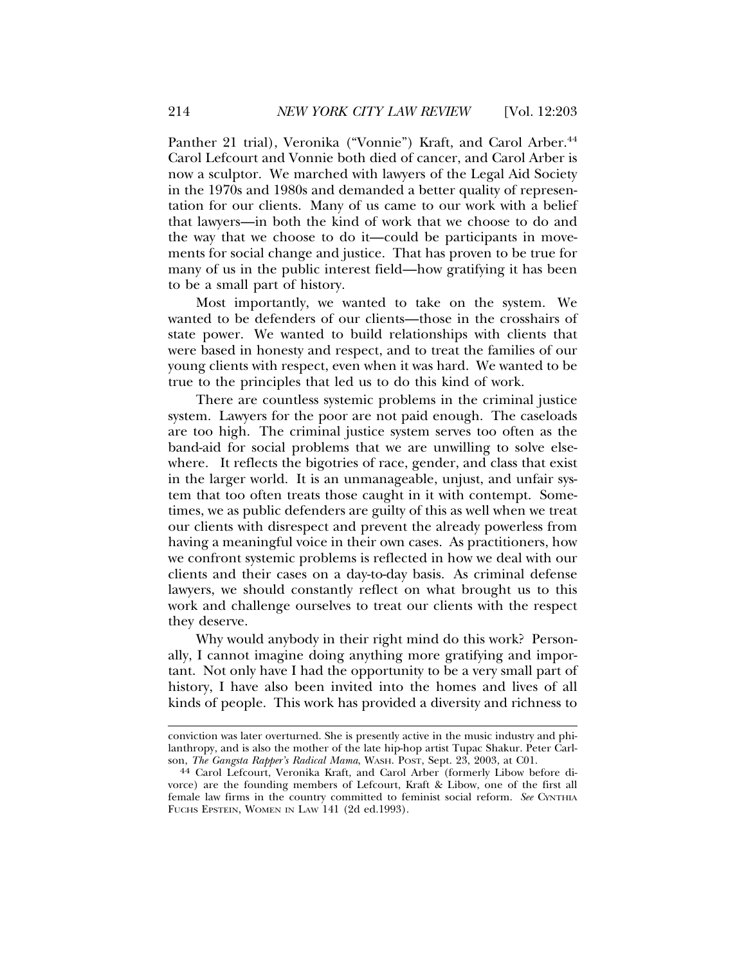Panther 21 trial), Veronika ("Vonnie") Kraft, and Carol Arber.<sup>44</sup> Carol Lefcourt and Vonnie both died of cancer, and Carol Arber is now a sculptor. We marched with lawyers of the Legal Aid Society in the 1970s and 1980s and demanded a better quality of representation for our clients. Many of us came to our work with a belief that lawyers—in both the kind of work that we choose to do and the way that we choose to do it—could be participants in movements for social change and justice. That has proven to be true for many of us in the public interest field—how gratifying it has been to be a small part of history.

Most importantly, we wanted to take on the system. We wanted to be defenders of our clients—those in the crosshairs of state power. We wanted to build relationships with clients that were based in honesty and respect, and to treat the families of our young clients with respect, even when it was hard. We wanted to be true to the principles that led us to do this kind of work.

There are countless systemic problems in the criminal justice system. Lawyers for the poor are not paid enough. The caseloads are too high. The criminal justice system serves too often as the band-aid for social problems that we are unwilling to solve elsewhere. It reflects the bigotries of race, gender, and class that exist in the larger world. It is an unmanageable, unjust, and unfair system that too often treats those caught in it with contempt. Sometimes, we as public defenders are guilty of this as well when we treat our clients with disrespect and prevent the already powerless from having a meaningful voice in their own cases. As practitioners, how we confront systemic problems is reflected in how we deal with our clients and their cases on a day-to-day basis. As criminal defense lawyers, we should constantly reflect on what brought us to this work and challenge ourselves to treat our clients with the respect they deserve.

Why would anybody in their right mind do this work? Personally, I cannot imagine doing anything more gratifying and important. Not only have I had the opportunity to be a very small part of history, I have also been invited into the homes and lives of all kinds of people. This work has provided a diversity and richness to

conviction was later overturned. She is presently active in the music industry and philanthropy, and is also the mother of the late hip-hop artist Tupac Shakur. Peter Carl-<br>son, The Gangsta Rapper's Radical Mama, WASH. POST, Sept. 23, 2003, at C01.

<sup>&</sup>lt;sup>44</sup> Carol Lefcourt, Veronika Kraft, and Carol Arber (formerly Libow before divorce) are the founding members of Lefcourt, Kraft & Libow, one of the first all female law firms in the country committed to feminist social reform. *See* CYNTHIA FUCHS EPSTEIN, WOMEN IN LAW 141 (2d ed.1993).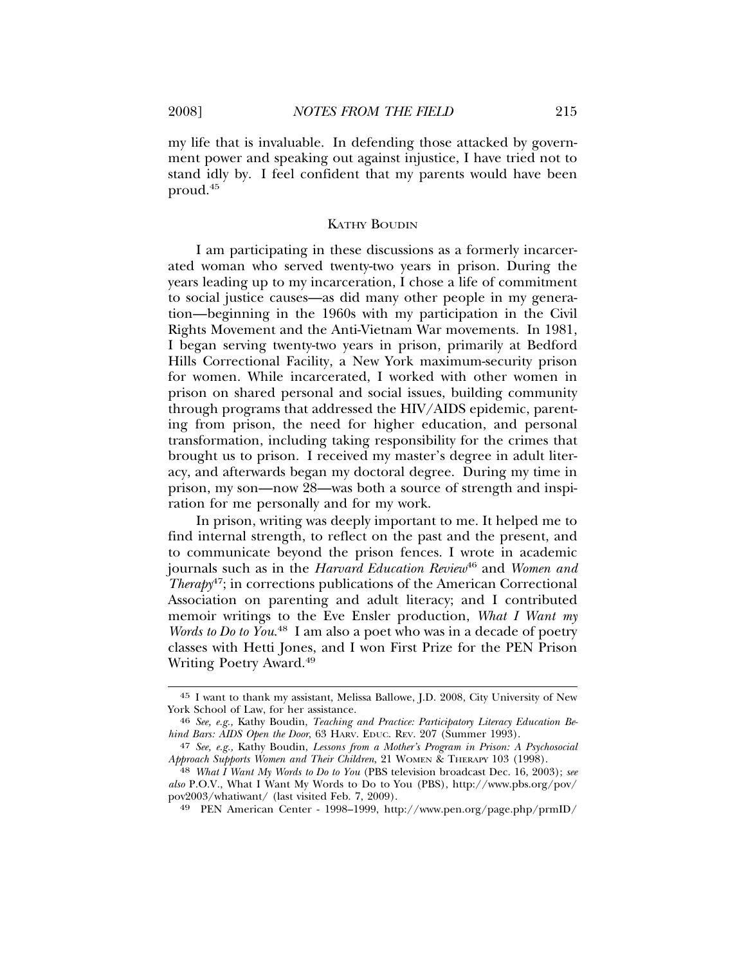my life that is invaluable. In defending those attacked by government power and speaking out against injustice, I have tried not to stand idly by. I feel confident that my parents would have been proud.45

#### KATHY BOUDIN

I am participating in these discussions as a formerly incarcerated woman who served twenty-two years in prison. During the years leading up to my incarceration, I chose a life of commitment to social justice causes—as did many other people in my generation—beginning in the 1960s with my participation in the Civil Rights Movement and the Anti-Vietnam War movements. In 1981, I began serving twenty-two years in prison, primarily at Bedford Hills Correctional Facility, a New York maximum-security prison for women. While incarcerated, I worked with other women in prison on shared personal and social issues, building community through programs that addressed the HIV/AIDS epidemic, parenting from prison, the need for higher education, and personal transformation, including taking responsibility for the crimes that brought us to prison. I received my master's degree in adult literacy, and afterwards began my doctoral degree. During my time in prison, my son—now 28—was both a source of strength and inspiration for me personally and for my work.

In prison, writing was deeply important to me. It helped me to find internal strength, to reflect on the past and the present, and to communicate beyond the prison fences. I wrote in academic journals such as in the *Harvard Education Review*46 and *Women and Therapy*47; in corrections publications of the American Correctional Association on parenting and adult literacy; and I contributed memoir writings to the Eve Ensler production, *What I Want my Words to Do to You*. 48 I am also a poet who was in a decade of poetry classes with Hetti Jones, and I won First Prize for the PEN Prison Writing Poetry Award.49

<sup>45</sup> I want to thank my assistant, Melissa Ballowe, J.D. 2008, City University of New York School of Law, for her assistance.

<sup>46</sup> *See, e.g.,* Kathy Boudin, *Teaching and Practice: Participatory Literacy Education Behind Bars: AIDS Open the Door*, 63 HARV. EDUC. REV. 207 (Summer 1993).

<sup>47</sup> *See, e.g.,* Kathy Boudin, *Lessons from a Mother's Program in Prison: A Psychosocial Approach Supports Women and Their Children*, 21 WOMEN & THERAPY 103 (1998).

<sup>48</sup> *What I Want My Words to Do to You* (PBS television broadcast Dec. 16, 2003); *see also* P.O.V., What I Want My Words to Do to You (PBS), http://www.pbs.org/pov/ pov2003/whatiwant/ (last visited Feb. 7, 2009).

<sup>49</sup> PEN American Center - 1998–1999, http://www.pen.org/page.php/prmID/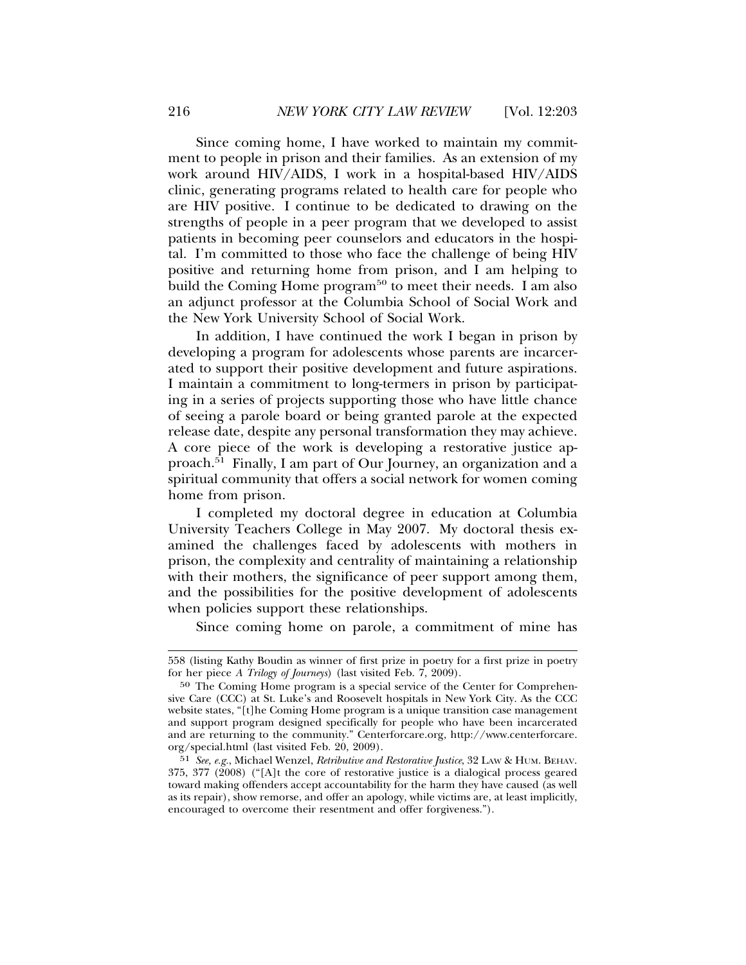Since coming home, I have worked to maintain my commitment to people in prison and their families. As an extension of my work around HIV/AIDS, I work in a hospital-based HIV/AIDS clinic, generating programs related to health care for people who are HIV positive. I continue to be dedicated to drawing on the strengths of people in a peer program that we developed to assist patients in becoming peer counselors and educators in the hospital. I'm committed to those who face the challenge of being HIV positive and returning home from prison, and I am helping to build the Coming Home program $50$  to meet their needs. I am also an adjunct professor at the Columbia School of Social Work and the New York University School of Social Work.

In addition, I have continued the work I began in prison by developing a program for adolescents whose parents are incarcerated to support their positive development and future aspirations. I maintain a commitment to long-termers in prison by participating in a series of projects supporting those who have little chance of seeing a parole board or being granted parole at the expected release date, despite any personal transformation they may achieve. A core piece of the work is developing a restorative justice approach.51 Finally, I am part of Our Journey, an organization and a spiritual community that offers a social network for women coming home from prison.

I completed my doctoral degree in education at Columbia University Teachers College in May 2007. My doctoral thesis examined the challenges faced by adolescents with mothers in prison, the complexity and centrality of maintaining a relationship with their mothers, the significance of peer support among them, and the possibilities for the positive development of adolescents when policies support these relationships.

Since coming home on parole, a commitment of mine has

<sup>558 (</sup>listing Kathy Boudin as winner of first prize in poetry for a first prize in poetry for her piece *A Trilogy of Journeys*) (last visited Feb. 7, 2009).

<sup>50</sup> The Coming Home program is a special service of the Center for Comprehensive Care (CCC) at St. Luke's and Roosevelt hospitals in New York City. As the CCC website states, "[t]he Coming Home program is a unique transition case management and support program designed specifically for people who have been incarcerated and are returning to the community." Centerforcare.org, http://www.centerforcare. org/special.html (last visited Feb. 20, 2009).

<sup>51</sup> *See, e.g.*, Michael Wenzel, *Retributive and Restorative Justice*, 32 LAW & HUM. BEHAV. 375, 377 (2008) ("[A]t the core of restorative justice is a dialogical process geared toward making offenders accept accountability for the harm they have caused (as well as its repair), show remorse, and offer an apology, while victims are, at least implicitly, encouraged to overcome their resentment and offer forgiveness.").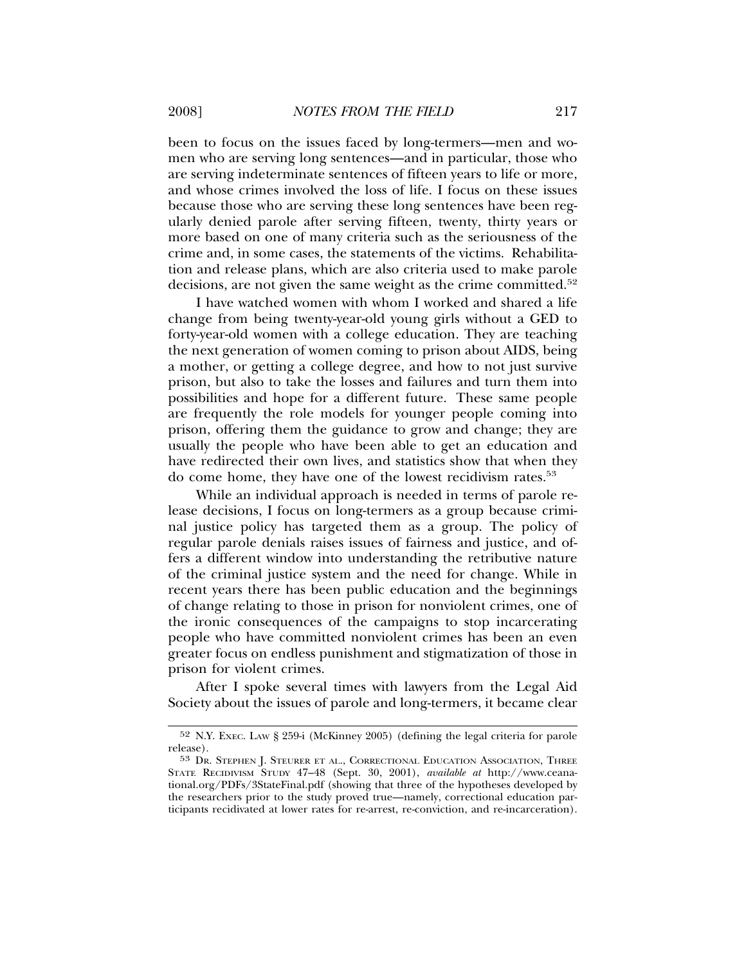been to focus on the issues faced by long-termers—men and women who are serving long sentences—and in particular, those who are serving indeterminate sentences of fifteen years to life or more, and whose crimes involved the loss of life. I focus on these issues because those who are serving these long sentences have been regularly denied parole after serving fifteen, twenty, thirty years or more based on one of many criteria such as the seriousness of the crime and, in some cases, the statements of the victims. Rehabilitation and release plans, which are also criteria used to make parole decisions, are not given the same weight as the crime committed.<sup>52</sup>

I have watched women with whom I worked and shared a life change from being twenty-year-old young girls without a GED to forty-year-old women with a college education. They are teaching the next generation of women coming to prison about AIDS, being a mother, or getting a college degree, and how to not just survive prison, but also to take the losses and failures and turn them into possibilities and hope for a different future. These same people are frequently the role models for younger people coming into prison, offering them the guidance to grow and change; they are usually the people who have been able to get an education and have redirected their own lives, and statistics show that when they do come home, they have one of the lowest recidivism rates.53

While an individual approach is needed in terms of parole release decisions, I focus on long-termers as a group because criminal justice policy has targeted them as a group. The policy of regular parole denials raises issues of fairness and justice, and offers a different window into understanding the retributive nature of the criminal justice system and the need for change. While in recent years there has been public education and the beginnings of change relating to those in prison for nonviolent crimes, one of the ironic consequences of the campaigns to stop incarcerating people who have committed nonviolent crimes has been an even greater focus on endless punishment and stigmatization of those in prison for violent crimes.

After I spoke several times with lawyers from the Legal Aid Society about the issues of parole and long-termers, it became clear

<sup>52</sup> N.Y. EXEC. LAW § 259-i (McKinney 2005) (defining the legal criteria for parole release).

<sup>53</sup> DR. STEPHEN J. STEURER ET AL., CORRECTIONAL EDUCATION ASSOCIATION, THREE STATE RECIDIVISM STUDY 47–48 (Sept. 30, 2001), *available at* http://www.ceanational.org/PDFs/3StateFinal.pdf (showing that three of the hypotheses developed by the researchers prior to the study proved true—namely, correctional education participants recidivated at lower rates for re-arrest, re-conviction, and re-incarceration).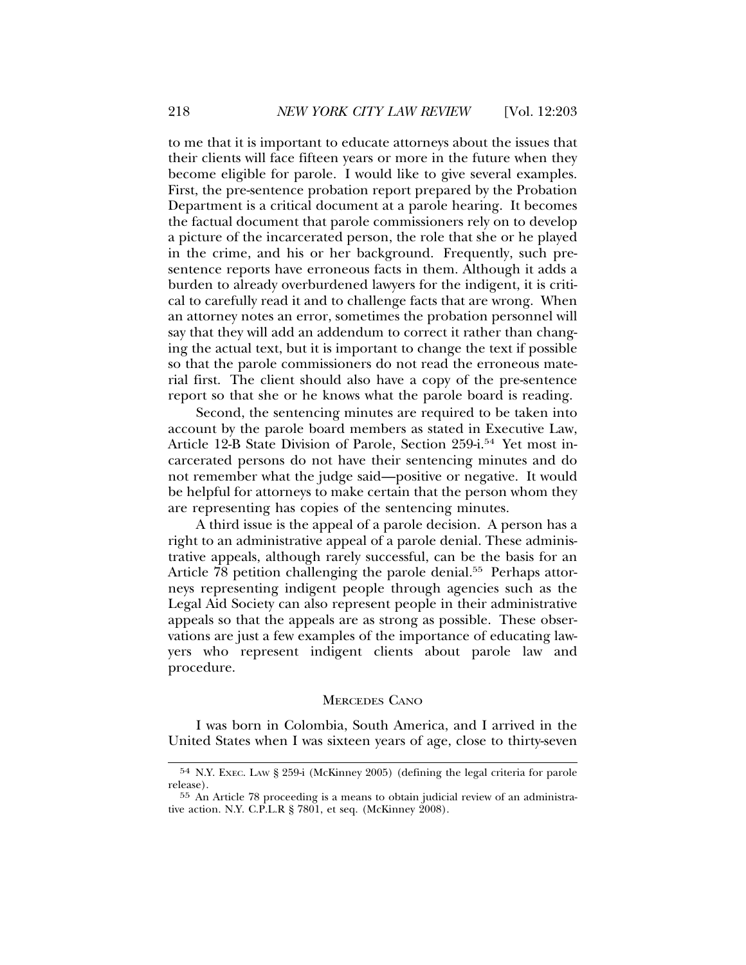to me that it is important to educate attorneys about the issues that their clients will face fifteen years or more in the future when they become eligible for parole. I would like to give several examples. First, the pre-sentence probation report prepared by the Probation Department is a critical document at a parole hearing. It becomes the factual document that parole commissioners rely on to develop a picture of the incarcerated person, the role that she or he played in the crime, and his or her background. Frequently, such presentence reports have erroneous facts in them. Although it adds a burden to already overburdened lawyers for the indigent, it is critical to carefully read it and to challenge facts that are wrong. When an attorney notes an error, sometimes the probation personnel will say that they will add an addendum to correct it rather than changing the actual text, but it is important to change the text if possible so that the parole commissioners do not read the erroneous material first. The client should also have a copy of the pre-sentence report so that she or he knows what the parole board is reading.

Second, the sentencing minutes are required to be taken into account by the parole board members as stated in Executive Law, Article 12-B State Division of Parole, Section 259-i.<sup>54</sup> Yet most incarcerated persons do not have their sentencing minutes and do not remember what the judge said—positive or negative. It would be helpful for attorneys to make certain that the person whom they are representing has copies of the sentencing minutes.

A third issue is the appeal of a parole decision. A person has a right to an administrative appeal of a parole denial. These administrative appeals, although rarely successful, can be the basis for an Article  $\overline{78}$  petition challenging the parole denial.<sup>55</sup> Perhaps attorneys representing indigent people through agencies such as the Legal Aid Society can also represent people in their administrative appeals so that the appeals are as strong as possible. These observations are just a few examples of the importance of educating lawyers who represent indigent clients about parole law and procedure.

#### MERCEDES CANO

I was born in Colombia, South America, and I arrived in the United States when I was sixteen years of age, close to thirty-seven

<sup>54</sup> N.Y. EXEC. LAW § 259-i (McKinney 2005) (defining the legal criteria for parole release).

<sup>55</sup> An Article 78 proceeding is a means to obtain judicial review of an administrative action. N.Y. C.P.L.R § 7801, et seq. (McKinney 2008).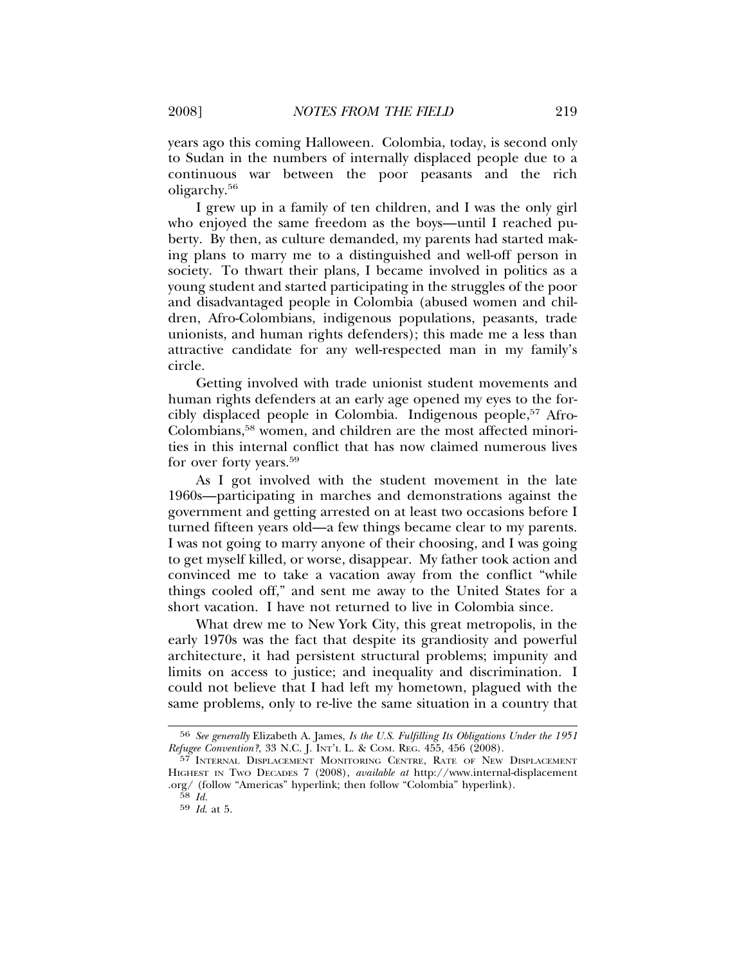years ago this coming Halloween. Colombia, today, is second only to Sudan in the numbers of internally displaced people due to a continuous war between the poor peasants and the rich oligarchy.56

I grew up in a family of ten children, and I was the only girl who enjoyed the same freedom as the boys—until I reached puberty. By then, as culture demanded, my parents had started making plans to marry me to a distinguished and well-off person in society. To thwart their plans, I became involved in politics as a young student and started participating in the struggles of the poor and disadvantaged people in Colombia (abused women and children, Afro-Colombians, indigenous populations, peasants, trade unionists, and human rights defenders); this made me a less than attractive candidate for any well-respected man in my family's circle.

Getting involved with trade unionist student movements and human rights defenders at an early age opened my eyes to the forcibly displaced people in Colombia. Indigenous people,<sup>57</sup> Afro-Colombians,58 women, and children are the most affected minorities in this internal conflict that has now claimed numerous lives for over forty years.<sup>59</sup>

As I got involved with the student movement in the late 1960s—participating in marches and demonstrations against the government and getting arrested on at least two occasions before I turned fifteen years old—a few things became clear to my parents. I was not going to marry anyone of their choosing, and I was going to get myself killed, or worse, disappear. My father took action and convinced me to take a vacation away from the conflict "while things cooled off," and sent me away to the United States for a short vacation. I have not returned to live in Colombia since.

What drew me to New York City, this great metropolis, in the early 1970s was the fact that despite its grandiosity and powerful architecture, it had persistent structural problems; impunity and limits on access to justice; and inequality and discrimination. I could not believe that I had left my hometown, plagued with the same problems, only to re-live the same situation in a country that

<sup>56</sup> *See generally* Elizabeth A. James, *Is the U.S. Fulfilling Its Obligations Under the 1951 Refugee Convention?*, 33 N.C. J. INT'L L. & COM. REG. 455, 456 (2008).

<sup>57</sup> INTERNAL DISPLACEMENT MONITORING CENTRE, RATE OF NEW DISPLACEMENT HIGHEST IN TWO DECADES 7 (2008), *available at* http://www.internal-displacement .org/ (follow "Americas" hyperlink; then follow "Colombia" hyperlink).

<sup>58</sup> *Id.*

<sup>59</sup> *Id*. at 5.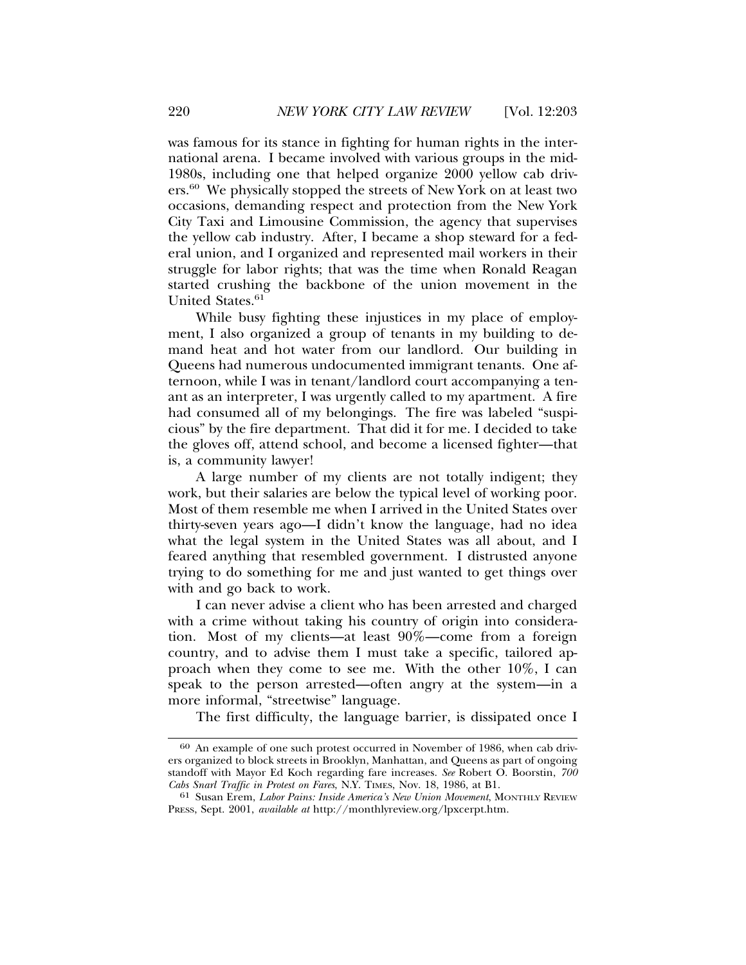was famous for its stance in fighting for human rights in the international arena. I became involved with various groups in the mid-1980s, including one that helped organize 2000 yellow cab drivers.60 We physically stopped the streets of New York on at least two occasions, demanding respect and protection from the New York City Taxi and Limousine Commission, the agency that supervises the yellow cab industry. After, I became a shop steward for a federal union, and I organized and represented mail workers in their struggle for labor rights; that was the time when Ronald Reagan started crushing the backbone of the union movement in the United States.<sup>61</sup>

While busy fighting these injustices in my place of employment, I also organized a group of tenants in my building to demand heat and hot water from our landlord. Our building in Queens had numerous undocumented immigrant tenants. One afternoon, while I was in tenant/landlord court accompanying a tenant as an interpreter, I was urgently called to my apartment. A fire had consumed all of my belongings. The fire was labeled "suspicious" by the fire department. That did it for me. I decided to take the gloves off, attend school, and become a licensed fighter—that is, a community lawyer!

A large number of my clients are not totally indigent; they work, but their salaries are below the typical level of working poor. Most of them resemble me when I arrived in the United States over thirty-seven years ago—I didn't know the language, had no idea what the legal system in the United States was all about, and I feared anything that resembled government. I distrusted anyone trying to do something for me and just wanted to get things over with and go back to work.

I can never advise a client who has been arrested and charged with a crime without taking his country of origin into consideration. Most of my clients—at least 90%—come from a foreign country, and to advise them I must take a specific, tailored approach when they come to see me. With the other 10%, I can speak to the person arrested—often angry at the system—in a more informal, "streetwise" language.

The first difficulty, the language barrier, is dissipated once I

<sup>60</sup> An example of one such protest occurred in November of 1986, when cab drivers organized to block streets in Brooklyn, Manhattan, and Queens as part of ongoing standoff with Mayor Ed Koch regarding fare increases. *See* Robert O. Boorstin, *700 Cabs Snarl Traffic in Protest on Fares*, N.Y. TIMES, Nov. 18, 1986, at B1.

<sup>61</sup> Susan Erem, *Labor Pains: Inside America's New Union Movement*, MONTHLY REVIEW PRESS, Sept. 2001, *available at* http://monthlyreview.org/lpxcerpt.htm.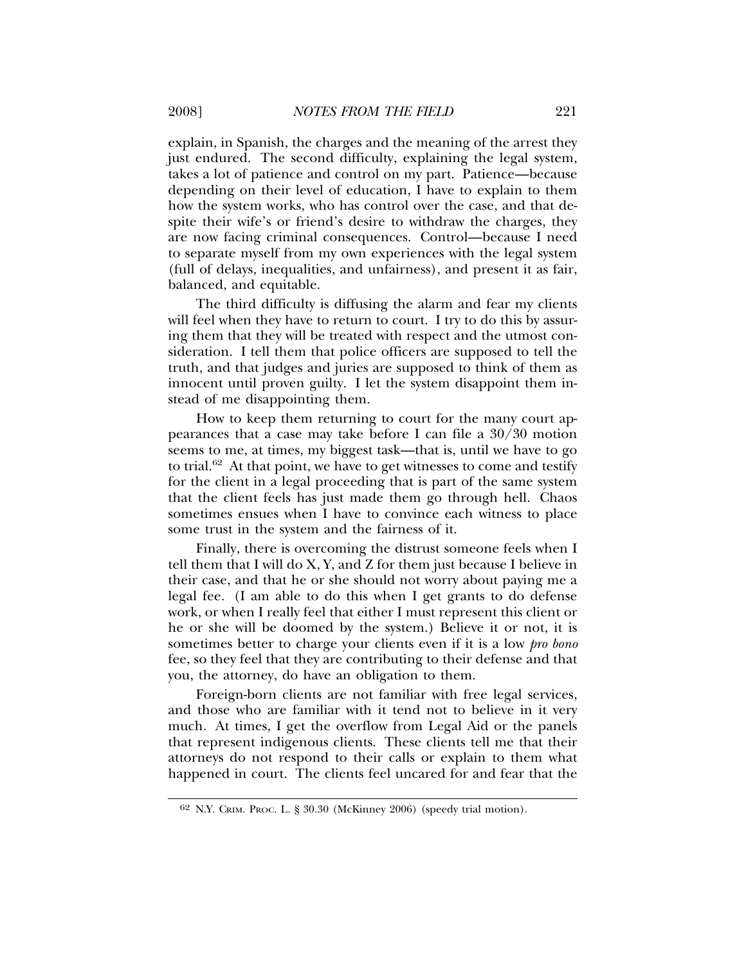explain, in Spanish, the charges and the meaning of the arrest they just endured. The second difficulty, explaining the legal system, takes a lot of patience and control on my part. Patience—because depending on their level of education, I have to explain to them how the system works, who has control over the case, and that despite their wife's or friend's desire to withdraw the charges, they are now facing criminal consequences. Control—because I need to separate myself from my own experiences with the legal system (full of delays, inequalities, and unfairness), and present it as fair, balanced, and equitable.

The third difficulty is diffusing the alarm and fear my clients will feel when they have to return to court. I try to do this by assuring them that they will be treated with respect and the utmost consideration. I tell them that police officers are supposed to tell the truth, and that judges and juries are supposed to think of them as innocent until proven guilty. I let the system disappoint them instead of me disappointing them.

How to keep them returning to court for the many court appearances that a case may take before I can file a 30/30 motion seems to me, at times, my biggest task—that is, until we have to go to trial.<sup>62</sup> At that point, we have to get witnesses to come and testify for the client in a legal proceeding that is part of the same system that the client feels has just made them go through hell. Chaos sometimes ensues when I have to convince each witness to place some trust in the system and the fairness of it.

Finally, there is overcoming the distrust someone feels when I tell them that I will do X, Y, and Z for them just because I believe in their case, and that he or she should not worry about paying me a legal fee. (I am able to do this when I get grants to do defense work, or when I really feel that either I must represent this client or he or she will be doomed by the system.) Believe it or not, it is sometimes better to charge your clients even if it is a low *pro bono* fee, so they feel that they are contributing to their defense and that you, the attorney, do have an obligation to them.

Foreign-born clients are not familiar with free legal services, and those who are familiar with it tend not to believe in it very much. At times, I get the overflow from Legal Aid or the panels that represent indigenous clients. These clients tell me that their attorneys do not respond to their calls or explain to them what happened in court. The clients feel uncared for and fear that the

<sup>62</sup> N.Y. CRIM. PROC. L. § 30.30 (McKinney 2006) (speedy trial motion).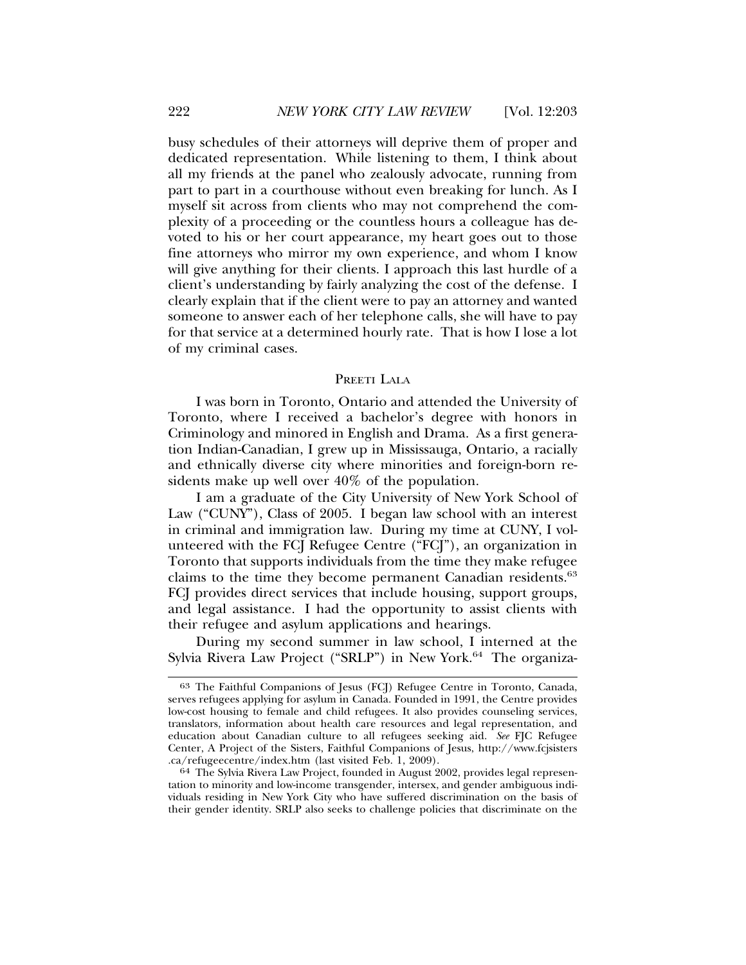busy schedules of their attorneys will deprive them of proper and dedicated representation. While listening to them, I think about all my friends at the panel who zealously advocate, running from part to part in a courthouse without even breaking for lunch. As I myself sit across from clients who may not comprehend the complexity of a proceeding or the countless hours a colleague has devoted to his or her court appearance, my heart goes out to those fine attorneys who mirror my own experience, and whom I know will give anything for their clients. I approach this last hurdle of a client's understanding by fairly analyzing the cost of the defense. I clearly explain that if the client were to pay an attorney and wanted someone to answer each of her telephone calls, she will have to pay for that service at a determined hourly rate. That is how I lose a lot of my criminal cases.

#### PREETI LALA

I was born in Toronto, Ontario and attended the University of Toronto, where I received a bachelor's degree with honors in Criminology and minored in English and Drama. As a first generation Indian-Canadian, I grew up in Mississauga, Ontario, a racially and ethnically diverse city where minorities and foreign-born residents make up well over 40% of the population.

I am a graduate of the City University of New York School of Law ("CUNY"), Class of 2005. I began law school with an interest in criminal and immigration law. During my time at CUNY, I volunteered with the FCJ Refugee Centre ("FCJ"), an organization in Toronto that supports individuals from the time they make refugee claims to the time they become permanent Canadian residents.<sup>63</sup> FCJ provides direct services that include housing, support groups, and legal assistance. I had the opportunity to assist clients with their refugee and asylum applications and hearings.

During my second summer in law school, I interned at the Sylvia Rivera Law Project ("SRLP") in New York.<sup>64</sup> The organiza-

<sup>63</sup> The Faithful Companions of Jesus (FCJ) Refugee Centre in Toronto, Canada, serves refugees applying for asylum in Canada. Founded in 1991, the Centre provides low-cost housing to female and child refugees. It also provides counseling services, translators, information about health care resources and legal representation, and education about Canadian culture to all refugees seeking aid. *See* FJC Refugee Center, A Project of the Sisters, Faithful Companions of Jesus, http://www.fcjsisters

<sup>64</sup> The Sylvia Rivera Law Project, founded in August 2002, provides legal representation to minority and low-income transgender, intersex, and gender ambiguous individuals residing in New York City who have suffered discrimination on the basis of their gender identity. SRLP also seeks to challenge policies that discriminate on the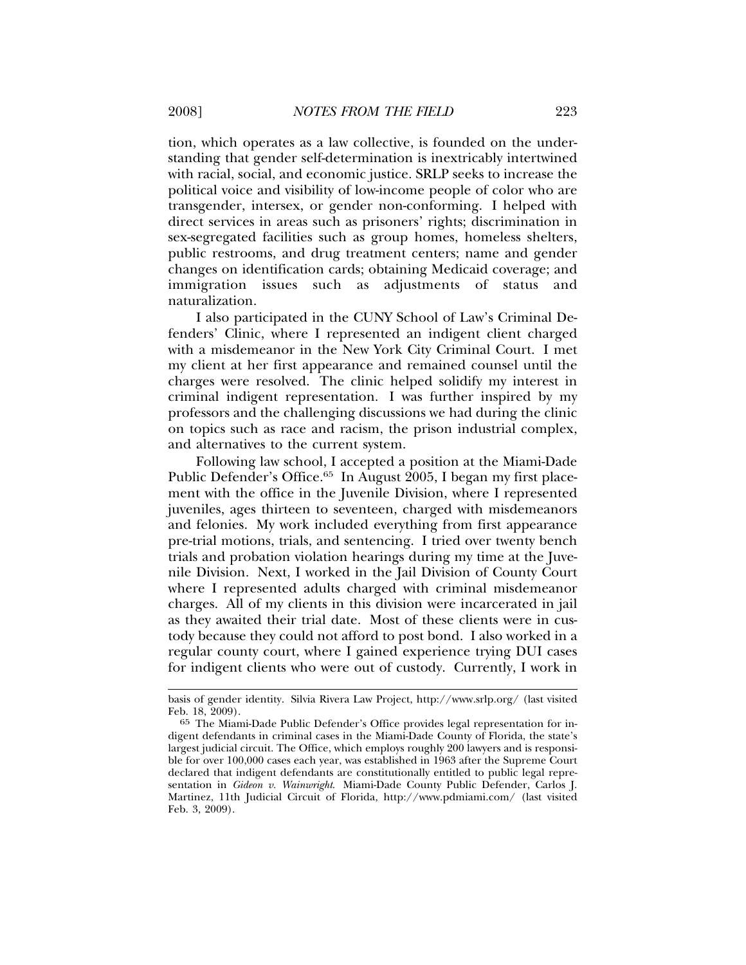tion, which operates as a law collective, is founded on the understanding that gender self-determination is inextricably intertwined with racial, social, and economic justice. SRLP seeks to increase the political voice and visibility of low-income people of color who are transgender, intersex, or gender non-conforming. I helped with direct services in areas such as prisoners' rights; discrimination in sex-segregated facilities such as group homes, homeless shelters, public restrooms, and drug treatment centers; name and gender changes on identification cards; obtaining Medicaid coverage; and immigration issues such as adjustments of status and naturalization.

I also participated in the CUNY School of Law's Criminal Defenders' Clinic, where I represented an indigent client charged with a misdemeanor in the New York City Criminal Court. I met my client at her first appearance and remained counsel until the charges were resolved. The clinic helped solidify my interest in criminal indigent representation. I was further inspired by my professors and the challenging discussions we had during the clinic on topics such as race and racism, the prison industrial complex, and alternatives to the current system.

Following law school, I accepted a position at the Miami-Dade Public Defender's Office.<sup>65</sup> In August 2005, I began my first placement with the office in the Juvenile Division, where I represented juveniles, ages thirteen to seventeen, charged with misdemeanors and felonies. My work included everything from first appearance pre-trial motions, trials, and sentencing. I tried over twenty bench trials and probation violation hearings during my time at the Juvenile Division. Next, I worked in the Jail Division of County Court where I represented adults charged with criminal misdemeanor charges. All of my clients in this division were incarcerated in jail as they awaited their trial date. Most of these clients were in custody because they could not afford to post bond. I also worked in a regular county court, where I gained experience trying DUI cases for indigent clients who were out of custody. Currently, I work in

basis of gender identity. Silvia Rivera Law Project, http://www.srlp.org/ (last visited Feb. 18, 2009).

<sup>65</sup> The Miami-Dade Public Defender's Office provides legal representation for indigent defendants in criminal cases in the Miami-Dade County of Florida, the state's largest judicial circuit. The Office, which employs roughly 200 lawyers and is responsible for over 100,000 cases each year, was established in 1963 after the Supreme Court declared that indigent defendants are constitutionally entitled to public legal representation in *Gideon v. Wainwright*. Miami-Dade County Public Defender, Carlos J. Martinez, 11th Judicial Circuit of Florida, http://www.pdmiami.com/ (last visited Feb. 3, 2009).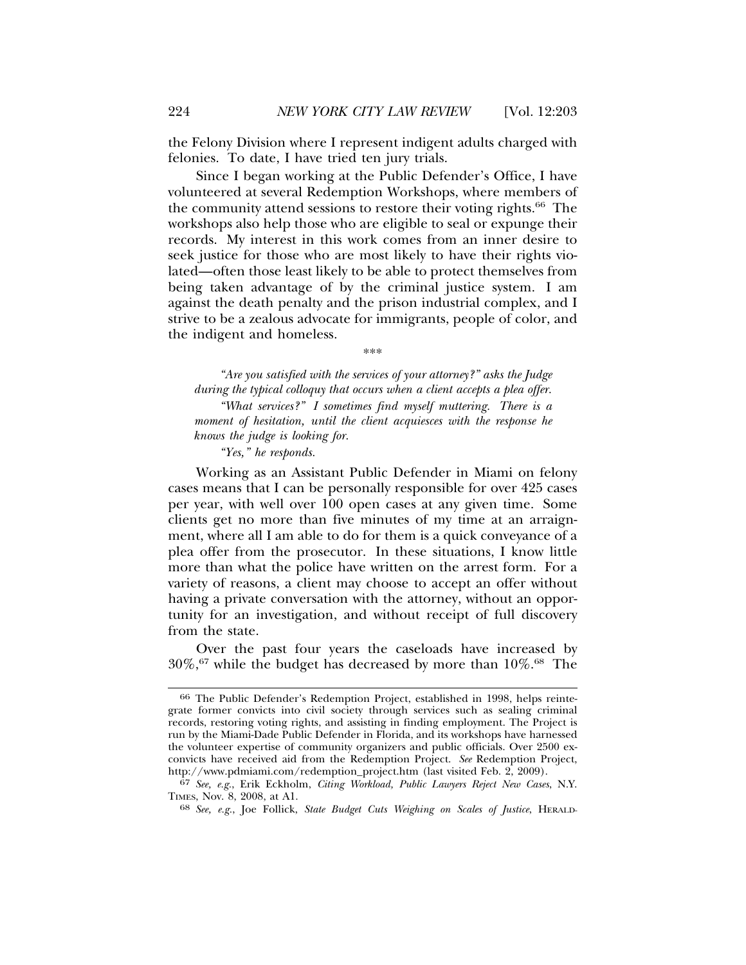the Felony Division where I represent indigent adults charged with felonies. To date, I have tried ten jury trials.

Since I began working at the Public Defender's Office, I have volunteered at several Redemption Workshops, where members of the community attend sessions to restore their voting rights.<sup>66</sup> The workshops also help those who are eligible to seal or expunge their records. My interest in this work comes from an inner desire to seek justice for those who are most likely to have their rights violated—often those least likely to be able to protect themselves from being taken advantage of by the criminal justice system. I am against the death penalty and the prison industrial complex, and I strive to be a zealous advocate for immigrants, people of color, and the indigent and homeless.

\*\*\*

*"Are you satisfied with the services of your attorney?" asks the Judge during the typical colloquy that occurs when a client accepts a plea offer. "What services?" I sometimes find myself muttering. There is a*

*moment of hesitation, until the client acquiesces with the response he knows the judge is looking for.*

*"Yes," he responds.*

Working as an Assistant Public Defender in Miami on felony cases means that I can be personally responsible for over 425 cases per year, with well over 100 open cases at any given time. Some clients get no more than five minutes of my time at an arraignment, where all I am able to do for them is a quick conveyance of a plea offer from the prosecutor. In these situations, I know little more than what the police have written on the arrest form. For a variety of reasons, a client may choose to accept an offer without having a private conversation with the attorney, without an opportunity for an investigation, and without receipt of full discovery from the state.

Over the past four years the caseloads have increased by  $30\%,$ <sup>67</sup> while the budget has decreased by more than  $10\%$ <sup>68</sup> The

<sup>66</sup> The Public Defender's Redemption Project, established in 1998, helps reintegrate former convicts into civil society through services such as sealing criminal records, restoring voting rights, and assisting in finding employment. The Project is run by the Miami-Dade Public Defender in Florida, and its workshops have harnessed the volunteer expertise of community organizers and public officials. Over 2500 exconvicts have received aid from the Redemption Project. *See* Redemption Project, http://www.pdmiami.com/redemption\_project.htm (last visited Feb. 2, 2009).

<sup>67</sup> *See, e.g.*, Erik Eckholm, *Citing Workload, Public Lawyers Reject New Cases*, N.Y. TIMES, Nov. 8, 2008, at A1.

<sup>68</sup> *See, e.g.*, Joe Follick, *State Budget Cuts Weighing on Scales of Justice*, HERALD-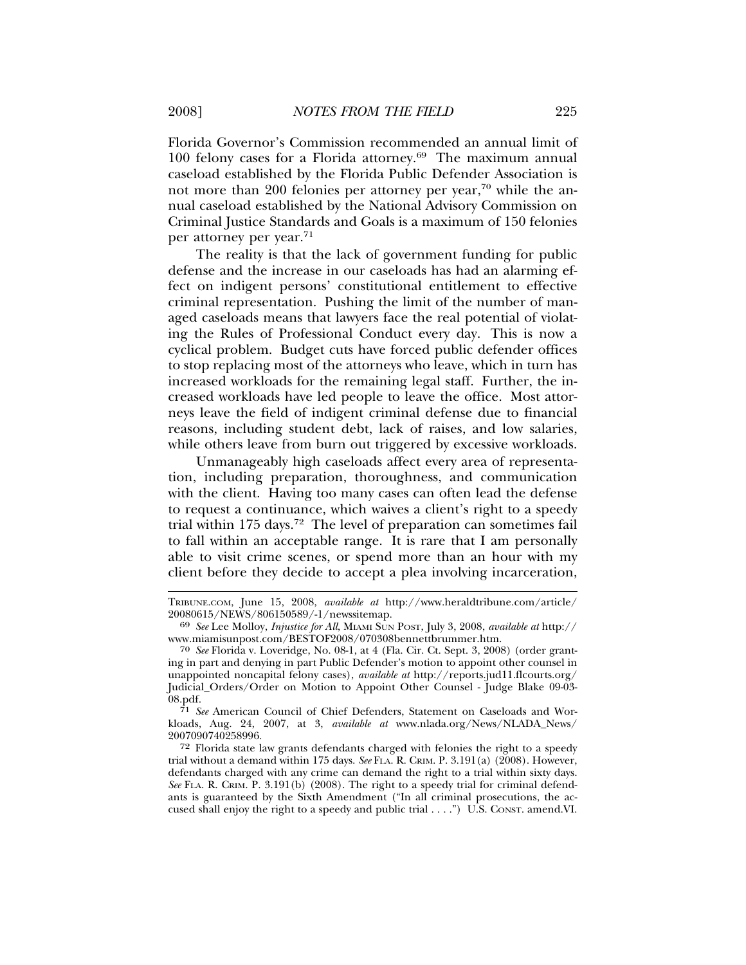Florida Governor's Commission recommended an annual limit of 100 felony cases for a Florida attorney.69 The maximum annual caseload established by the Florida Public Defender Association is not more than 200 felonies per attorney per year,<sup>70</sup> while the annual caseload established by the National Advisory Commission on Criminal Justice Standards and Goals is a maximum of 150 felonies per attorney per year.<sup>71</sup>

The reality is that the lack of government funding for public defense and the increase in our caseloads has had an alarming effect on indigent persons' constitutional entitlement to effective criminal representation. Pushing the limit of the number of managed caseloads means that lawyers face the real potential of violating the Rules of Professional Conduct every day. This is now a cyclical problem. Budget cuts have forced public defender offices to stop replacing most of the attorneys who leave, which in turn has increased workloads for the remaining legal staff. Further, the increased workloads have led people to leave the office. Most attorneys leave the field of indigent criminal defense due to financial reasons, including student debt, lack of raises, and low salaries, while others leave from burn out triggered by excessive workloads.

Unmanageably high caseloads affect every area of representation, including preparation, thoroughness, and communication with the client. Having too many cases can often lead the defense to request a continuance, which waives a client's right to a speedy trial within  $175 \text{ days}$ .<sup>72</sup> The level of preparation can sometimes fail to fall within an acceptable range. It is rare that I am personally able to visit crime scenes, or spend more than an hour with my client before they decide to accept a plea involving incarceration,

TRIBUNE.COM, June 15, 2008, *available at* http://www.heraldtribune.com/article/

<sup>20080615/</sup>NEWS/806150589/-1/newssitemap. <sup>69</sup> *See* Lee Molloy, *Injustice for All*, MIAMI SUN POST, July 3, 2008, *available at* http:// www.miamisunpost.com/BESTOF2008/070308bennettbrummer.htm.

<sup>70</sup> *See* Florida v. Loveridge, No. 08-1, at 4 (Fla. Cir. Ct. Sept. 3, 2008) (order granting in part and denying in part Public Defender's motion to appoint other counsel in unappointed noncapital felony cases), *available at* http://reports.jud11.flcourts.org/ Judicial\_Orders/Order on Motion to Appoint Other Counsel - Judge Blake 09-03- 08.pdf.

<sup>71</sup> *See* American Council of Chief Defenders, Statement on Caseloads and Workloads, Aug. 24, 2007, at 3, *available at* www.nlada.org/News/NLADA\_News/ 2007090740258996.

<sup>72</sup> Florida state law grants defendants charged with felonies the right to a speedy trial without a demand within 175 days. *See* FLA. R. CRIM. P. 3.191(a) (2008). However, defendants charged with any crime can demand the right to a trial within sixty days. *See* FLA. R. CRIM. P. 3.191(b) (2008). The right to a speedy trial for criminal defendants is guaranteed by the Sixth Amendment ("In all criminal prosecutions, the accused shall enjoy the right to a speedy and public trial . . . .") U.S. CONST. amend.VI.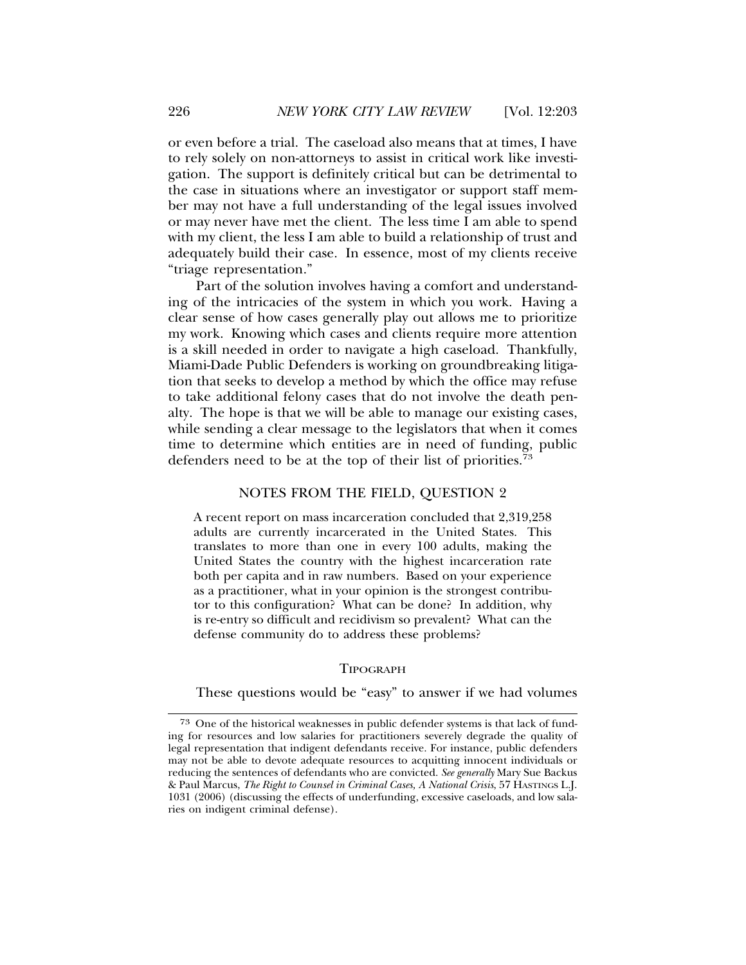or even before a trial. The caseload also means that at times, I have to rely solely on non-attorneys to assist in critical work like investigation. The support is definitely critical but can be detrimental to the case in situations where an investigator or support staff member may not have a full understanding of the legal issues involved or may never have met the client. The less time I am able to spend with my client, the less I am able to build a relationship of trust and adequately build their case. In essence, most of my clients receive "triage representation."

Part of the solution involves having a comfort and understanding of the intricacies of the system in which you work. Having a clear sense of how cases generally play out allows me to prioritize my work. Knowing which cases and clients require more attention is a skill needed in order to navigate a high caseload. Thankfully, Miami-Dade Public Defenders is working on groundbreaking litigation that seeks to develop a method by which the office may refuse to take additional felony cases that do not involve the death penalty. The hope is that we will be able to manage our existing cases, while sending a clear message to the legislators that when it comes time to determine which entities are in need of funding, public defenders need to be at the top of their list of priorities.<sup>73</sup>

#### NOTES FROM THE FIELD, QUESTION 2

A recent report on mass incarceration concluded that 2,319,258 adults are currently incarcerated in the United States. This translates to more than one in every 100 adults, making the United States the country with the highest incarceration rate both per capita and in raw numbers. Based on your experience as a practitioner, what in your opinion is the strongest contributor to this configuration? What can be done? In addition, why is re-entry so difficult and recidivism so prevalent? What can the defense community do to address these problems?

#### TIPOGRAPH

These questions would be "easy" to answer if we had volumes

<sup>73</sup> One of the historical weaknesses in public defender systems is that lack of funding for resources and low salaries for practitioners severely degrade the quality of legal representation that indigent defendants receive. For instance, public defenders may not be able to devote adequate resources to acquitting innocent individuals or reducing the sentences of defendants who are convicted. *See generally* Mary Sue Backus & Paul Marcus, *The Right to Counsel in Criminal Cases, A National Crisis*, 57 HASTINGS L.J. 1031 (2006) (discussing the effects of underfunding, excessive caseloads, and low salaries on indigent criminal defense).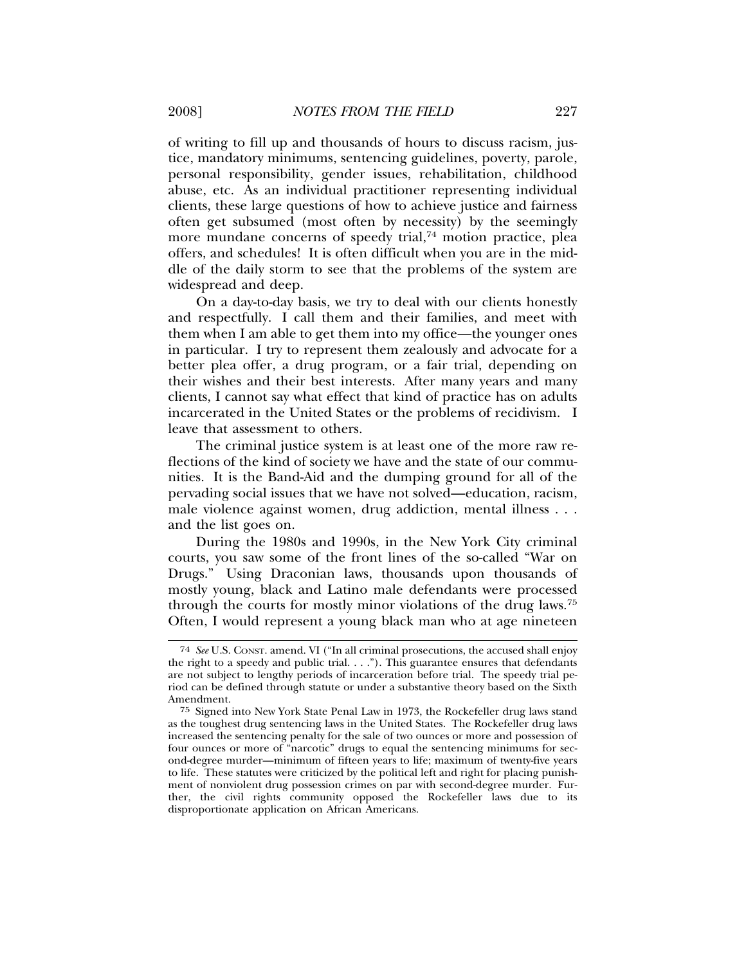of writing to fill up and thousands of hours to discuss racism, justice, mandatory minimums, sentencing guidelines, poverty, parole, personal responsibility, gender issues, rehabilitation, childhood abuse, etc. As an individual practitioner representing individual clients, these large questions of how to achieve justice and fairness often get subsumed (most often by necessity) by the seemingly more mundane concerns of speedy trial,<sup>74</sup> motion practice, plea offers, and schedules! It is often difficult when you are in the middle of the daily storm to see that the problems of the system are widespread and deep.

On a day-to-day basis, we try to deal with our clients honestly and respectfully. I call them and their families, and meet with them when I am able to get them into my office—the younger ones in particular. I try to represent them zealously and advocate for a better plea offer, a drug program, or a fair trial, depending on their wishes and their best interests. After many years and many clients, I cannot say what effect that kind of practice has on adults incarcerated in the United States or the problems of recidivism. I leave that assessment to others.

The criminal justice system is at least one of the more raw reflections of the kind of society we have and the state of our communities. It is the Band-Aid and the dumping ground for all of the pervading social issues that we have not solved—education, racism, male violence against women, drug addiction, mental illness . . . and the list goes on.

During the 1980s and 1990s, in the New York City criminal courts, you saw some of the front lines of the so-called "War on Drugs." Using Draconian laws, thousands upon thousands of mostly young, black and Latino male defendants were processed through the courts for mostly minor violations of the drug laws.75 Often, I would represent a young black man who at age nineteen

<sup>74</sup> *See* U.S. CONST. amend. VI ("In all criminal prosecutions, the accused shall enjoy the right to a speedy and public trial. . . ."). This guarantee ensures that defendants are not subject to lengthy periods of incarceration before trial. The speedy trial period can be defined through statute or under a substantive theory based on the Sixth Amendment.

<sup>75</sup> Signed into New York State Penal Law in 1973, the Rockefeller drug laws stand as the toughest drug sentencing laws in the United States. The Rockefeller drug laws increased the sentencing penalty for the sale of two ounces or more and possession of four ounces or more of "narcotic" drugs to equal the sentencing minimums for second-degree murder—minimum of fifteen years to life; maximum of twenty-five years to life. These statutes were criticized by the political left and right for placing punishment of nonviolent drug possession crimes on par with second-degree murder. Further, the civil rights community opposed the Rockefeller laws due to its disproportionate application on African Americans.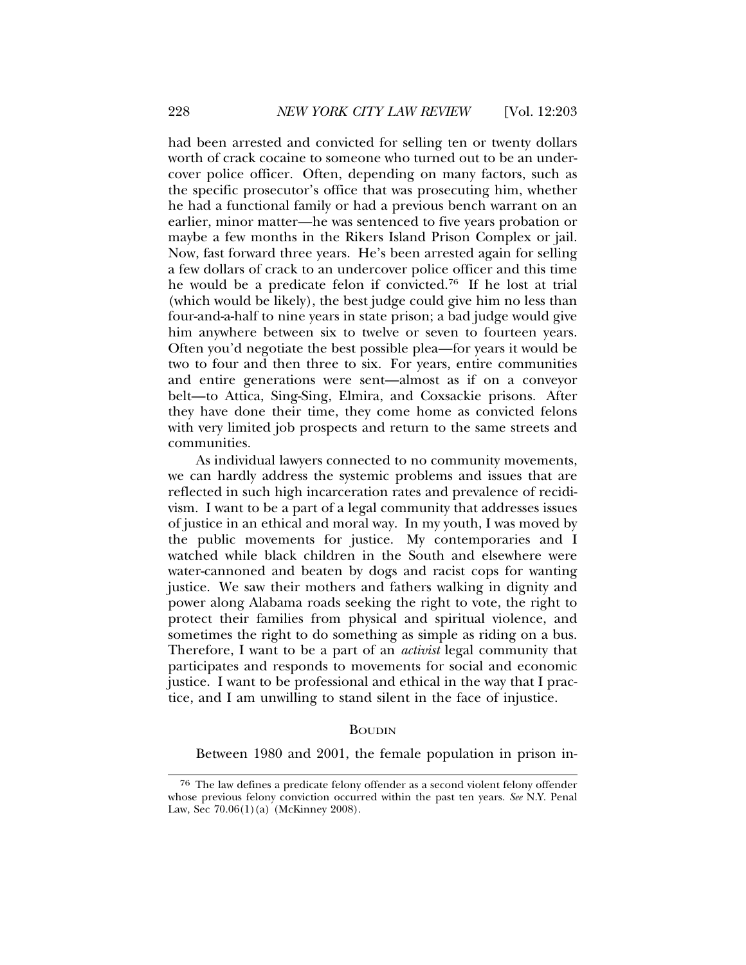had been arrested and convicted for selling ten or twenty dollars worth of crack cocaine to someone who turned out to be an undercover police officer. Often, depending on many factors, such as the specific prosecutor's office that was prosecuting him, whether he had a functional family or had a previous bench warrant on an earlier, minor matter—he was sentenced to five years probation or maybe a few months in the Rikers Island Prison Complex or jail. Now, fast forward three years. He's been arrested again for selling a few dollars of crack to an undercover police officer and this time he would be a predicate felon if convicted.76 If he lost at trial (which would be likely), the best judge could give him no less than four-and-a-half to nine years in state prison; a bad judge would give him anywhere between six to twelve or seven to fourteen years. Often you'd negotiate the best possible plea—for years it would be two to four and then three to six. For years, entire communities and entire generations were sent—almost as if on a conveyor belt—to Attica, Sing-Sing, Elmira, and Coxsackie prisons. After they have done their time, they come home as convicted felons with very limited job prospects and return to the same streets and communities.

As individual lawyers connected to no community movements, we can hardly address the systemic problems and issues that are reflected in such high incarceration rates and prevalence of recidivism. I want to be a part of a legal community that addresses issues of justice in an ethical and moral way. In my youth, I was moved by the public movements for justice. My contemporaries and I watched while black children in the South and elsewhere were water-cannoned and beaten by dogs and racist cops for wanting justice. We saw their mothers and fathers walking in dignity and power along Alabama roads seeking the right to vote, the right to protect their families from physical and spiritual violence, and sometimes the right to do something as simple as riding on a bus. Therefore, I want to be a part of an *activist* legal community that participates and responds to movements for social and economic justice. I want to be professional and ethical in the way that I practice, and I am unwilling to stand silent in the face of injustice.

### BOUDIN

Between 1980 and 2001, the female population in prison in-

<sup>76</sup> The law defines a predicate felony offender as a second violent felony offender whose previous felony conviction occurred within the past ten years. *See* N.Y. Penal Law, Sec 70.06(1)(a) (McKinney 2008).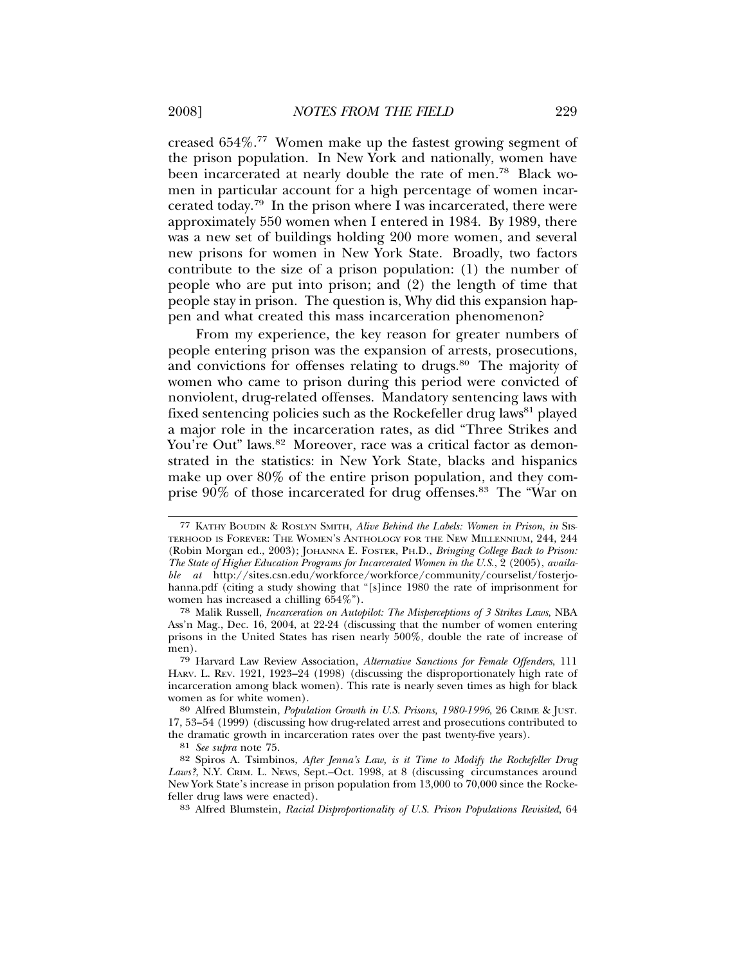creased 654%.77 Women make up the fastest growing segment of the prison population. In New York and nationally, women have been incarcerated at nearly double the rate of men.78 Black women in particular account for a high percentage of women incarcerated today.79 In the prison where I was incarcerated, there were approximately 550 women when I entered in 1984. By 1989, there was a new set of buildings holding 200 more women, and several new prisons for women in New York State. Broadly, two factors contribute to the size of a prison population: (1) the number of people who are put into prison; and (2) the length of time that people stay in prison. The question is, Why did this expansion happen and what created this mass incarceration phenomenon?

From my experience, the key reason for greater numbers of people entering prison was the expansion of arrests, prosecutions, and convictions for offenses relating to drugs.<sup>80</sup> The majority of women who came to prison during this period were convicted of nonviolent, drug-related offenses. Mandatory sentencing laws with fixed sentencing policies such as the Rockefeller drug laws<sup>81</sup> played a major role in the incarceration rates, as did "Three Strikes and You're Out" laws.<sup>82</sup> Moreover, race was a critical factor as demonstrated in the statistics: in New York State, blacks and hispanics make up over 80% of the entire prison population, and they comprise 90% of those incarcerated for drug offenses.83 The "War on

<sup>77</sup> KATHY BOUDIN & ROSLYN SMITH, *Alive Behind the Labels: Women in Prison*, *in* SIS-TERHOOD IS FOREVER: THE WOMEN'S ANTHOLOGY FOR THE NEW MILLENNIUM, 244, 244 (Robin Morgan ed., 2003); JOHANNA E. FOSTER, PH.D., *Bringing College Back to Prison: The State of Higher Education Programs for Incarcerated Women in the U.S*., 2 (2005), *available at* http://sites.csn.edu/workforce/workforce/community/courselist/fosterjohanna.pdf (citing a study showing that "[s]ince 1980 the rate of imprisonment for women has increased a chilling 654%").

<sup>78</sup> Malik Russell, *Incarceration on Autopilot: The Misperceptions of 3 Strikes Laws*, NBA Ass'n Mag., Dec. 16, 2004, at 22-24 (discussing that the number of women entering prisons in the United States has risen nearly 500%, double the rate of increase of men).

<sup>79</sup> Harvard Law Review Association, *Alternative Sanctions for Female Offenders*, 111 HARV. L. REV. 1921, 1923–24 (1998) (discussing the disproportionately high rate of incarceration among black women). This rate is nearly seven times as high for black women as for white women).

<sup>80</sup> Alfred Blumstein, *Population Growth in U.S. Prisons, 1980-1996*, 26 CRIME & JUST. 17, 53–54 (1999) (discussing how drug-related arrest and prosecutions contributed to the dramatic growth in incarceration rates over the past twenty-five years).

<sup>81</sup> *See supra* note 75.

<sup>82</sup> Spiros A. Tsimbinos, *After Jenna's Law, is it Time to Modify the Rockefeller Drug* Laws?, N.Y. CRIM. L. NEWS, Sept.–Oct. 1998, at 8 (discussing circumstances around New York State's increase in prison population from 13,000 to 70,000 since the Rockefeller drug laws were enacted).

<sup>83</sup> Alfred Blumstein, *Racial Disproportionality of U.S. Prison Populations Revisited*, 64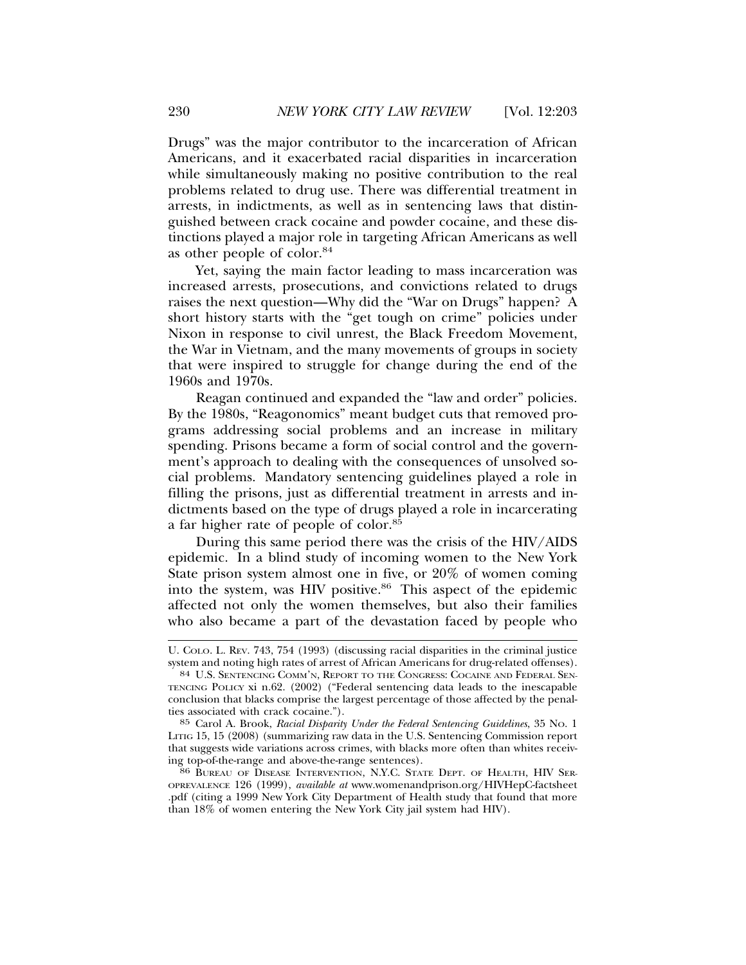Drugs" was the major contributor to the incarceration of African Americans, and it exacerbated racial disparities in incarceration while simultaneously making no positive contribution to the real problems related to drug use. There was differential treatment in arrests, in indictments, as well as in sentencing laws that distinguished between crack cocaine and powder cocaine, and these distinctions played a major role in targeting African Americans as well as other people of color.84

Yet, saying the main factor leading to mass incarceration was increased arrests, prosecutions, and convictions related to drugs raises the next question—Why did the "War on Drugs" happen? A short history starts with the "get tough on crime" policies under Nixon in response to civil unrest, the Black Freedom Movement, the War in Vietnam, and the many movements of groups in society that were inspired to struggle for change during the end of the 1960s and 1970s.

Reagan continued and expanded the "law and order" policies. By the 1980s, "Reagonomics" meant budget cuts that removed programs addressing social problems and an increase in military spending. Prisons became a form of social control and the government's approach to dealing with the consequences of unsolved social problems. Mandatory sentencing guidelines played a role in filling the prisons, just as differential treatment in arrests and indictments based on the type of drugs played a role in incarcerating a far higher rate of people of color.85

During this same period there was the crisis of the HIV/AIDS epidemic. In a blind study of incoming women to the New York State prison system almost one in five, or 20% of women coming into the system, was HIV positive. $86$  This aspect of the epidemic affected not only the women themselves, but also their families who also became a part of the devastation faced by people who

U. COLO. L. REV. 743, 754 (1993) (discussing racial disparities in the criminal justice system and noting high rates of arrest of African Americans for drug-related offenses).

<sup>84</sup> U.S. SENTENCING COMM'N, REPORT TO THE CONGRESS: COCAINE AND FEDERAL SEN-TENCING POLICY xi n.62. (2002) ("Federal sentencing data leads to the inescapable conclusion that blacks comprise the largest percentage of those affected by the penalties associated with crack cocaine.").

<sup>85</sup> Carol A. Brook, *Racial Disparity Under the Federal Sentencing Guidelines*, 35 NO. 1 LITIG 15, 15 (2008) (summarizing raw data in the U.S. Sentencing Commission report that suggests wide variations across crimes, with blacks more often than whites receiving top-of-the-range and above-the-range sentences).

<sup>&</sup>lt;sup>86</sup> BUREAU OF DISEASE INTERVENTION, N.Y.C. STATE DEPT. OF HEALTH, HIV SER-OPREVALENCE 126 (1999), *available at* www.womenandprison.org/HIVHepC-factsheet .pdf (citing a 1999 New York City Department of Health study that found that more than 18% of women entering the New York City jail system had HIV).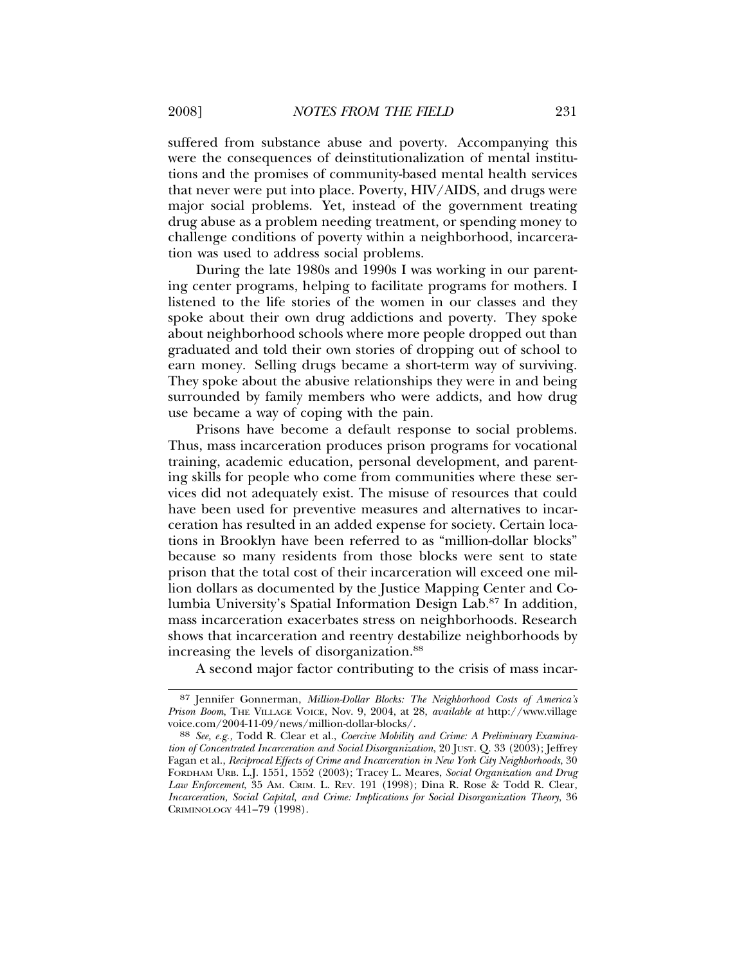suffered from substance abuse and poverty. Accompanying this were the consequences of deinstitutionalization of mental institutions and the promises of community-based mental health services that never were put into place. Poverty, HIV/AIDS, and drugs were major social problems. Yet, instead of the government treating drug abuse as a problem needing treatment, or spending money to challenge conditions of poverty within a neighborhood, incarceration was used to address social problems.

During the late 1980s and 1990s I was working in our parenting center programs, helping to facilitate programs for mothers. I listened to the life stories of the women in our classes and they spoke about their own drug addictions and poverty. They spoke about neighborhood schools where more people dropped out than graduated and told their own stories of dropping out of school to earn money. Selling drugs became a short-term way of surviving. They spoke about the abusive relationships they were in and being surrounded by family members who were addicts, and how drug use became a way of coping with the pain.

Prisons have become a default response to social problems. Thus, mass incarceration produces prison programs for vocational training, academic education, personal development, and parenting skills for people who come from communities where these services did not adequately exist. The misuse of resources that could have been used for preventive measures and alternatives to incarceration has resulted in an added expense for society. Certain locations in Brooklyn have been referred to as "million-dollar blocks" because so many residents from those blocks were sent to state prison that the total cost of their incarceration will exceed one million dollars as documented by the Justice Mapping Center and Columbia University's Spatial Information Design Lab.87 In addition, mass incarceration exacerbates stress on neighborhoods. Research shows that incarceration and reentry destabilize neighborhoods by increasing the levels of disorganization.<sup>88</sup>

A second major factor contributing to the crisis of mass incar-

<sup>87</sup> Jennifer Gonnerman, *Million-Dollar Blocks: The Neighborhood Costs of America's Prison Boom*, THE VILLAGE VOICE, Nov. 9, 2004, at 28, *available at* http://www.village

<sup>88</sup> See, e.g., Todd R. Clear et al., *Coercive Mobility and Crime: A Preliminary Examination of Concentrated Incarceration and Social Disorganization*, 20 JUST. Q. 33 (2003); Jeffrey Fagan et al., *Reciprocal Effects of Crime and Incarceration in New York City Neighborhoods*, 30 FORDHAM URB. L.J. 1551, 1552 (2003); Tracey L. Meares, *Social Organization and Drug Law Enforcement*, 35 AM. CRIM. L. REV. 191 (1998); Dina R. Rose & Todd R. Clear, *Incarceration, Social Capital, and Crime: Implications for Social Disorganization Theory*, 36 CRIMINOLOGY 441–79 (1998).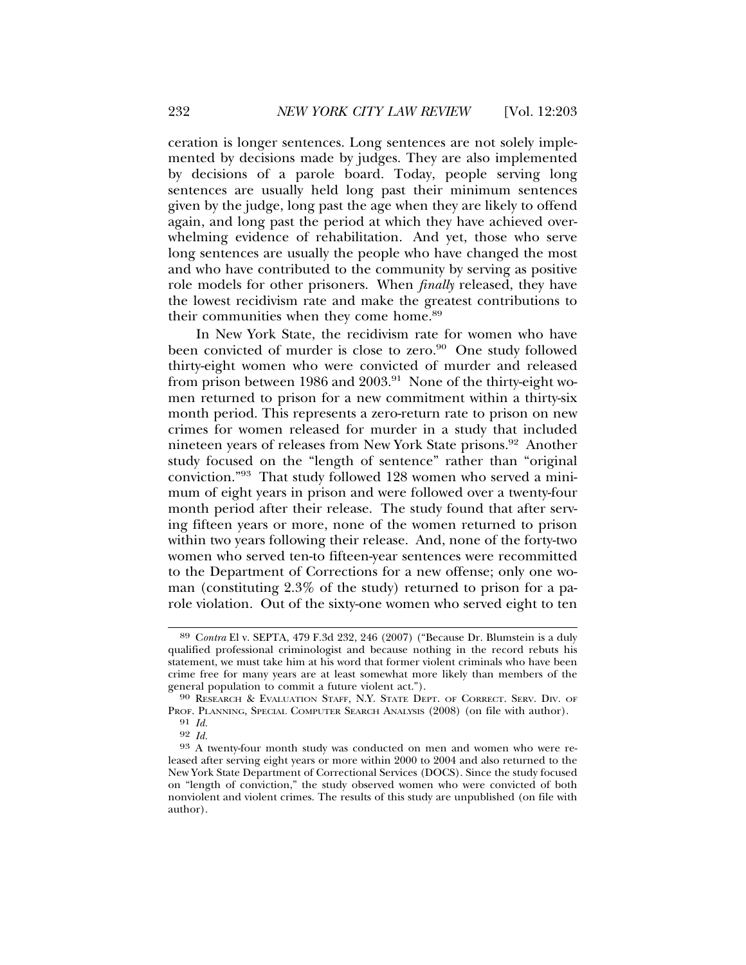ceration is longer sentences. Long sentences are not solely implemented by decisions made by judges. They are also implemented by decisions of a parole board. Today, people serving long sentences are usually held long past their minimum sentences given by the judge, long past the age when they are likely to offend again, and long past the period at which they have achieved overwhelming evidence of rehabilitation. And yet, those who serve long sentences are usually the people who have changed the most and who have contributed to the community by serving as positive role models for other prisoners. When *finally* released, they have the lowest recidivism rate and make the greatest contributions to their communities when they come home.<sup>89</sup>

In New York State, the recidivism rate for women who have been convicted of murder is close to zero.<sup>90</sup> One study followed thirty-eight women who were convicted of murder and released from prison between 1986 and 2003.<sup>91</sup> None of the thirty-eight women returned to prison for a new commitment within a thirty-six month period. This represents a zero-return rate to prison on new crimes for women released for murder in a study that included nineteen years of releases from New York State prisons.92 Another study focused on the "length of sentence" rather than "original conviction."93 That study followed 128 women who served a minimum of eight years in prison and were followed over a twenty-four month period after their release. The study found that after serving fifteen years or more, none of the women returned to prison within two years following their release. And, none of the forty-two women who served ten-to fifteen-year sentences were recommitted to the Department of Corrections for a new offense; only one woman (constituting 2.3% of the study) returned to prison for a parole violation. Out of the sixty-one women who served eight to ten

<sup>89</sup> C*ontra* El v. SEPTA, 479 F.3d 232, 246 (2007) ("Because Dr. Blumstein is a duly qualified professional criminologist and because nothing in the record rebuts his statement, we must take him at his word that former violent criminals who have been crime free for many years are at least somewhat more likely than members of the general population to commit a future violent act.").

<sup>90</sup> RESEARCH & EVALUATION STAFF, N.Y. STATE DEPT. OF CORRECT. SERV. DIV. OF PROF. PLANNING, SPECIAL COMPUTER SEARCH ANALYSIS (2008) (on file with author).

<sup>91</sup> *Id.*

<sup>&</sup>lt;sup>93</sup> A twenty-four month study was conducted on men and women who were released after serving eight years or more within 2000 to 2004 and also returned to the New York State Department of Correctional Services (DOCS). Since the study focused on "length of conviction," the study observed women who were convicted of both nonviolent and violent crimes. The results of this study are unpublished (on file with author).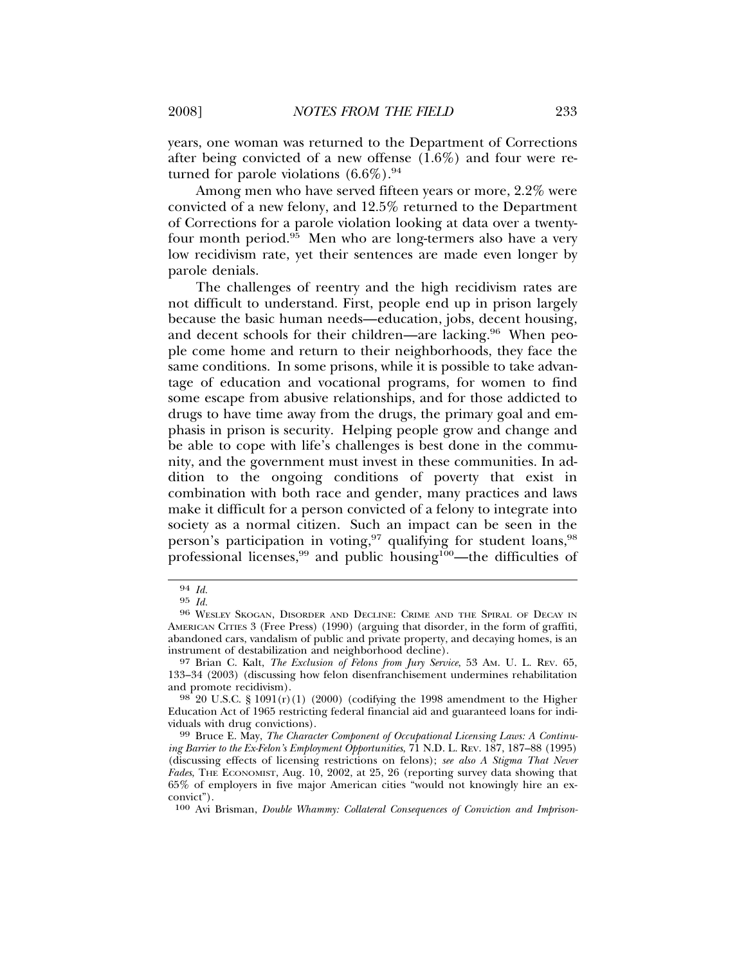years, one woman was returned to the Department of Corrections after being convicted of a new offense (1.6%) and four were returned for parole violations  $(6.6\%)$ .<sup>94</sup>

Among men who have served fifteen years or more, 2.2% were convicted of a new felony, and 12.5% returned to the Department of Corrections for a parole violation looking at data over a twentyfour month period.<sup>95</sup> Men who are long-termers also have a very low recidivism rate, yet their sentences are made even longer by parole denials.

The challenges of reentry and the high recidivism rates are not difficult to understand. First, people end up in prison largely because the basic human needs—education, jobs, decent housing, and decent schools for their children—are lacking.<sup>96</sup> When people come home and return to their neighborhoods, they face the same conditions. In some prisons, while it is possible to take advantage of education and vocational programs, for women to find some escape from abusive relationships, and for those addicted to drugs to have time away from the drugs, the primary goal and emphasis in prison is security. Helping people grow and change and be able to cope with life's challenges is best done in the community, and the government must invest in these communities. In addition to the ongoing conditions of poverty that exist in combination with both race and gender, many practices and laws make it difficult for a person convicted of a felony to integrate into society as a normal citizen. Such an impact can be seen in the person's participation in voting,<sup>97</sup> qualifying for student loans,<sup>98</sup> professional licenses,<sup>99</sup> and public housing<sup>100</sup>—the difficulties of

<sup>94</sup> *Id.*

<sup>95</sup> *Id.* <sup>96</sup> WESLEY SKOGAN, DISORDER AND DECLINE: CRIME AND THE SPIRAL OF DECAY IN AMERICAN CITIES 3 (Free Press) (1990) (arguing that disorder, in the form of graffiti, abandoned cars, vandalism of public and private property, and decaying homes, is an instrument of destabilization and neighborhood decline).

<sup>97</sup> Brian C. Kalt, *The Exclusion of Felons from Jury Service*, 53 AM. U. L. REV. 65, 133–34 (2003) (discussing how felon disenfranchisement undermines rehabilitation and promote recidivism).<br><sup>98</sup> 20 U.S.C. § 1091(r)(1) (2000) (codifying the 1998 amendment to the Higher

Education Act of 1965 restricting federal financial aid and guaranteed loans for indi-

<sup>&</sup>lt;sup>99</sup> Bruce E. May, *The Character Component of Occupational Licensing Laws: A Continuing Barrier to the Ex-Felon's Employment Opportunities*, 71 N.D. L. REV. 187, 187–88 (1995) (discussing effects of licensing restrictions on felons); *see also A Stigma That Never Fades*, THE ECONOMIST, Aug. 10, 2002, at 25, 26 (reporting survey data showing that 65% of employers in five major American cities "would not knowingly hire an exconvict").

<sup>100</sup> Avi Brisman, *Double Whammy: Collateral Consequences of Conviction and Imprison-*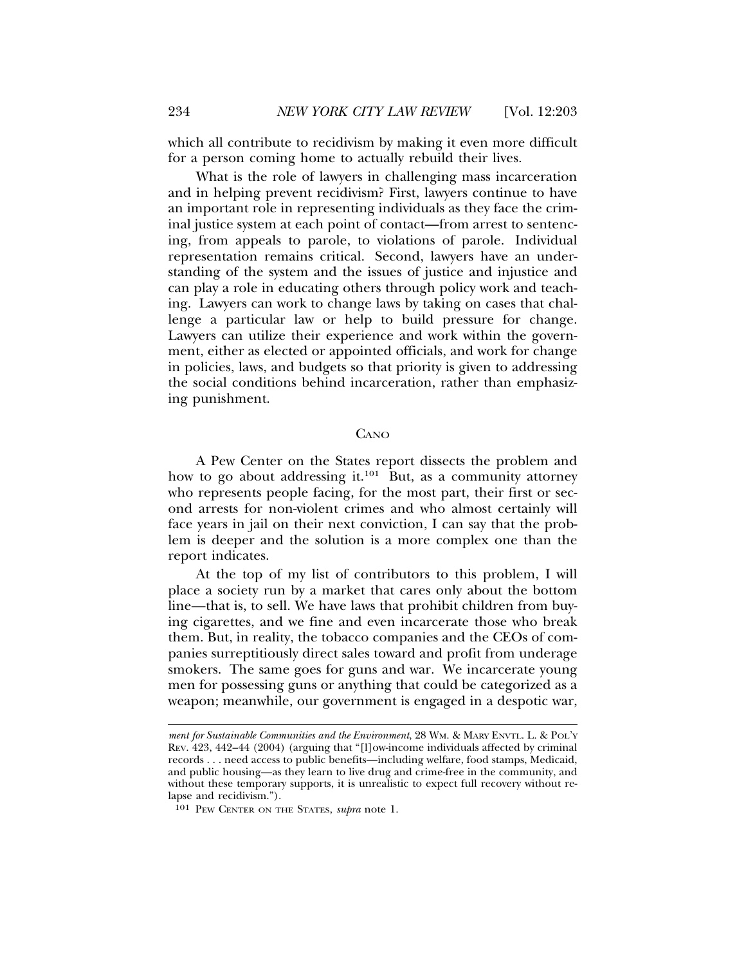which all contribute to recidivism by making it even more difficult for a person coming home to actually rebuild their lives.

What is the role of lawyers in challenging mass incarceration and in helping prevent recidivism? First, lawyers continue to have an important role in representing individuals as they face the criminal justice system at each point of contact—from arrest to sentencing, from appeals to parole, to violations of parole. Individual representation remains critical. Second, lawyers have an understanding of the system and the issues of justice and injustice and can play a role in educating others through policy work and teaching. Lawyers can work to change laws by taking on cases that challenge a particular law or help to build pressure for change. Lawyers can utilize their experience and work within the government, either as elected or appointed officials, and work for change in policies, laws, and budgets so that priority is given to addressing the social conditions behind incarceration, rather than emphasizing punishment.

### **CANO**

A Pew Center on the States report dissects the problem and how to go about addressing it.<sup>101</sup> But, as a community attorney who represents people facing, for the most part, their first or second arrests for non-violent crimes and who almost certainly will face years in jail on their next conviction, I can say that the problem is deeper and the solution is a more complex one than the report indicates.

At the top of my list of contributors to this problem, I will place a society run by a market that cares only about the bottom line—that is, to sell. We have laws that prohibit children from buying cigarettes, and we fine and even incarcerate those who break them. But, in reality, the tobacco companies and the CEOs of companies surreptitiously direct sales toward and profit from underage smokers. The same goes for guns and war. We incarcerate young men for possessing guns or anything that could be categorized as a weapon; meanwhile, our government is engaged in a despotic war,

*ment for Sustainable Communities and the Environment*, 28 WM. & MARY ENVTL. L. & POL'Y REV. 423, 442–44 (2004) (arguing that "[l]ow-income individuals affected by criminal records . . . need access to public benefits—including welfare, food stamps, Medicaid, and public housing—as they learn to live drug and crime-free in the community, and without these temporary supports, it is unrealistic to expect full recovery without relapse and recidivism.").

<sup>101</sup> PEW CENTER ON THE STATES, *supra* note 1.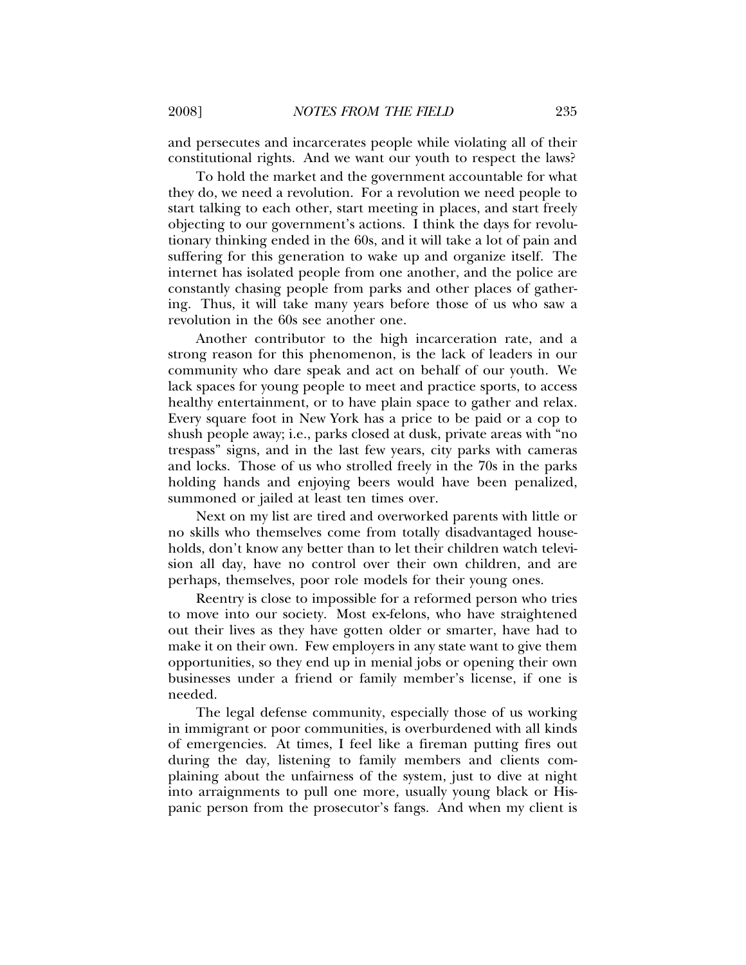and persecutes and incarcerates people while violating all of their constitutional rights. And we want our youth to respect the laws?

To hold the market and the government accountable for what they do, we need a revolution. For a revolution we need people to start talking to each other, start meeting in places, and start freely objecting to our government's actions. I think the days for revolutionary thinking ended in the 60s, and it will take a lot of pain and suffering for this generation to wake up and organize itself. The internet has isolated people from one another, and the police are constantly chasing people from parks and other places of gathering. Thus, it will take many years before those of us who saw a revolution in the 60s see another one.

Another contributor to the high incarceration rate, and a strong reason for this phenomenon, is the lack of leaders in our community who dare speak and act on behalf of our youth. We lack spaces for young people to meet and practice sports, to access healthy entertainment, or to have plain space to gather and relax. Every square foot in New York has a price to be paid or a cop to shush people away; i.e., parks closed at dusk, private areas with "no trespass" signs, and in the last few years, city parks with cameras and locks. Those of us who strolled freely in the 70s in the parks holding hands and enjoying beers would have been penalized, summoned or jailed at least ten times over.

Next on my list are tired and overworked parents with little or no skills who themselves come from totally disadvantaged households, don't know any better than to let their children watch television all day, have no control over their own children, and are perhaps, themselves, poor role models for their young ones.

Reentry is close to impossible for a reformed person who tries to move into our society. Most ex-felons, who have straightened out their lives as they have gotten older or smarter, have had to make it on their own. Few employers in any state want to give them opportunities, so they end up in menial jobs or opening their own businesses under a friend or family member's license, if one is needed.

The legal defense community, especially those of us working in immigrant or poor communities, is overburdened with all kinds of emergencies. At times, I feel like a fireman putting fires out during the day, listening to family members and clients complaining about the unfairness of the system, just to dive at night into arraignments to pull one more, usually young black or Hispanic person from the prosecutor's fangs. And when my client is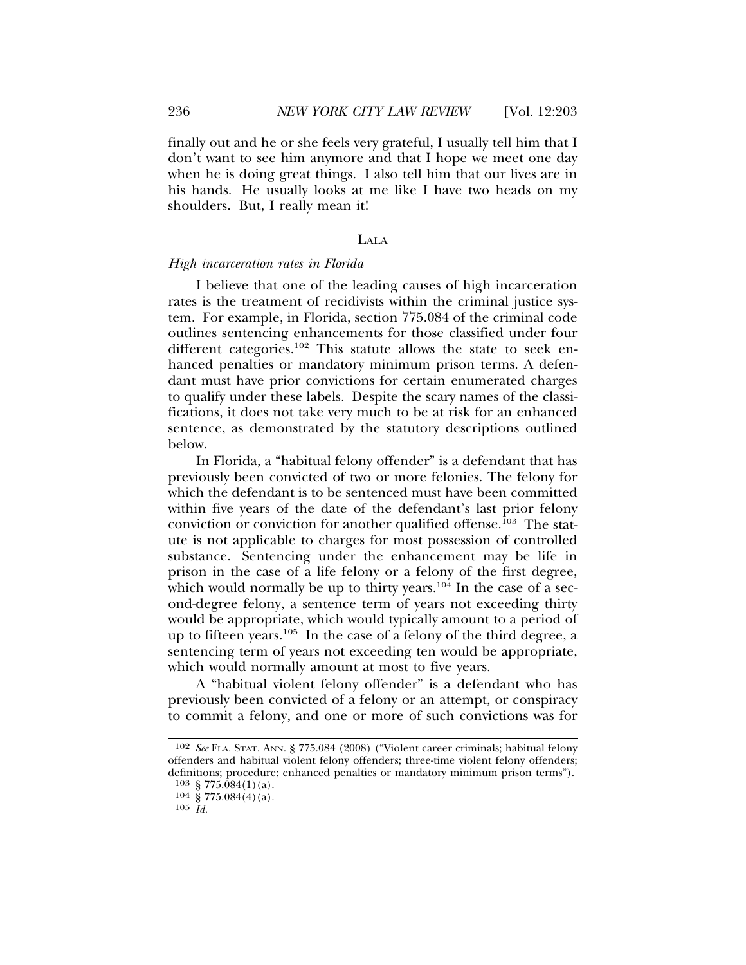finally out and he or she feels very grateful, I usually tell him that I don't want to see him anymore and that I hope we meet one day when he is doing great things. I also tell him that our lives are in his hands. He usually looks at me like I have two heads on my shoulders. But, I really mean it!

#### LALA

#### *High incarceration rates in Florida*

I believe that one of the leading causes of high incarceration rates is the treatment of recidivists within the criminal justice system. For example, in Florida, section 775.084 of the criminal code outlines sentencing enhancements for those classified under four different categories.<sup>102</sup> This statute allows the state to seek enhanced penalties or mandatory minimum prison terms. A defendant must have prior convictions for certain enumerated charges to qualify under these labels. Despite the scary names of the classifications, it does not take very much to be at risk for an enhanced sentence, as demonstrated by the statutory descriptions outlined below.

In Florida, a "habitual felony offender" is a defendant that has previously been convicted of two or more felonies. The felony for which the defendant is to be sentenced must have been committed within five years of the date of the defendant's last prior felony conviction or conviction for another qualified offense.<sup>103</sup> The statute is not applicable to charges for most possession of controlled substance. Sentencing under the enhancement may be life in prison in the case of a life felony or a felony of the first degree, which would normally be up to thirty years.<sup>104</sup> In the case of a second-degree felony, a sentence term of years not exceeding thirty would be appropriate, which would typically amount to a period of up to fifteen years.105 In the case of a felony of the third degree, a sentencing term of years not exceeding ten would be appropriate, which would normally amount at most to five years.

A "habitual violent felony offender" is a defendant who has previously been convicted of a felony or an attempt, or conspiracy to commit a felony, and one or more of such convictions was for

<sup>102</sup> *See* FLA. STAT. ANN. § 775.084 (2008) ("Violent career criminals; habitual felony offenders and habitual violent felony offenders; three-time violent felony offenders; definitions; procedure; enhanced penalties or mandatory minimum prison terms").

<sup>103 § 775.084(1)(</sup>a).

 $104\ \text{g}\ 775.084(4)(a)$ .

<sup>105</sup> *Id.*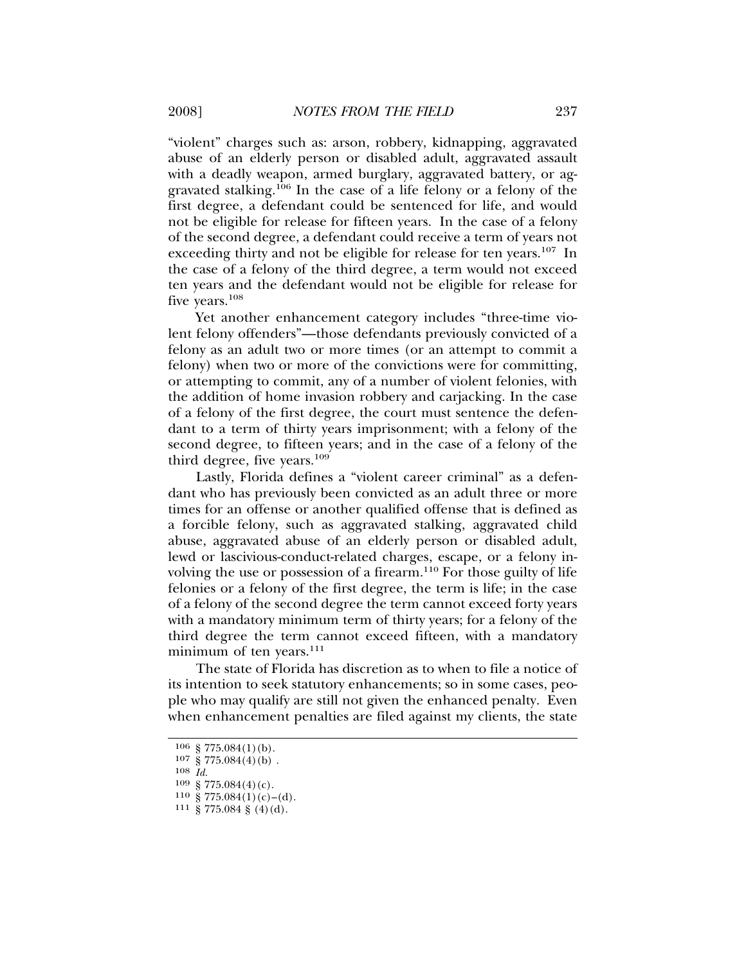"violent" charges such as: arson, robbery, kidnapping, aggravated abuse of an elderly person or disabled adult, aggravated assault with a deadly weapon, armed burglary, aggravated battery, or aggravated stalking.106 In the case of a life felony or a felony of the first degree, a defendant could be sentenced for life, and would not be eligible for release for fifteen years. In the case of a felony of the second degree, a defendant could receive a term of years not exceeding thirty and not be eligible for release for ten years.<sup>107</sup> In the case of a felony of the third degree, a term would not exceed ten years and the defendant would not be eligible for release for five years.<sup>108</sup>

Yet another enhancement category includes "three-time violent felony offenders"—those defendants previously convicted of a felony as an adult two or more times (or an attempt to commit a felony) when two or more of the convictions were for committing, or attempting to commit, any of a number of violent felonies, with the addition of home invasion robbery and carjacking. In the case of a felony of the first degree, the court must sentence the defendant to a term of thirty years imprisonment; with a felony of the second degree, to fifteen years; and in the case of a felony of the third degree, five years.<sup>109</sup>

Lastly, Florida defines a "violent career criminal" as a defendant who has previously been convicted as an adult three or more times for an offense or another qualified offense that is defined as a forcible felony, such as aggravated stalking, aggravated child abuse, aggravated abuse of an elderly person or disabled adult, lewd or lascivious-conduct-related charges, escape, or a felony involving the use or possession of a firearm.110 For those guilty of life felonies or a felony of the first degree, the term is life; in the case of a felony of the second degree the term cannot exceed forty years with a mandatory minimum term of thirty years; for a felony of the third degree the term cannot exceed fifteen, with a mandatory minimum of ten years.<sup>111</sup>

The state of Florida has discretion as to when to file a notice of its intention to seek statutory enhancements; so in some cases, people who may qualify are still not given the enhanced penalty. Even when enhancement penalties are filed against my clients, the state

108 *Id.*

<sup>106</sup> § 775.084(1)(b).

 $107\ \frac{1}{8}\ 775.084(4)(b)$ .

 $109 \frac{\text{g}}{\text{S}} 775.084(4)(c)$ .<br>110 \, \, \, 775.084(1)(c)-(d).

 $111\,$  § 775.084 § (4)(d).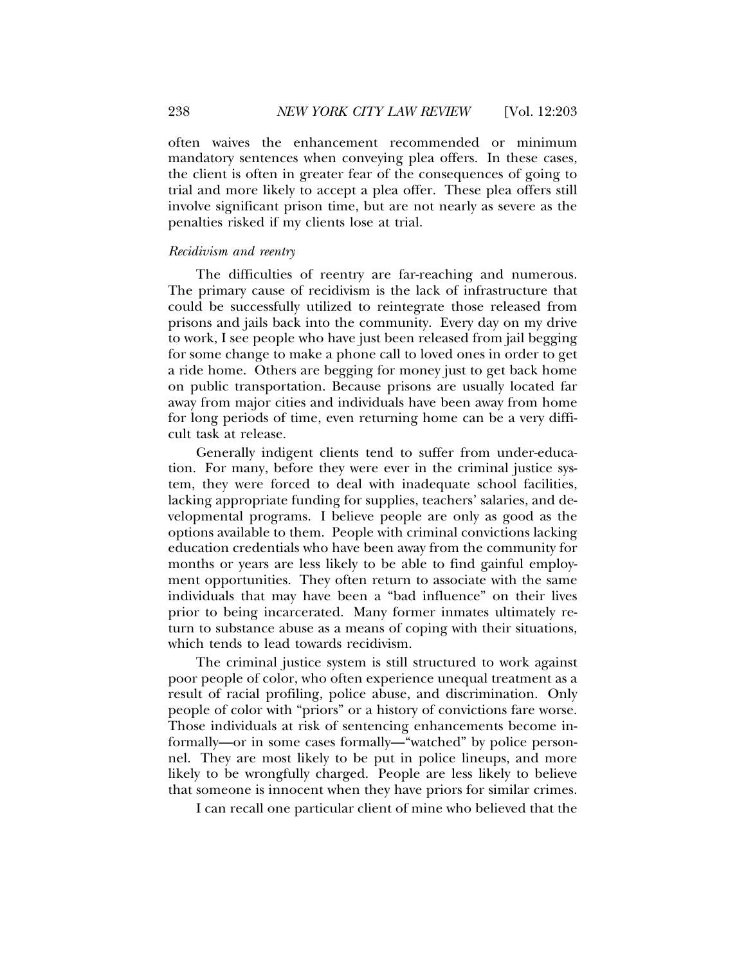often waives the enhancement recommended or minimum mandatory sentences when conveying plea offers. In these cases, the client is often in greater fear of the consequences of going to trial and more likely to accept a plea offer. These plea offers still involve significant prison time, but are not nearly as severe as the penalties risked if my clients lose at trial.

### *Recidivism and reentry*

The difficulties of reentry are far-reaching and numerous. The primary cause of recidivism is the lack of infrastructure that could be successfully utilized to reintegrate those released from prisons and jails back into the community. Every day on my drive to work, I see people who have just been released from jail begging for some change to make a phone call to loved ones in order to get a ride home. Others are begging for money just to get back home on public transportation. Because prisons are usually located far away from major cities and individuals have been away from home for long periods of time, even returning home can be a very difficult task at release.

Generally indigent clients tend to suffer from under-education. For many, before they were ever in the criminal justice system, they were forced to deal with inadequate school facilities, lacking appropriate funding for supplies, teachers' salaries, and developmental programs. I believe people are only as good as the options available to them. People with criminal convictions lacking education credentials who have been away from the community for months or years are less likely to be able to find gainful employment opportunities. They often return to associate with the same individuals that may have been a "bad influence" on their lives prior to being incarcerated. Many former inmates ultimately return to substance abuse as a means of coping with their situations, which tends to lead towards recidivism.

The criminal justice system is still structured to work against poor people of color, who often experience unequal treatment as a result of racial profiling, police abuse, and discrimination. Only people of color with "priors" or a history of convictions fare worse. Those individuals at risk of sentencing enhancements become informally—or in some cases formally—"watched" by police personnel. They are most likely to be put in police lineups, and more likely to be wrongfully charged. People are less likely to believe that someone is innocent when they have priors for similar crimes.

I can recall one particular client of mine who believed that the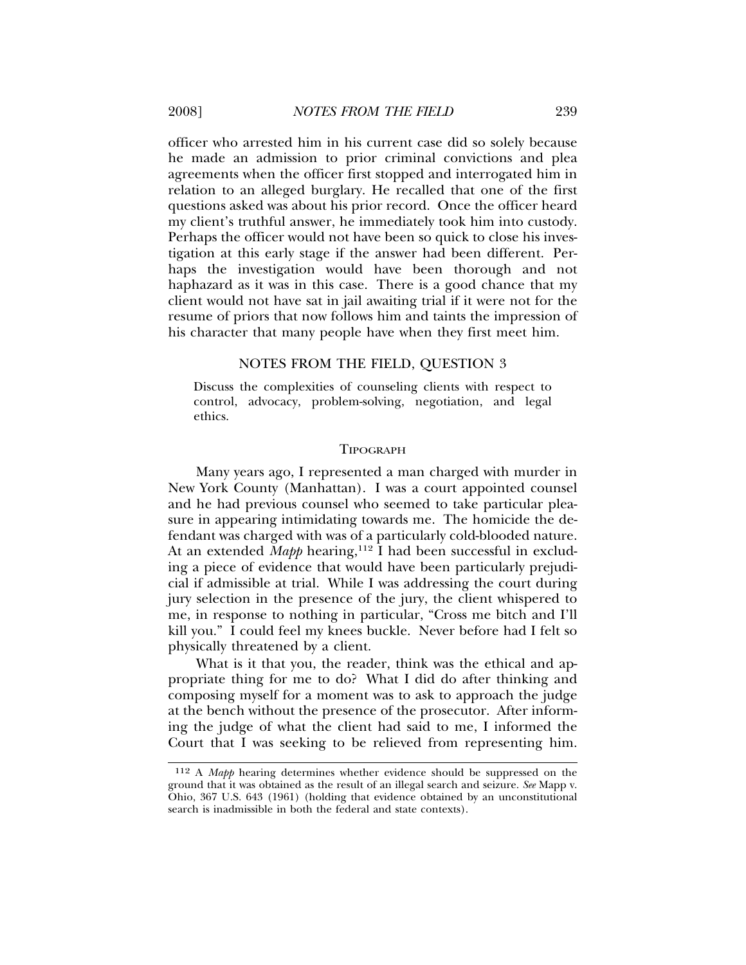officer who arrested him in his current case did so solely because he made an admission to prior criminal convictions and plea agreements when the officer first stopped and interrogated him in relation to an alleged burglary. He recalled that one of the first questions asked was about his prior record. Once the officer heard my client's truthful answer, he immediately took him into custody. Perhaps the officer would not have been so quick to close his investigation at this early stage if the answer had been different. Perhaps the investigation would have been thorough and not haphazard as it was in this case. There is a good chance that my client would not have sat in jail awaiting trial if it were not for the resume of priors that now follows him and taints the impression of his character that many people have when they first meet him.

#### NOTES FROM THE FIELD, QUESTION 3

Discuss the complexities of counseling clients with respect to control, advocacy, problem-solving, negotiation, and legal ethics.

#### TIPOGRAPH

Many years ago, I represented a man charged with murder in New York County (Manhattan). I was a court appointed counsel and he had previous counsel who seemed to take particular pleasure in appearing intimidating towards me. The homicide the defendant was charged with was of a particularly cold-blooded nature. At an extended *Mapp* hearing,<sup>112</sup> I had been successful in excluding a piece of evidence that would have been particularly prejudicial if admissible at trial. While I was addressing the court during jury selection in the presence of the jury, the client whispered to me, in response to nothing in particular, "Cross me bitch and I'll kill you." I could feel my knees buckle. Never before had I felt so physically threatened by a client.

What is it that you, the reader, think was the ethical and appropriate thing for me to do? What I did do after thinking and composing myself for a moment was to ask to approach the judge at the bench without the presence of the prosecutor. After informing the judge of what the client had said to me, I informed the Court that I was seeking to be relieved from representing him.

<sup>112</sup> A *Mapp* hearing determines whether evidence should be suppressed on the ground that it was obtained as the result of an illegal search and seizure. *See* Mapp v. Ohio, 367 U.S. 643 (1961) (holding that evidence obtained by an unconstitutional search is inadmissible in both the federal and state contexts).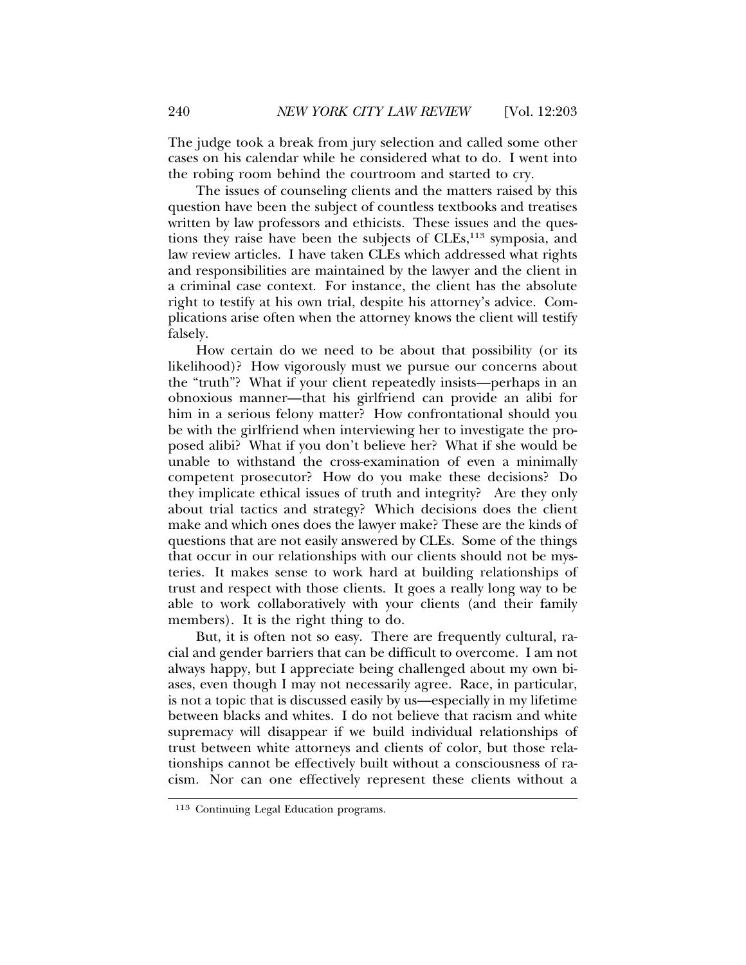The judge took a break from jury selection and called some other cases on his calendar while he considered what to do. I went into the robing room behind the courtroom and started to cry.

The issues of counseling clients and the matters raised by this question have been the subject of countless textbooks and treatises written by law professors and ethicists. These issues and the questions they raise have been the subjects of  $CLEs$ ,<sup>113</sup> symposia, and law review articles. I have taken CLEs which addressed what rights and responsibilities are maintained by the lawyer and the client in a criminal case context. For instance, the client has the absolute right to testify at his own trial, despite his attorney's advice. Complications arise often when the attorney knows the client will testify falsely.

How certain do we need to be about that possibility (or its likelihood)? How vigorously must we pursue our concerns about the "truth"? What if your client repeatedly insists—perhaps in an obnoxious manner—that his girlfriend can provide an alibi for him in a serious felony matter? How confrontational should you be with the girlfriend when interviewing her to investigate the proposed alibi? What if you don't believe her? What if she would be unable to withstand the cross-examination of even a minimally competent prosecutor? How do you make these decisions? Do they implicate ethical issues of truth and integrity? Are they only about trial tactics and strategy? Which decisions does the client make and which ones does the lawyer make? These are the kinds of questions that are not easily answered by CLEs. Some of the things that occur in our relationships with our clients should not be mysteries. It makes sense to work hard at building relationships of trust and respect with those clients. It goes a really long way to be able to work collaboratively with your clients (and their family members). It is the right thing to do.

But, it is often not so easy. There are frequently cultural, racial and gender barriers that can be difficult to overcome. I am not always happy, but I appreciate being challenged about my own biases, even though I may not necessarily agree. Race, in particular, is not a topic that is discussed easily by us—especially in my lifetime between blacks and whites. I do not believe that racism and white supremacy will disappear if we build individual relationships of trust between white attorneys and clients of color, but those relationships cannot be effectively built without a consciousness of racism. Nor can one effectively represent these clients without a

<sup>113</sup> Continuing Legal Education programs.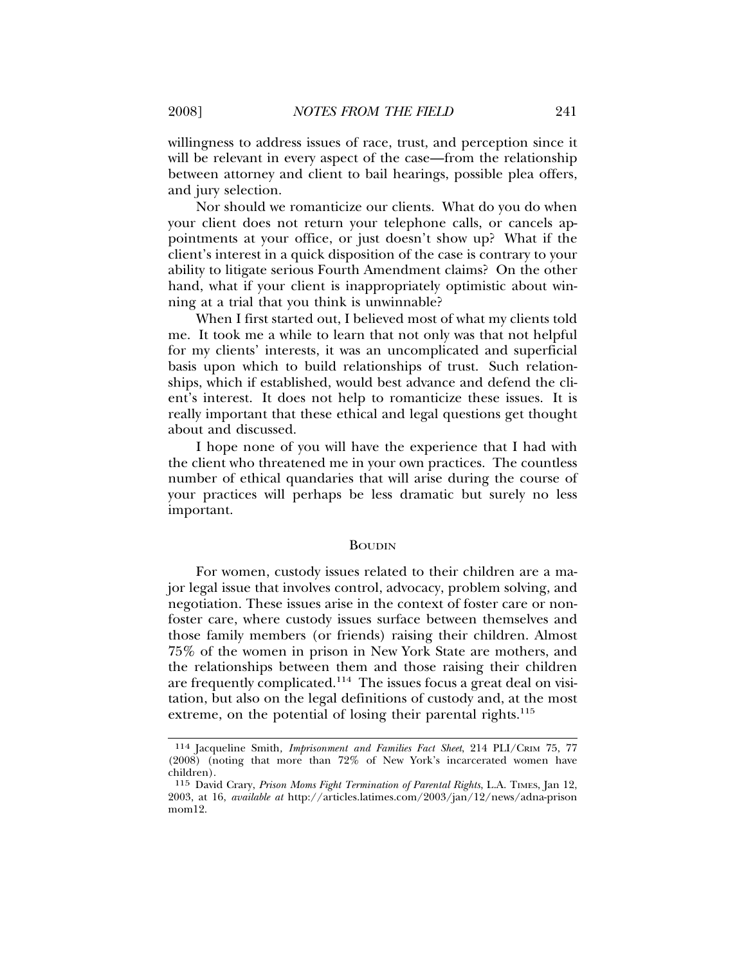willingness to address issues of race, trust, and perception since it will be relevant in every aspect of the case—from the relationship between attorney and client to bail hearings, possible plea offers, and jury selection.

Nor should we romanticize our clients. What do you do when your client does not return your telephone calls, or cancels appointments at your office, or just doesn't show up? What if the client's interest in a quick disposition of the case is contrary to your ability to litigate serious Fourth Amendment claims? On the other hand, what if your client is inappropriately optimistic about winning at a trial that you think is unwinnable?

When I first started out, I believed most of what my clients told me. It took me a while to learn that not only was that not helpful for my clients' interests, it was an uncomplicated and superficial basis upon which to build relationships of trust. Such relationships, which if established, would best advance and defend the client's interest. It does not help to romanticize these issues. It is really important that these ethical and legal questions get thought about and discussed.

I hope none of you will have the experience that I had with the client who threatened me in your own practices. The countless number of ethical quandaries that will arise during the course of your practices will perhaps be less dramatic but surely no less important.

#### BOUDIN

For women, custody issues related to their children are a major legal issue that involves control, advocacy, problem solving, and negotiation. These issues arise in the context of foster care or nonfoster care, where custody issues surface between themselves and those family members (or friends) raising their children. Almost 75% of the women in prison in New York State are mothers, and the relationships between them and those raising their children are frequently complicated.114 The issues focus a great deal on visitation, but also on the legal definitions of custody and, at the most extreme, on the potential of losing their parental rights.<sup>115</sup>

<sup>114</sup> Jacqueline Smith*, Imprisonment and Families Fact Sheet*, 214 PLI/CRIM 75, 77 (2008) (noting that more than 72% of New York's incarcerated women have children).

<sup>115</sup> David Crary, *Prison Moms Fight Termination of Parental Rights*, L.A. TIMES, Jan 12, 2003, at 16, *available at* http://articles.latimes.com/2003/jan/12/news/adna-prison mom<sup>19</sup>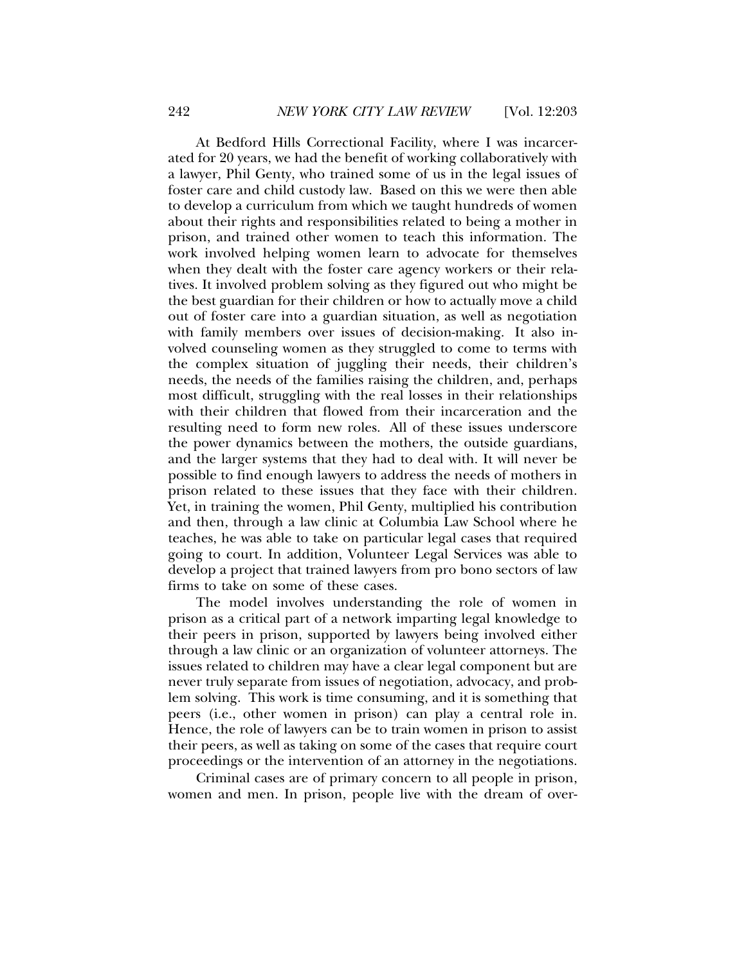At Bedford Hills Correctional Facility, where I was incarcerated for 20 years, we had the benefit of working collaboratively with a lawyer, Phil Genty, who trained some of us in the legal issues of foster care and child custody law. Based on this we were then able to develop a curriculum from which we taught hundreds of women about their rights and responsibilities related to being a mother in prison, and trained other women to teach this information. The work involved helping women learn to advocate for themselves when they dealt with the foster care agency workers or their relatives. It involved problem solving as they figured out who might be the best guardian for their children or how to actually move a child out of foster care into a guardian situation, as well as negotiation with family members over issues of decision-making. It also involved counseling women as they struggled to come to terms with the complex situation of juggling their needs, their children's needs, the needs of the families raising the children, and, perhaps most difficult, struggling with the real losses in their relationships with their children that flowed from their incarceration and the resulting need to form new roles. All of these issues underscore the power dynamics between the mothers, the outside guardians, and the larger systems that they had to deal with. It will never be possible to find enough lawyers to address the needs of mothers in prison related to these issues that they face with their children. Yet, in training the women, Phil Genty, multiplied his contribution and then, through a law clinic at Columbia Law School where he teaches, he was able to take on particular legal cases that required going to court. In addition, Volunteer Legal Services was able to develop a project that trained lawyers from pro bono sectors of law firms to take on some of these cases.

The model involves understanding the role of women in prison as a critical part of a network imparting legal knowledge to their peers in prison, supported by lawyers being involved either through a law clinic or an organization of volunteer attorneys. The issues related to children may have a clear legal component but are never truly separate from issues of negotiation, advocacy, and problem solving. This work is time consuming, and it is something that peers (i.e., other women in prison) can play a central role in. Hence, the role of lawyers can be to train women in prison to assist their peers, as well as taking on some of the cases that require court proceedings or the intervention of an attorney in the negotiations.

Criminal cases are of primary concern to all people in prison, women and men. In prison, people live with the dream of over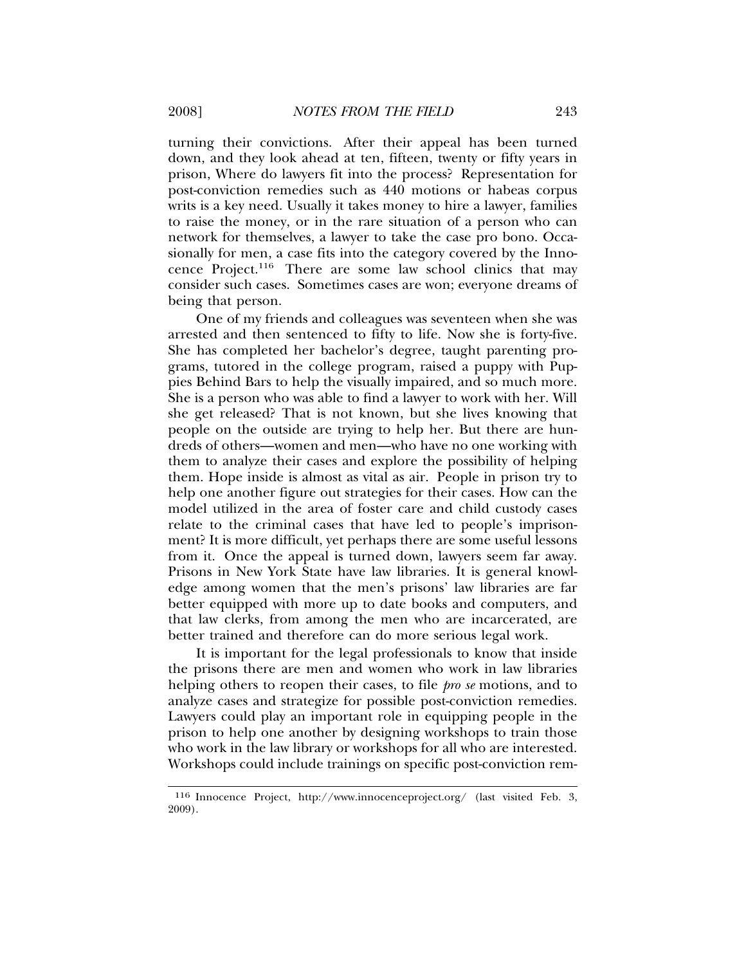turning their convictions. After their appeal has been turned down, and they look ahead at ten, fifteen, twenty or fifty years in prison, Where do lawyers fit into the process? Representation for post-conviction remedies such as 440 motions or habeas corpus writs is a key need. Usually it takes money to hire a lawyer, families to raise the money, or in the rare situation of a person who can network for themselves, a lawyer to take the case pro bono. Occasionally for men, a case fits into the category covered by the Innocence Project.116 There are some law school clinics that may consider such cases. Sometimes cases are won; everyone dreams of being that person.

One of my friends and colleagues was seventeen when she was arrested and then sentenced to fifty to life. Now she is forty-five. She has completed her bachelor's degree, taught parenting programs, tutored in the college program, raised a puppy with Puppies Behind Bars to help the visually impaired, and so much more. She is a person who was able to find a lawyer to work with her. Will she get released? That is not known, but she lives knowing that people on the outside are trying to help her. But there are hundreds of others—women and men—who have no one working with them to analyze their cases and explore the possibility of helping them. Hope inside is almost as vital as air. People in prison try to help one another figure out strategies for their cases. How can the model utilized in the area of foster care and child custody cases relate to the criminal cases that have led to people's imprisonment? It is more difficult, yet perhaps there are some useful lessons from it. Once the appeal is turned down, lawyers seem far away. Prisons in New York State have law libraries. It is general knowledge among women that the men's prisons' law libraries are far better equipped with more up to date books and computers, and that law clerks, from among the men who are incarcerated, are better trained and therefore can do more serious legal work.

It is important for the legal professionals to know that inside the prisons there are men and women who work in law libraries helping others to reopen their cases, to file *pro se* motions, and to analyze cases and strategize for possible post-conviction remedies. Lawyers could play an important role in equipping people in the prison to help one another by designing workshops to train those who work in the law library or workshops for all who are interested. Workshops could include trainings on specific post-conviction rem-

<sup>116</sup> Innocence Project, http://www.innocenceproject.org/ (last visited Feb. 3, 2009).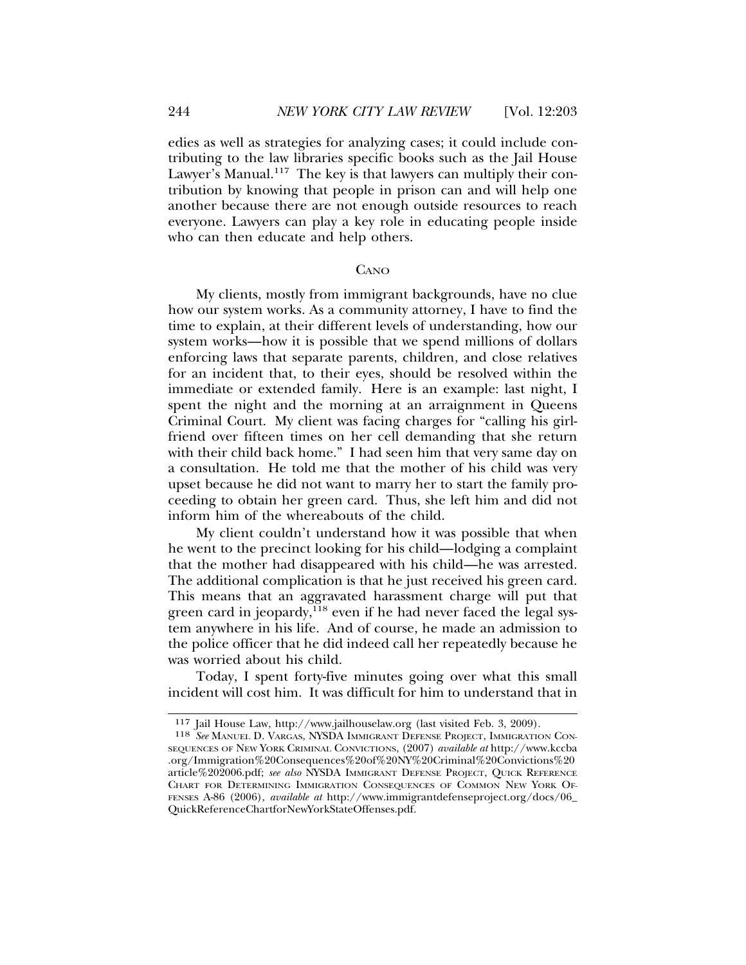edies as well as strategies for analyzing cases; it could include contributing to the law libraries specific books such as the Jail House Lawyer's Manual.<sup>117</sup> The key is that lawyers can multiply their contribution by knowing that people in prison can and will help one another because there are not enough outside resources to reach everyone. Lawyers can play a key role in educating people inside who can then educate and help others.

#### **CANO**

My clients, mostly from immigrant backgrounds, have no clue how our system works. As a community attorney, I have to find the time to explain, at their different levels of understanding, how our system works—how it is possible that we spend millions of dollars enforcing laws that separate parents, children, and close relatives for an incident that, to their eyes, should be resolved within the immediate or extended family. Here is an example: last night, I spent the night and the morning at an arraignment in Queens Criminal Court. My client was facing charges for "calling his girlfriend over fifteen times on her cell demanding that she return with their child back home." I had seen him that very same day on a consultation. He told me that the mother of his child was very upset because he did not want to marry her to start the family proceeding to obtain her green card. Thus, she left him and did not inform him of the whereabouts of the child.

My client couldn't understand how it was possible that when he went to the precinct looking for his child—lodging a complaint that the mother had disappeared with his child—he was arrested. The additional complication is that he just received his green card. This means that an aggravated harassment charge will put that green card in jeopardy, $^{118}$  even if he had never faced the legal system anywhere in his life. And of course, he made an admission to the police officer that he did indeed call her repeatedly because he was worried about his child.

Today, I spent forty-five minutes going over what this small incident will cost him. It was difficult for him to understand that in

<sup>117</sup> Jail House Law, http://www.jailhouselaw.org (last visited Feb. 3, 2009).

<sup>118</sup> *See* MANUEL D. VARGAS, NYSDA IMMIGRANT DEFENSE PROJECT, IMMIGRATION CON-SEQUENCES OF NEW YORK CRIMINAL CONVICTIONS, (2007) *available at* http://www.kccba .org/Immigration%20Consequences%20of%20NY%20Criminal%20Convictions%20 article%202006.pdf; *see also* NYSDA IMMIGRANT DEFENSE PROJECT, QUICK REFERENCE CHART FOR DETERMINING IMMIGRATION CONSEQUENCES OF COMMON NEW YORK OF-FENSES A-86 (2006), *available at* http://www.immigrantdefenseproject.org/docs/06\_ QuickReferenceChartforNewYorkStateOffenses.pdf.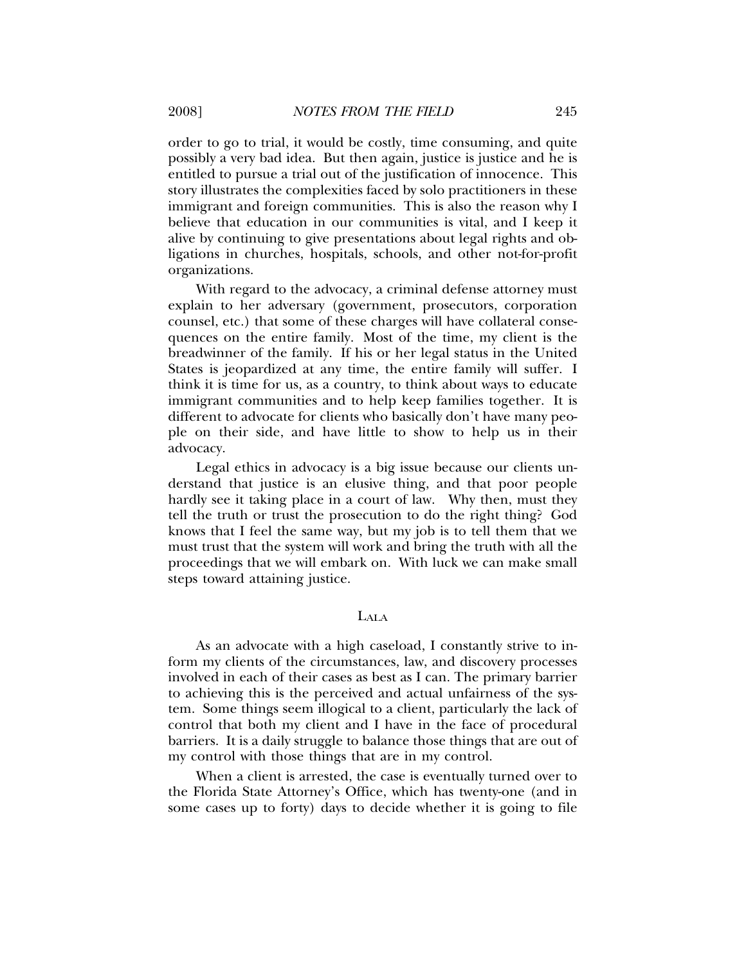order to go to trial, it would be costly, time consuming, and quite possibly a very bad idea. But then again, justice is justice and he is entitled to pursue a trial out of the justification of innocence. This story illustrates the complexities faced by solo practitioners in these immigrant and foreign communities. This is also the reason why I believe that education in our communities is vital, and I keep it alive by continuing to give presentations about legal rights and obligations in churches, hospitals, schools, and other not-for-profit organizations.

With regard to the advocacy, a criminal defense attorney must explain to her adversary (government, prosecutors, corporation counsel, etc.) that some of these charges will have collateral consequences on the entire family. Most of the time, my client is the breadwinner of the family. If his or her legal status in the United States is jeopardized at any time, the entire family will suffer. I think it is time for us, as a country, to think about ways to educate immigrant communities and to help keep families together. It is different to advocate for clients who basically don't have many people on their side, and have little to show to help us in their advocacy.

Legal ethics in advocacy is a big issue because our clients understand that justice is an elusive thing, and that poor people hardly see it taking place in a court of law. Why then, must they tell the truth or trust the prosecution to do the right thing? God knows that I feel the same way, but my job is to tell them that we must trust that the system will work and bring the truth with all the proceedings that we will embark on. With luck we can make small steps toward attaining justice.

## LALA

As an advocate with a high caseload, I constantly strive to inform my clients of the circumstances, law, and discovery processes involved in each of their cases as best as I can. The primary barrier to achieving this is the perceived and actual unfairness of the system. Some things seem illogical to a client, particularly the lack of control that both my client and I have in the face of procedural barriers. It is a daily struggle to balance those things that are out of my control with those things that are in my control.

When a client is arrested, the case is eventually turned over to the Florida State Attorney's Office, which has twenty-one (and in some cases up to forty) days to decide whether it is going to file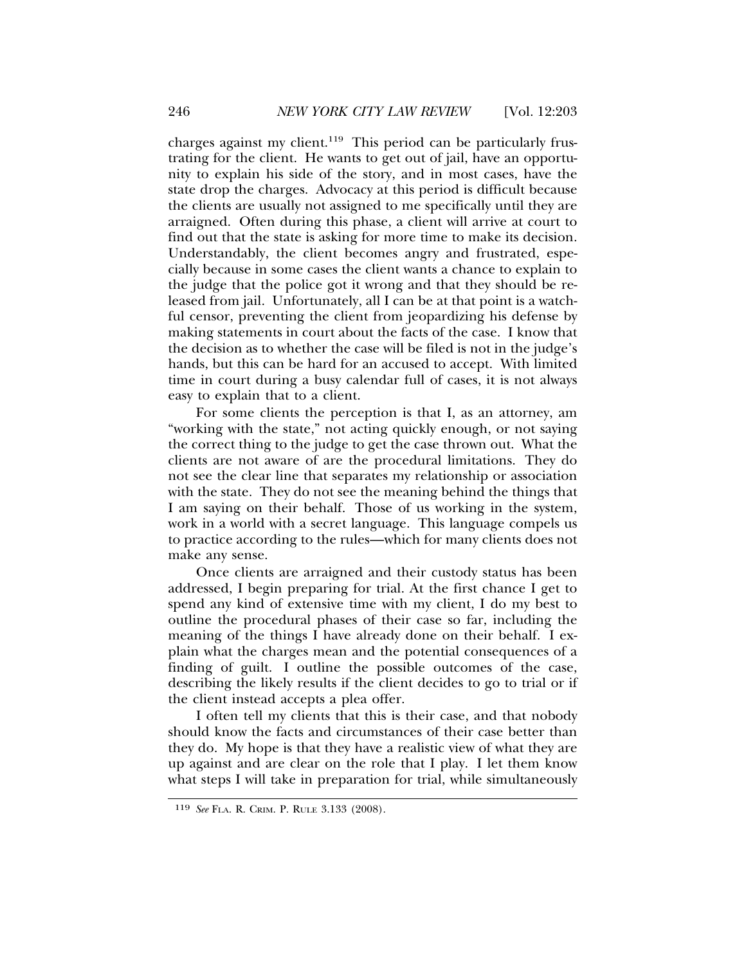charges against my client.<sup>119</sup> This period can be particularly frustrating for the client. He wants to get out of jail, have an opportunity to explain his side of the story, and in most cases, have the state drop the charges. Advocacy at this period is difficult because the clients are usually not assigned to me specifically until they are arraigned. Often during this phase, a client will arrive at court to find out that the state is asking for more time to make its decision. Understandably, the client becomes angry and frustrated, especially because in some cases the client wants a chance to explain to the judge that the police got it wrong and that they should be released from jail. Unfortunately, all I can be at that point is a watchful censor, preventing the client from jeopardizing his defense by making statements in court about the facts of the case. I know that the decision as to whether the case will be filed is not in the judge's hands, but this can be hard for an accused to accept. With limited time in court during a busy calendar full of cases, it is not always easy to explain that to a client.

For some clients the perception is that I, as an attorney, am "working with the state," not acting quickly enough, or not saying the correct thing to the judge to get the case thrown out. What the clients are not aware of are the procedural limitations. They do not see the clear line that separates my relationship or association with the state. They do not see the meaning behind the things that I am saying on their behalf. Those of us working in the system, work in a world with a secret language. This language compels us to practice according to the rules—which for many clients does not make any sense.

Once clients are arraigned and their custody status has been addressed, I begin preparing for trial. At the first chance I get to spend any kind of extensive time with my client, I do my best to outline the procedural phases of their case so far, including the meaning of the things I have already done on their behalf. I explain what the charges mean and the potential consequences of a finding of guilt. I outline the possible outcomes of the case, describing the likely results if the client decides to go to trial or if the client instead accepts a plea offer.

I often tell my clients that this is their case, and that nobody should know the facts and circumstances of their case better than they do. My hope is that they have a realistic view of what they are up against and are clear on the role that I play. I let them know what steps I will take in preparation for trial, while simultaneously

<sup>119</sup> *See* FLA. R. CRIM. P. RULE 3.133 (2008).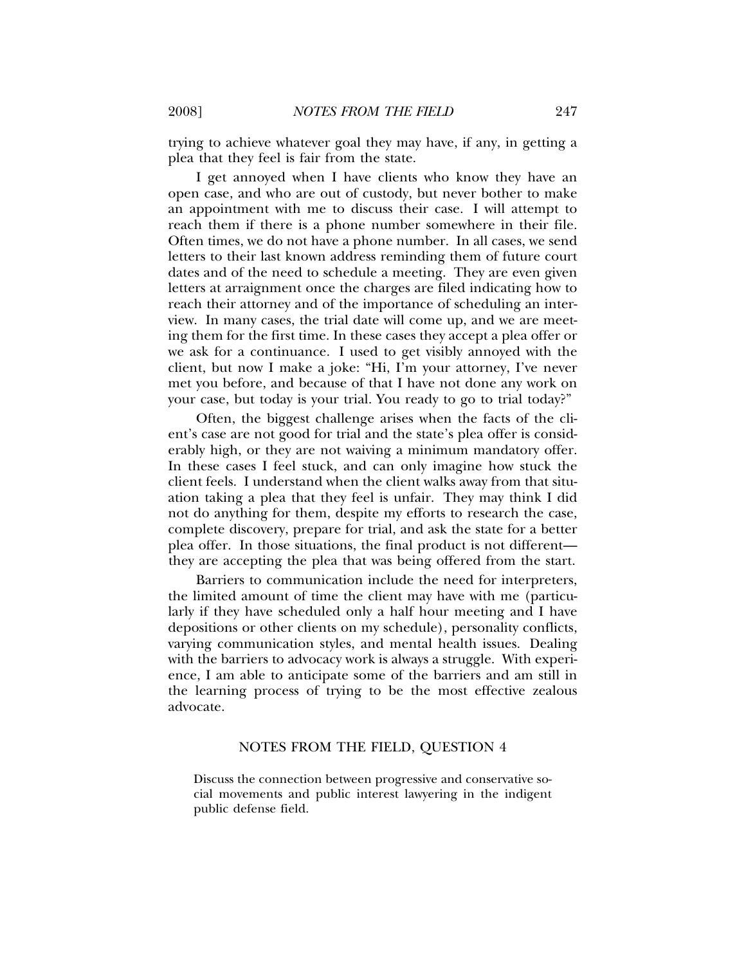trying to achieve whatever goal they may have, if any, in getting a plea that they feel is fair from the state.

I get annoyed when I have clients who know they have an open case, and who are out of custody, but never bother to make an appointment with me to discuss their case. I will attempt to reach them if there is a phone number somewhere in their file. Often times, we do not have a phone number. In all cases, we send letters to their last known address reminding them of future court dates and of the need to schedule a meeting. They are even given letters at arraignment once the charges are filed indicating how to reach their attorney and of the importance of scheduling an interview. In many cases, the trial date will come up, and we are meeting them for the first time. In these cases they accept a plea offer or we ask for a continuance. I used to get visibly annoyed with the client, but now I make a joke: "Hi, I'm your attorney, I've never met you before, and because of that I have not done any work on your case, but today is your trial. You ready to go to trial today?"

Often, the biggest challenge arises when the facts of the client's case are not good for trial and the state's plea offer is considerably high, or they are not waiving a minimum mandatory offer. In these cases I feel stuck, and can only imagine how stuck the client feels. I understand when the client walks away from that situation taking a plea that they feel is unfair. They may think I did not do anything for them, despite my efforts to research the case, complete discovery, prepare for trial, and ask the state for a better plea offer. In those situations, the final product is not different they are accepting the plea that was being offered from the start.

Barriers to communication include the need for interpreters, the limited amount of time the client may have with me (particularly if they have scheduled only a half hour meeting and I have depositions or other clients on my schedule), personality conflicts, varying communication styles, and mental health issues. Dealing with the barriers to advocacy work is always a struggle. With experience, I am able to anticipate some of the barriers and am still in the learning process of trying to be the most effective zealous advocate.

### NOTES FROM THE FIELD, QUESTION 4

Discuss the connection between progressive and conservative social movements and public interest lawyering in the indigent public defense field.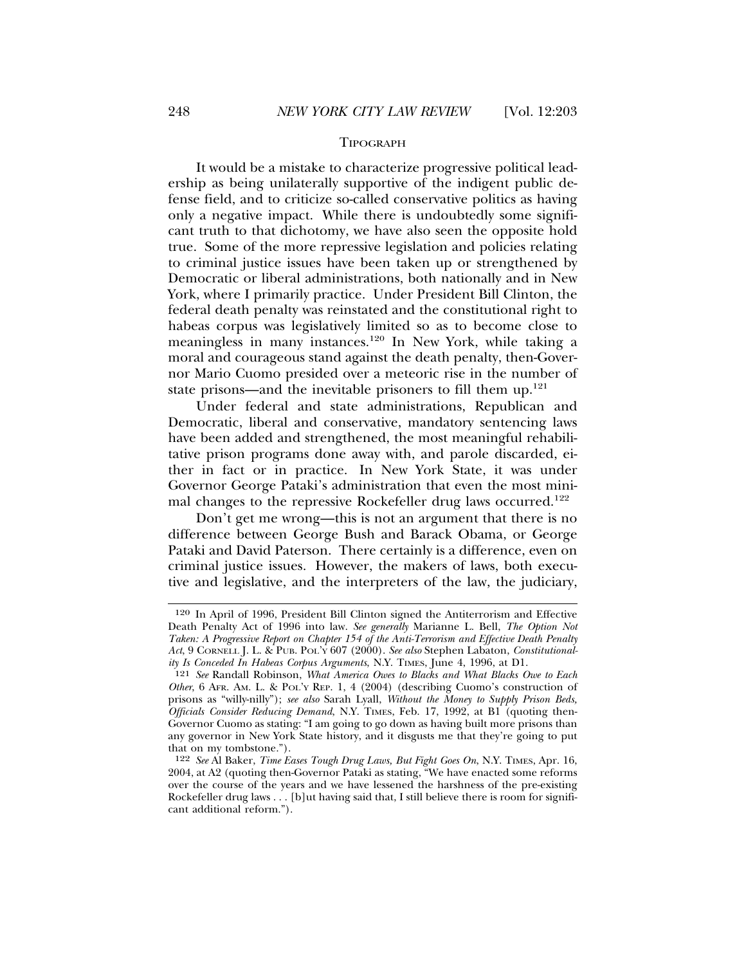#### TIPOGRAPH

It would be a mistake to characterize progressive political leadership as being unilaterally supportive of the indigent public defense field, and to criticize so-called conservative politics as having only a negative impact. While there is undoubtedly some significant truth to that dichotomy, we have also seen the opposite hold true. Some of the more repressive legislation and policies relating to criminal justice issues have been taken up or strengthened by Democratic or liberal administrations, both nationally and in New York, where I primarily practice. Under President Bill Clinton, the federal death penalty was reinstated and the constitutional right to habeas corpus was legislatively limited so as to become close to meaningless in many instances.120 In New York, while taking a moral and courageous stand against the death penalty, then-Governor Mario Cuomo presided over a meteoric rise in the number of state prisons—and the inevitable prisoners to fill them  $up^{121}$ .

Under federal and state administrations, Republican and Democratic, liberal and conservative, mandatory sentencing laws have been added and strengthened, the most meaningful rehabilitative prison programs done away with, and parole discarded, either in fact or in practice. In New York State, it was under Governor George Pataki's administration that even the most minimal changes to the repressive Rockefeller drug laws occurred.<sup>122</sup>

Don't get me wrong—this is not an argument that there is no difference between George Bush and Barack Obama, or George Pataki and David Paterson. There certainly is a difference, even on criminal justice issues. However, the makers of laws, both executive and legislative, and the interpreters of the law, the judiciary,

<sup>120</sup> In April of 1996, President Bill Clinton signed the Antiterrorism and Effective Death Penalty Act of 1996 into law. *See generally* Marianne L. Bell, *The Option Not Taken: A Progressive Report on Chapter 154 of the Anti-Terrorism and Effective Death Penalty Act*, 9 CORNELL J. L. & PUB. POL'Y 607 (2000). *See also* Stephen Labaton, *Constitutionality Is Conceded In Habeas Corpus Arguments*, N.Y. TIMES, June 4, 1996, at D1.

<sup>121</sup> *See* Randall Robinson, *What America Owes to Blacks and What Blacks Owe to Each Other*, 6 AFR. AM. L. & POL'Y REP. 1, 4 (2004) (describing Cuomo's construction of prisons as "willy-nilly"); *see also* Sarah Lyall, *Without the Money to Supply Prison Beds, Officials Consider Reducing Demand*, N.Y. TIMES, Feb. 17, 1992, at B1 (quoting then-Governor Cuomo as stating: "I am going to go down as having built more prisons than any governor in New York State history, and it disgusts me that they're going to put that on my tombstone.").

<sup>122</sup> *See* Al Baker, *Time Eases Tough Drug Laws, But Fight Goes On*, N.Y. TIMES, Apr. 16, 2004, at A2 (quoting then-Governor Pataki as stating, "We have enacted some reforms over the course of the years and we have lessened the harshness of the pre-existing Rockefeller drug laws . . . [b]ut having said that, I still believe there is room for significant additional reform.").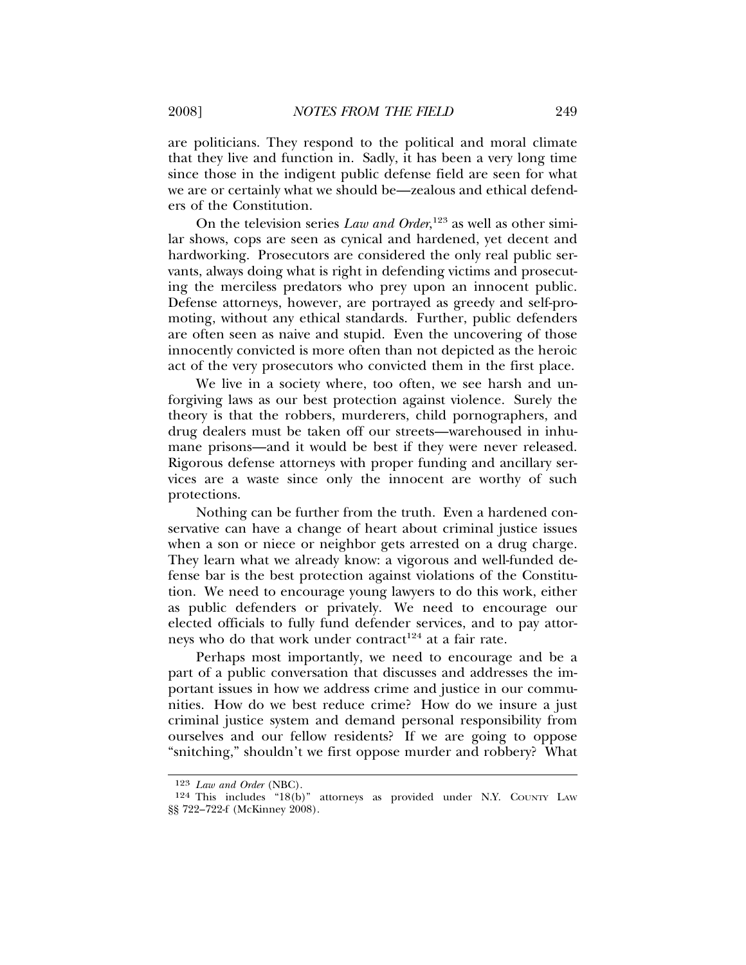are politicians. They respond to the political and moral climate that they live and function in. Sadly, it has been a very long time since those in the indigent public defense field are seen for what we are or certainly what we should be—zealous and ethical defenders of the Constitution.

On the television series *Law and Order*, 123 as well as other similar shows, cops are seen as cynical and hardened, yet decent and hardworking. Prosecutors are considered the only real public servants, always doing what is right in defending victims and prosecuting the merciless predators who prey upon an innocent public. Defense attorneys, however, are portrayed as greedy and self-promoting, without any ethical standards. Further, public defenders are often seen as naive and stupid. Even the uncovering of those innocently convicted is more often than not depicted as the heroic act of the very prosecutors who convicted them in the first place.

We live in a society where, too often, we see harsh and unforgiving laws as our best protection against violence. Surely the theory is that the robbers, murderers, child pornographers, and drug dealers must be taken off our streets—warehoused in inhumane prisons—and it would be best if they were never released. Rigorous defense attorneys with proper funding and ancillary services are a waste since only the innocent are worthy of such protections.

Nothing can be further from the truth. Even a hardened conservative can have a change of heart about criminal justice issues when a son or niece or neighbor gets arrested on a drug charge. They learn what we already know: a vigorous and well-funded defense bar is the best protection against violations of the Constitution. We need to encourage young lawyers to do this work, either as public defenders or privately. We need to encourage our elected officials to fully fund defender services, and to pay attorneys who do that work under contract<sup>124</sup> at a fair rate.

Perhaps most importantly, we need to encourage and be a part of a public conversation that discusses and addresses the important issues in how we address crime and justice in our communities. How do we best reduce crime? How do we insure a just criminal justice system and demand personal responsibility from ourselves and our fellow residents? If we are going to oppose "snitching," shouldn't we first oppose murder and robbery? What

<sup>123</sup> *Law and Order* (NBC).

<sup>124</sup> This includes "18(b)" attorneys as provided under N.Y. COUNTY LAW §§ 722–722-f (McKinney 2008).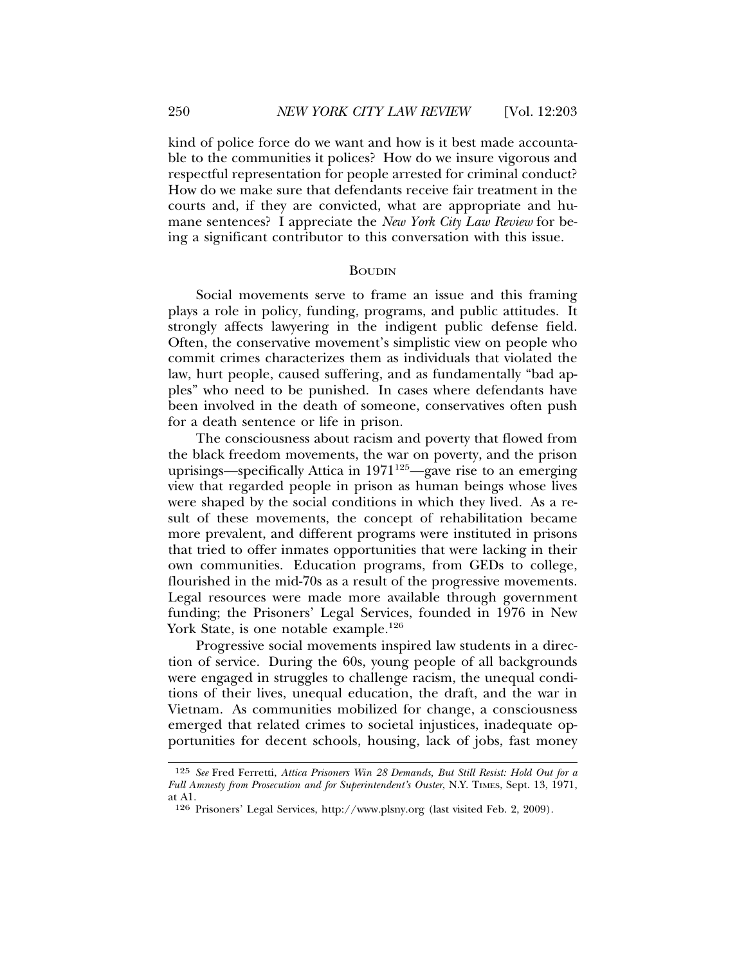kind of police force do we want and how is it best made accountable to the communities it polices? How do we insure vigorous and respectful representation for people arrested for criminal conduct? How do we make sure that defendants receive fair treatment in the courts and, if they are convicted, what are appropriate and humane sentences? I appreciate the *New York City Law Review* for being a significant contributor to this conversation with this issue.

#### BOUDIN

Social movements serve to frame an issue and this framing plays a role in policy, funding, programs, and public attitudes. It strongly affects lawyering in the indigent public defense field. Often, the conservative movement's simplistic view on people who commit crimes characterizes them as individuals that violated the law, hurt people, caused suffering, and as fundamentally "bad apples" who need to be punished. In cases where defendants have been involved in the death of someone, conservatives often push for a death sentence or life in prison.

The consciousness about racism and poverty that flowed from the black freedom movements, the war on poverty, and the prison uprisings—specifically Attica in  $1971^{125}$ —gave rise to an emerging view that regarded people in prison as human beings whose lives were shaped by the social conditions in which they lived. As a result of these movements, the concept of rehabilitation became more prevalent, and different programs were instituted in prisons that tried to offer inmates opportunities that were lacking in their own communities. Education programs, from GEDs to college, flourished in the mid-70s as a result of the progressive movements. Legal resources were made more available through government funding; the Prisoners' Legal Services, founded in 1976 in New York State, is one notable example.<sup>126</sup>

Progressive social movements inspired law students in a direction of service. During the 60s, young people of all backgrounds were engaged in struggles to challenge racism, the unequal conditions of their lives, unequal education, the draft, and the war in Vietnam. As communities mobilized for change, a consciousness emerged that related crimes to societal injustices, inadequate opportunities for decent schools, housing, lack of jobs, fast money

<sup>125</sup> *See* Fred Ferretti, *Attica Prisoners Win 28 Demands, But Still Resist: Hold Out for a Full Amnesty from Prosecution and for Superintendent's Ouster*, N.Y. TIMES, Sept. 13, 1971, at A1.

<sup>126</sup> Prisoners' Legal Services, http://www.plsny.org (last visited Feb. 2, 2009).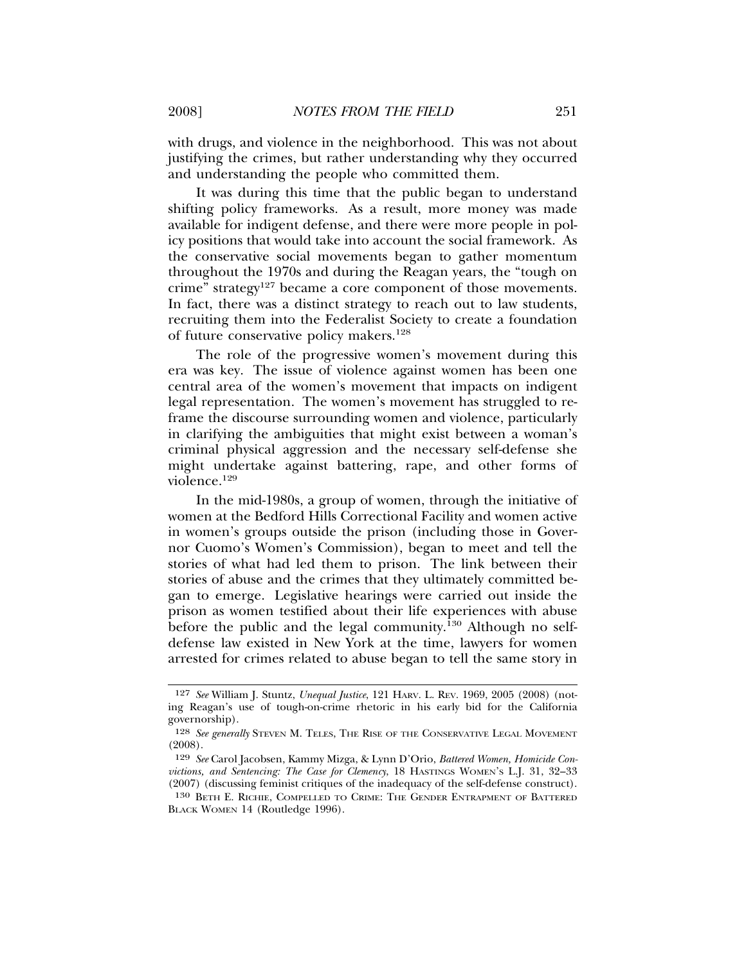with drugs, and violence in the neighborhood. This was not about justifying the crimes, but rather understanding why they occurred and understanding the people who committed them.

It was during this time that the public began to understand shifting policy frameworks. As a result, more money was made available for indigent defense, and there were more people in policy positions that would take into account the social framework. As the conservative social movements began to gather momentum throughout the 1970s and during the Reagan years, the "tough on crime" strategy<sup>127</sup> became a core component of those movements. In fact, there was a distinct strategy to reach out to law students, recruiting them into the Federalist Society to create a foundation of future conservative policy makers.<sup>128</sup>

The role of the progressive women's movement during this era was key. The issue of violence against women has been one central area of the women's movement that impacts on indigent legal representation. The women's movement has struggled to reframe the discourse surrounding women and violence, particularly in clarifying the ambiguities that might exist between a woman's criminal physical aggression and the necessary self-defense she might undertake against battering, rape, and other forms of violence.129

In the mid-1980s, a group of women, through the initiative of women at the Bedford Hills Correctional Facility and women active in women's groups outside the prison (including those in Governor Cuomo's Women's Commission), began to meet and tell the stories of what had led them to prison. The link between their stories of abuse and the crimes that they ultimately committed began to emerge. Legislative hearings were carried out inside the prison as women testified about their life experiences with abuse before the public and the legal community.<sup>130</sup> Although no selfdefense law existed in New York at the time, lawyers for women arrested for crimes related to abuse began to tell the same story in

<sup>127</sup> *See* William J. Stuntz, *Unequal Justice*, 121 HARV. L. REV. 1969, 2005 (2008) (noting Reagan's use of tough-on-crime rhetoric in his early bid for the California governorship).

<sup>128</sup> *See generally* STEVEN M. TELES, THE RISE OF THE CONSERVATIVE LEGAL MOVEMENT (2008).

<sup>129</sup> *See* Carol Jacobsen, Kammy Mizga, & Lynn D'Orio, *Battered Women, Homicide Convictions, and Sentencing: The Case for Clemency*, 18 HASTINGS WOMEN'S L.J. 31, 32–33 (2007) (discussing feminist critiques of the inadequacy of the self-defense construct).

<sup>130</sup> BETH E. RICHIE, COMPELLED TO CRIME: THE GENDER ENTRAPMENT OF BATTERED BLACK WOMEN 14 (Routledge 1996).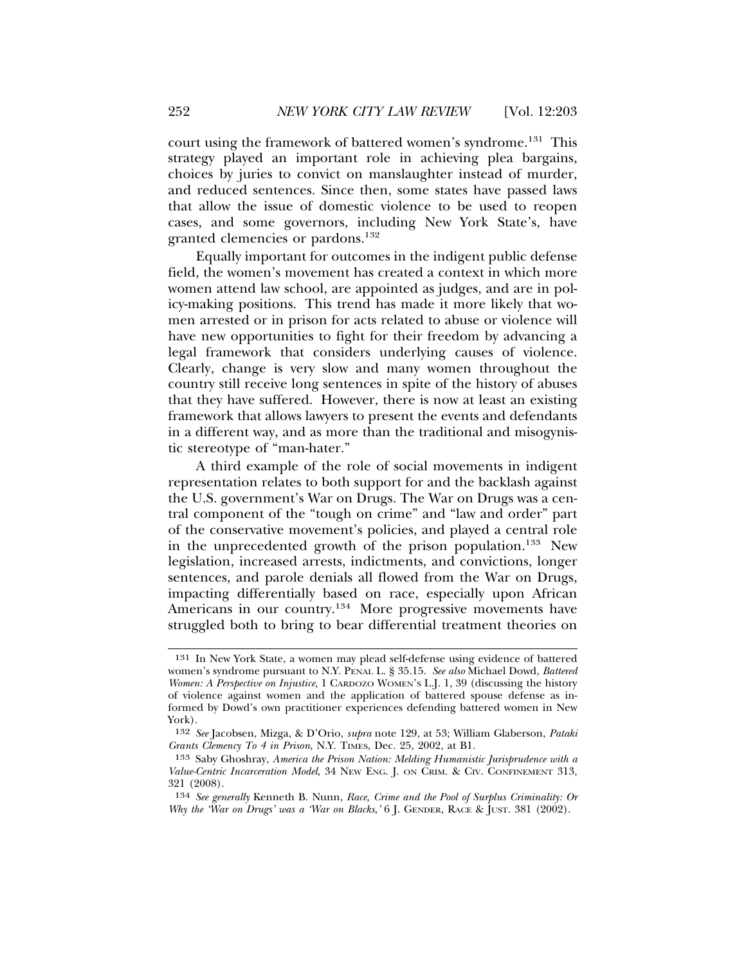court using the framework of battered women's syndrome.131 This strategy played an important role in achieving plea bargains, choices by juries to convict on manslaughter instead of murder, and reduced sentences. Since then, some states have passed laws that allow the issue of domestic violence to be used to reopen cases, and some governors, including New York State's, have granted clemencies or pardons.<sup>132</sup>

Equally important for outcomes in the indigent public defense field, the women's movement has created a context in which more women attend law school, are appointed as judges, and are in policy-making positions. This trend has made it more likely that women arrested or in prison for acts related to abuse or violence will have new opportunities to fight for their freedom by advancing a legal framework that considers underlying causes of violence. Clearly, change is very slow and many women throughout the country still receive long sentences in spite of the history of abuses that they have suffered. However, there is now at least an existing framework that allows lawyers to present the events and defendants in a different way, and as more than the traditional and misogynistic stereotype of "man-hater."

A third example of the role of social movements in indigent representation relates to both support for and the backlash against the U.S. government's War on Drugs. The War on Drugs was a central component of the "tough on crime" and "law and order" part of the conservative movement's policies, and played a central role in the unprecedented growth of the prison population.133 New legislation, increased arrests, indictments, and convictions, longer sentences, and parole denials all flowed from the War on Drugs, impacting differentially based on race, especially upon African Americans in our country.<sup>134</sup> More progressive movements have struggled both to bring to bear differential treatment theories on

<sup>131</sup> In New York State, a women may plead self-defense using evidence of battered women's syndrome pursuant to N.Y. PENAL L. § 35.15. *See also* Michael Dowd, *Battered Women: A Perspective on Injustice*, 1 CARDOZO WOMEN'S L.J. 1, 39 (discussing the history of violence against women and the application of battered spouse defense as informed by Dowd's own practitioner experiences defending battered women in New York).

<sup>132</sup> *See* Jacobsen, Mizga, & D'Orio, *supra* note 129, at 53; William Glaberson, *Pataki Grants Clemency To 4 in Prison*, N.Y. TIMES, Dec. 25, 2002, at B1.

<sup>133</sup> Saby Ghoshray, *America the Prison Nation: Melding Humanistic Jurisprudence with a Value-Centric Incarceration Model*, 34 NEW ENG. J. ON CRIM. & CIV. CONFINEMENT 313, 321 (2008).

<sup>134</sup> *See generally* Kenneth B. Nunn, *Race, Crime and the Pool of Surplus Criminality: Or Why the 'War on Drugs' was a 'War on Blacks*,' 6 J. GENDER, RACE & JUST. 381 (2002).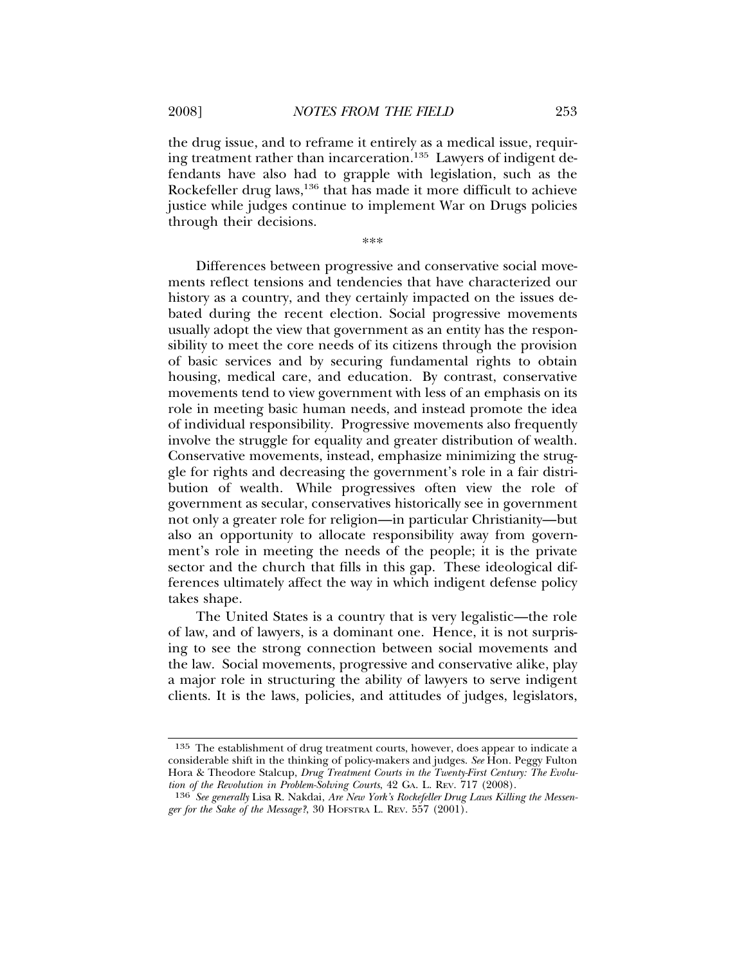the drug issue, and to reframe it entirely as a medical issue, requiring treatment rather than incarceration.<sup>135</sup> Lawyers of indigent defendants have also had to grapple with legislation, such as the Rockefeller drug laws,<sup>136</sup> that has made it more difficult to achieve justice while judges continue to implement War on Drugs policies through their decisions.

\*\*\*

Differences between progressive and conservative social movements reflect tensions and tendencies that have characterized our history as a country, and they certainly impacted on the issues debated during the recent election. Social progressive movements usually adopt the view that government as an entity has the responsibility to meet the core needs of its citizens through the provision of basic services and by securing fundamental rights to obtain housing, medical care, and education. By contrast, conservative movements tend to view government with less of an emphasis on its role in meeting basic human needs, and instead promote the idea of individual responsibility. Progressive movements also frequently involve the struggle for equality and greater distribution of wealth. Conservative movements, instead, emphasize minimizing the struggle for rights and decreasing the government's role in a fair distribution of wealth. While progressives often view the role of government as secular, conservatives historically see in government not only a greater role for religion—in particular Christianity—but also an opportunity to allocate responsibility away from government's role in meeting the needs of the people; it is the private sector and the church that fills in this gap. These ideological differences ultimately affect the way in which indigent defense policy takes shape.

The United States is a country that is very legalistic—the role of law, and of lawyers, is a dominant one. Hence, it is not surprising to see the strong connection between social movements and the law. Social movements, progressive and conservative alike, play a major role in structuring the ability of lawyers to serve indigent clients. It is the laws, policies, and attitudes of judges, legislators,

<sup>135</sup> The establishment of drug treatment courts, however, does appear to indicate a considerable shift in the thinking of policy-makers and judges. *See* Hon. Peggy Fulton Hora & Theodore Stalcup, *Drug Treatment Courts in the Twenty-First Century: The Evolution of the Revolution in Problem-Solving Courts*, 42 GA. L. REV. 717 (2008).

<sup>136</sup> *See generally* Lisa R. Nakdai, *Are New York's Rockefeller Drug Laws Killing the Messenger for the Sake of the Message?*, 30 HOFSTRA L. REV. 557 (2001).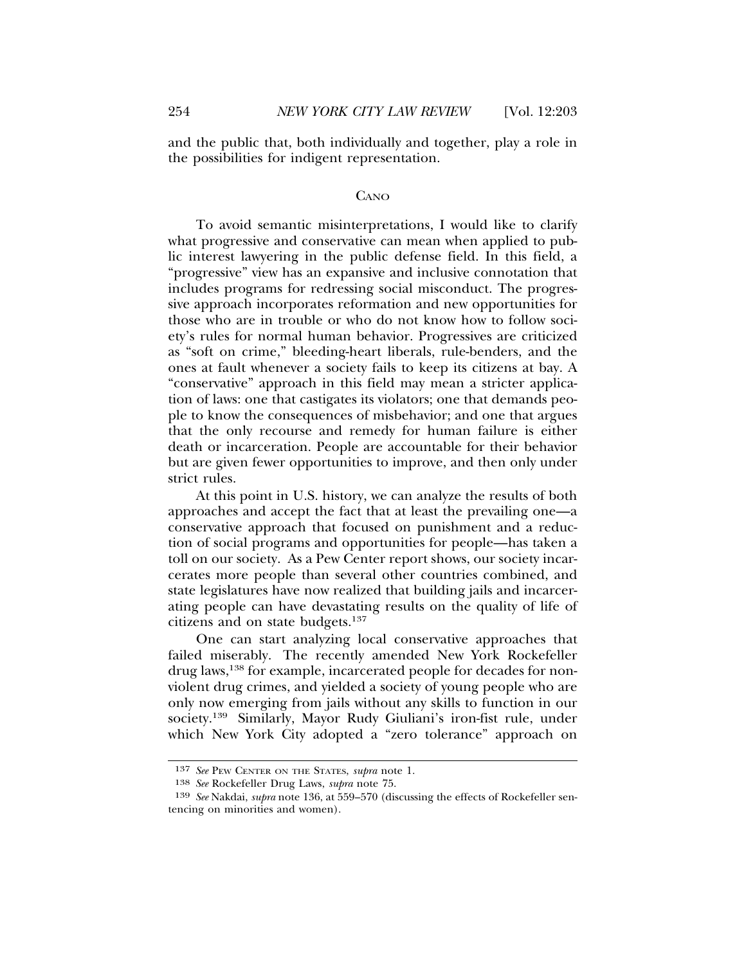and the public that, both individually and together, play a role in the possibilities for indigent representation.

#### CANO

To avoid semantic misinterpretations, I would like to clarify what progressive and conservative can mean when applied to public interest lawyering in the public defense field. In this field, a "progressive" view has an expansive and inclusive connotation that includes programs for redressing social misconduct. The progressive approach incorporates reformation and new opportunities for those who are in trouble or who do not know how to follow society's rules for normal human behavior. Progressives are criticized as "soft on crime," bleeding-heart liberals, rule-benders, and the ones at fault whenever a society fails to keep its citizens at bay. A "conservative" approach in this field may mean a stricter application of laws: one that castigates its violators; one that demands people to know the consequences of misbehavior; and one that argues that the only recourse and remedy for human failure is either death or incarceration. People are accountable for their behavior but are given fewer opportunities to improve, and then only under strict rules.

At this point in U.S. history, we can analyze the results of both approaches and accept the fact that at least the prevailing one—a conservative approach that focused on punishment and a reduction of social programs and opportunities for people—has taken a toll on our society. As a Pew Center report shows, our society incarcerates more people than several other countries combined, and state legislatures have now realized that building jails and incarcerating people can have devastating results on the quality of life of citizens and on state budgets.137

One can start analyzing local conservative approaches that failed miserably. The recently amended New York Rockefeller drug laws,<sup>138</sup> for example, incarcerated people for decades for nonviolent drug crimes, and yielded a society of young people who are only now emerging from jails without any skills to function in our society.139 Similarly, Mayor Rudy Giuliani's iron-fist rule, under which New York City adopted a "zero tolerance" approach on

<sup>137</sup> *See* PEW CENTER ON THE STATES, *supra* note 1.

<sup>138</sup> *See* Rockefeller Drug Laws, *supra* note 75.

<sup>139</sup> *See* Nakdai, *supra* note 136, at 559–570 (discussing the effects of Rockefeller sentencing on minorities and women).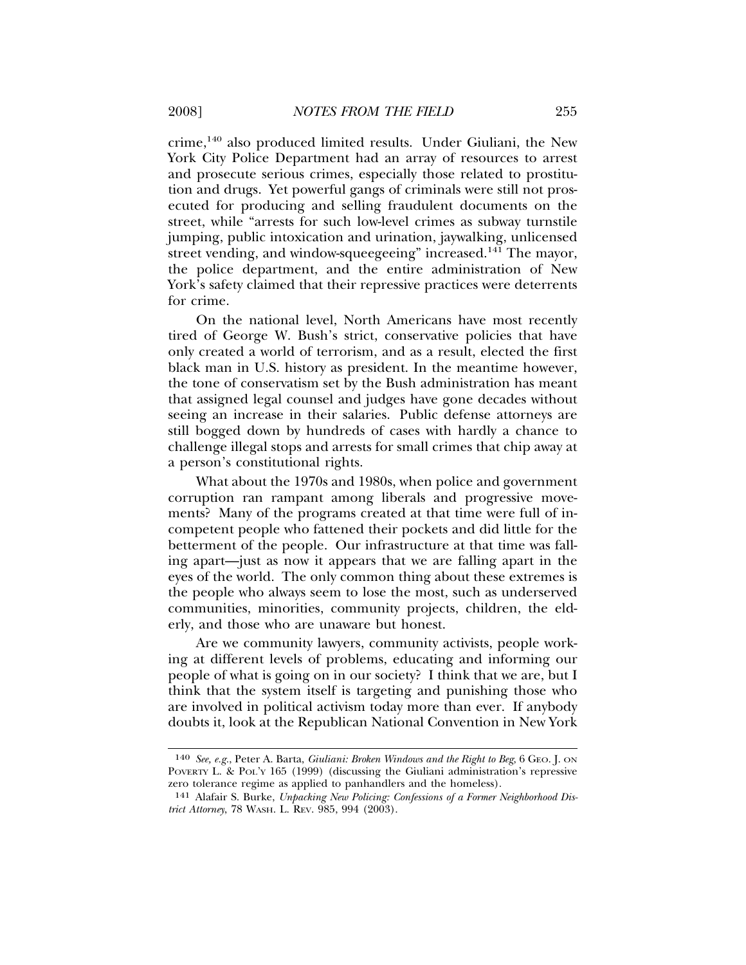crime,140 also produced limited results. Under Giuliani, the New York City Police Department had an array of resources to arrest and prosecute serious crimes, especially those related to prostitution and drugs. Yet powerful gangs of criminals were still not prosecuted for producing and selling fraudulent documents on the street, while "arrests for such low-level crimes as subway turnstile jumping, public intoxication and urination, jaywalking, unlicensed street vending, and window-squeegeeing" increased.<sup>141</sup> The mayor, the police department, and the entire administration of New York's safety claimed that their repressive practices were deterrents for crime.

On the national level, North Americans have most recently tired of George W. Bush's strict, conservative policies that have only created a world of terrorism, and as a result, elected the first black man in U.S. history as president. In the meantime however, the tone of conservatism set by the Bush administration has meant that assigned legal counsel and judges have gone decades without seeing an increase in their salaries. Public defense attorneys are still bogged down by hundreds of cases with hardly a chance to challenge illegal stops and arrests for small crimes that chip away at a person's constitutional rights.

What about the 1970s and 1980s, when police and government corruption ran rampant among liberals and progressive movements? Many of the programs created at that time were full of incompetent people who fattened their pockets and did little for the betterment of the people. Our infrastructure at that time was falling apart—just as now it appears that we are falling apart in the eyes of the world. The only common thing about these extremes is the people who always seem to lose the most, such as underserved communities, minorities, community projects, children, the elderly, and those who are unaware but honest.

Are we community lawyers, community activists, people working at different levels of problems, educating and informing our people of what is going on in our society? I think that we are, but I think that the system itself is targeting and punishing those who are involved in political activism today more than ever. If anybody doubts it, look at the Republican National Convention in New York

<sup>140</sup> *See, e.g.*, Peter A. Barta, *Giuliani: Broken Windows and the Right to Beg*, 6 GEO. J. ON POVERTY L. & POL'Y 165 (1999) (discussing the Giuliani administration's repressive zero tolerance regime as applied to panhandlers and the homeless).

<sup>141</sup> Alafair S. Burke, *Unpacking New Policing: Confessions of a Former Neighborhood District Attorney*, 78 WASH. L. REV. 985, 994 (2003).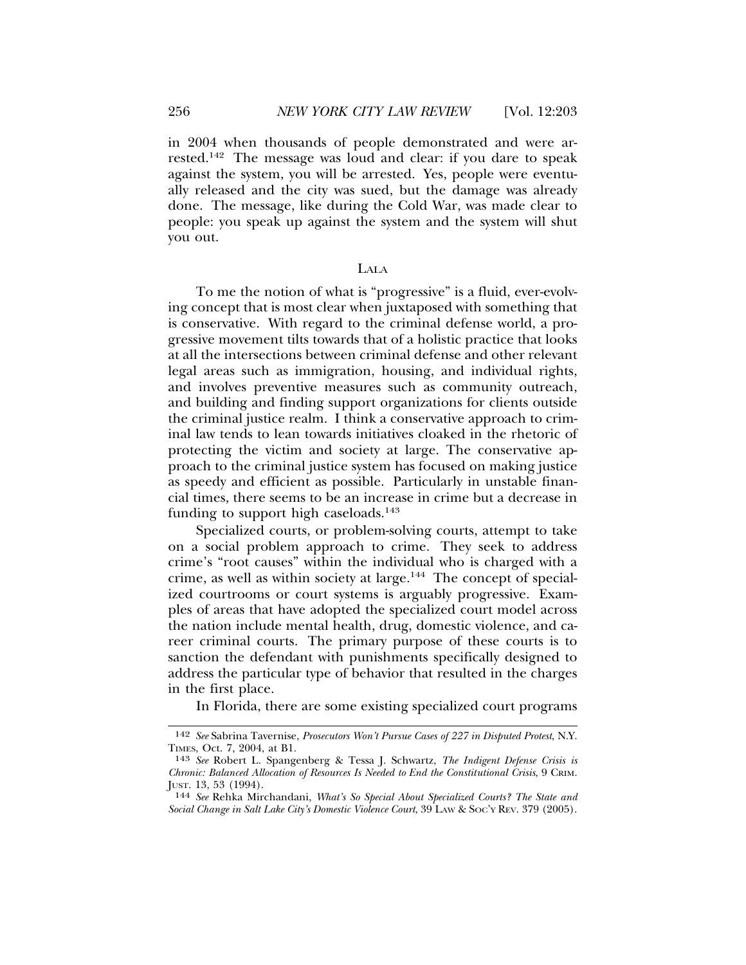in 2004 when thousands of people demonstrated and were arrested.142 The message was loud and clear: if you dare to speak against the system, you will be arrested. Yes, people were eventually released and the city was sued, but the damage was already done. The message, like during the Cold War, was made clear to people: you speak up against the system and the system will shut you out.

#### LALA

To me the notion of what is "progressive" is a fluid, ever-evolving concept that is most clear when juxtaposed with something that is conservative. With regard to the criminal defense world, a progressive movement tilts towards that of a holistic practice that looks at all the intersections between criminal defense and other relevant legal areas such as immigration, housing, and individual rights, and involves preventive measures such as community outreach, and building and finding support organizations for clients outside the criminal justice realm. I think a conservative approach to criminal law tends to lean towards initiatives cloaked in the rhetoric of protecting the victim and society at large. The conservative approach to the criminal justice system has focused on making justice as speedy and efficient as possible. Particularly in unstable financial times, there seems to be an increase in crime but a decrease in funding to support high caseloads.<sup>143</sup>

Specialized courts, or problem-solving courts, attempt to take on a social problem approach to crime. They seek to address crime's "root causes" within the individual who is charged with a crime, as well as within society at large.<sup>144</sup> The concept of specialized courtrooms or court systems is arguably progressive. Examples of areas that have adopted the specialized court model across the nation include mental health, drug, domestic violence, and career criminal courts. The primary purpose of these courts is to sanction the defendant with punishments specifically designed to address the particular type of behavior that resulted in the charges in the first place.

In Florida, there are some existing specialized court programs

<sup>142</sup> *See* Sabrina Tavernise, *Prosecutors Won't Pursue Cases of 227 in Disputed Protest*, N.Y. TIMES, Oct. 7, 2004, at B1.

<sup>143</sup> *See* Robert L. Spangenberg & Tessa J. Schwartz, *The Indigent Defense Crisis is Chronic: Balanced Allocation of Resources Is Needed to End the Constitutional Crisis*, 9 CRIM.<br>JUST. 13, 53 (1994).

JUST. 13, 53 (1994). <sup>144</sup> *See* Rehka Mirchandani, *What's So Special About Specialized Courts? The State and Social Change in Salt Lake City's Domestic Violence Court*, 39 LAW & SOC'Y REV. 379 (2005).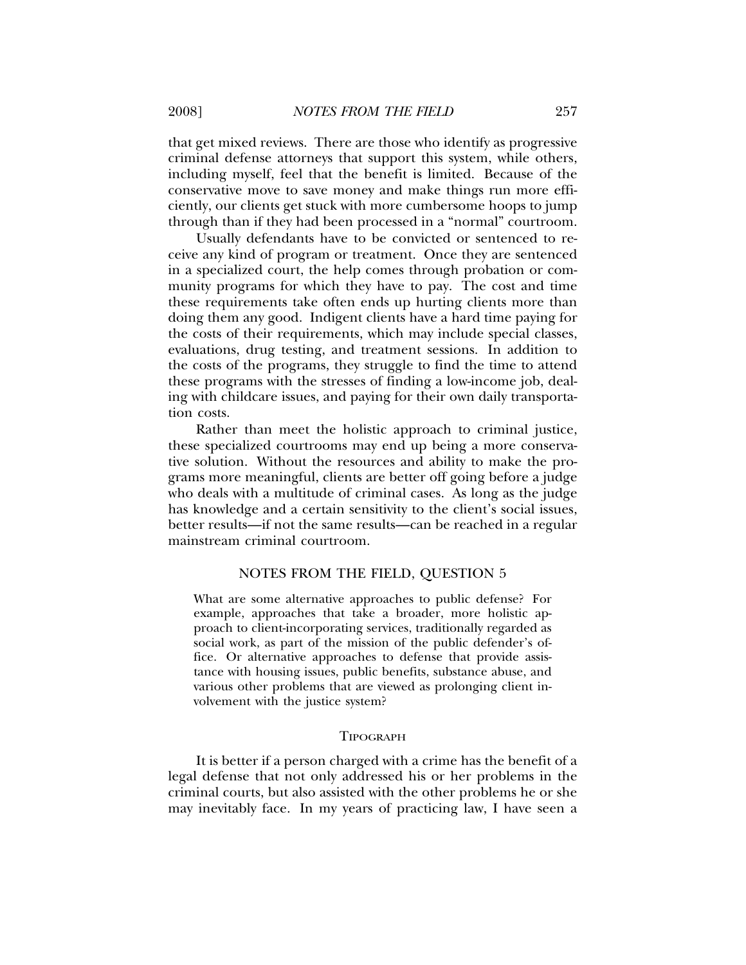that get mixed reviews. There are those who identify as progressive criminal defense attorneys that support this system, while others, including myself, feel that the benefit is limited. Because of the conservative move to save money and make things run more efficiently, our clients get stuck with more cumbersome hoops to jump through than if they had been processed in a "normal" courtroom.

Usually defendants have to be convicted or sentenced to receive any kind of program or treatment. Once they are sentenced in a specialized court, the help comes through probation or community programs for which they have to pay. The cost and time these requirements take often ends up hurting clients more than doing them any good. Indigent clients have a hard time paying for the costs of their requirements, which may include special classes, evaluations, drug testing, and treatment sessions. In addition to the costs of the programs, they struggle to find the time to attend these programs with the stresses of finding a low-income job, dealing with childcare issues, and paying for their own daily transportation costs.

Rather than meet the holistic approach to criminal justice, these specialized courtrooms may end up being a more conservative solution. Without the resources and ability to make the programs more meaningful, clients are better off going before a judge who deals with a multitude of criminal cases. As long as the judge has knowledge and a certain sensitivity to the client's social issues, better results—if not the same results—can be reached in a regular mainstream criminal courtroom.

#### NOTES FROM THE FIELD, QUESTION 5

What are some alternative approaches to public defense? For example, approaches that take a broader, more holistic approach to client-incorporating services, traditionally regarded as social work, as part of the mission of the public defender's office. Or alternative approaches to defense that provide assistance with housing issues, public benefits, substance abuse, and various other problems that are viewed as prolonging client involvement with the justice system?

#### **TIPOGRAPH**

It is better if a person charged with a crime has the benefit of a legal defense that not only addressed his or her problems in the criminal courts, but also assisted with the other problems he or she may inevitably face. In my years of practicing law, I have seen a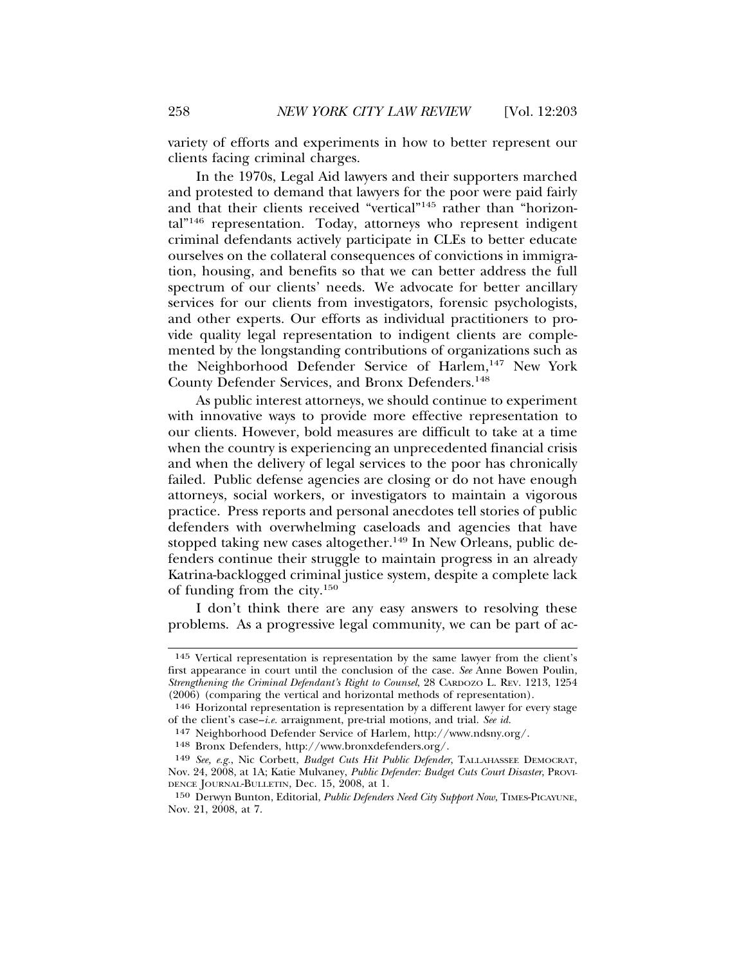variety of efforts and experiments in how to better represent our clients facing criminal charges.

In the 1970s, Legal Aid lawyers and their supporters marched and protested to demand that lawyers for the poor were paid fairly and that their clients received "vertical"145 rather than "horizontal"146 representation. Today, attorneys who represent indigent criminal defendants actively participate in CLEs to better educate ourselves on the collateral consequences of convictions in immigration, housing, and benefits so that we can better address the full spectrum of our clients' needs. We advocate for better ancillary services for our clients from investigators, forensic psychologists, and other experts. Our efforts as individual practitioners to provide quality legal representation to indigent clients are complemented by the longstanding contributions of organizations such as the Neighborhood Defender Service of Harlem,<sup>147</sup> New York County Defender Services, and Bronx Defenders.<sup>148</sup>

As public interest attorneys, we should continue to experiment with innovative ways to provide more effective representation to our clients. However, bold measures are difficult to take at a time when the country is experiencing an unprecedented financial crisis and when the delivery of legal services to the poor has chronically failed. Public defense agencies are closing or do not have enough attorneys, social workers, or investigators to maintain a vigorous practice. Press reports and personal anecdotes tell stories of public defenders with overwhelming caseloads and agencies that have stopped taking new cases altogether.<sup>149</sup> In New Orleans, public defenders continue their struggle to maintain progress in an already Katrina-backlogged criminal justice system, despite a complete lack of funding from the city.150

I don't think there are any easy answers to resolving these problems. As a progressive legal community, we can be part of ac-

<sup>145</sup> Vertical representation is representation by the same lawyer from the client's first appearance in court until the conclusion of the case. *See* Anne Bowen Poulin, *Strengthening the Criminal Defendant's Right to Counsel*, 28 CARDOZO L. REV. 1213, 1254 (2006) (comparing the vertical and horizontal methods of representation).

<sup>146</sup> Horizontal representation is representation by a different lawyer for every stage of the client's case–*i.e.* arraignment, pre-trial motions, and trial. *See id.*

<sup>147</sup> Neighborhood Defender Service of Harlem, http://www.ndsny.org/.

<sup>148</sup> Bronx Defenders, http://www.bronxdefenders.org/.

<sup>149</sup> *See, e.g.*, Nic Corbett, *Budget Cuts Hit Public Defender*, TALLAHASSEE DEMOCRAT, Nov. 24, 2008, at 1A; Katie Mulvaney, *Public Defender: Budget Cuts Court Disaster*, PROVI-DENCE JOURNAL-BULLETIN, Dec. 15, 2008, at 1.

<sup>150</sup> Derwyn Bunton, Editorial, *Public Defenders Need City Support Now*, TIMES-PICAYUNE, Nov. 21, 2008, at 7.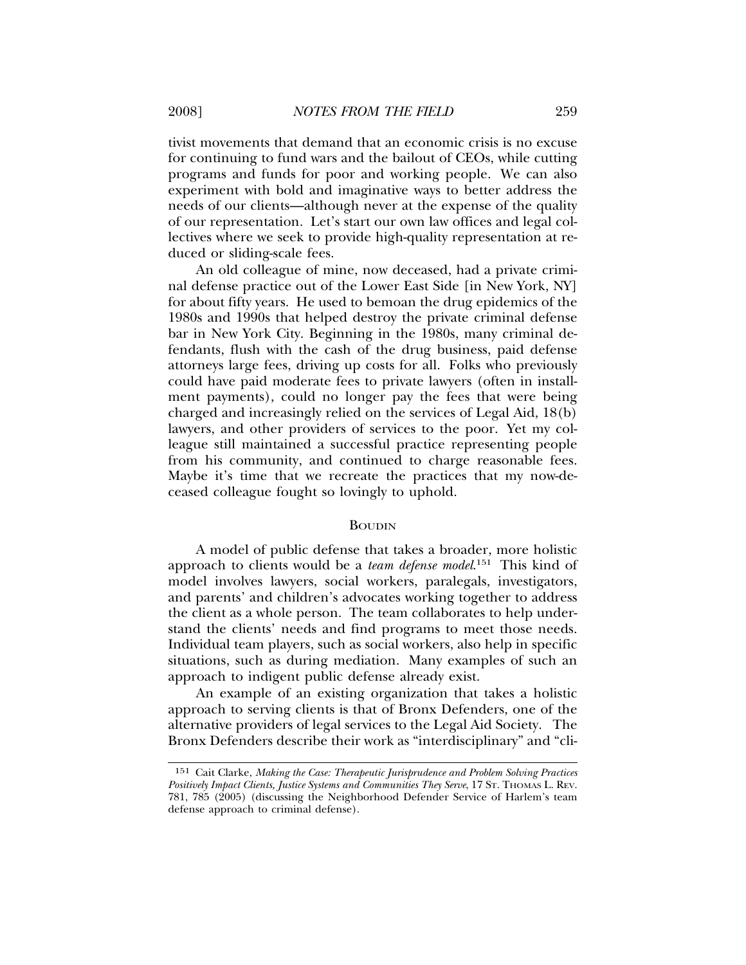tivist movements that demand that an economic crisis is no excuse for continuing to fund wars and the bailout of CEOs, while cutting programs and funds for poor and working people. We can also experiment with bold and imaginative ways to better address the needs of our clients—although never at the expense of the quality of our representation. Let's start our own law offices and legal collectives where we seek to provide high-quality representation at reduced or sliding-scale fees.

An old colleague of mine, now deceased, had a private criminal defense practice out of the Lower East Side [in New York, NY] for about fifty years. He used to bemoan the drug epidemics of the 1980s and 1990s that helped destroy the private criminal defense bar in New York City. Beginning in the 1980s, many criminal defendants, flush with the cash of the drug business, paid defense attorneys large fees, driving up costs for all. Folks who previously could have paid moderate fees to private lawyers (often in installment payments), could no longer pay the fees that were being charged and increasingly relied on the services of Legal Aid, 18(b) lawyers, and other providers of services to the poor. Yet my colleague still maintained a successful practice representing people from his community, and continued to charge reasonable fees. Maybe it's time that we recreate the practices that my now-deceased colleague fought so lovingly to uphold.

#### BOUDIN

A model of public defense that takes a broader, more holistic approach to clients would be a *team defense model*. 151 This kind of model involves lawyers, social workers, paralegals, investigators, and parents' and children's advocates working together to address the client as a whole person. The team collaborates to help understand the clients' needs and find programs to meet those needs. Individual team players, such as social workers, also help in specific situations, such as during mediation. Many examples of such an approach to indigent public defense already exist.

An example of an existing organization that takes a holistic approach to serving clients is that of Bronx Defenders, one of the alternative providers of legal services to the Legal Aid Society. The Bronx Defenders describe their work as "interdisciplinary" and "cli-

<sup>151</sup> Cait Clarke, *Making the Case: Therapeutic Jurisprudence and Problem Solving Practices Positively Impact Clients, Justice Systems and Communities They Serve*, 17 ST. THOMAS L. REV. 781, 785 (2005) (discussing the Neighborhood Defender Service of Harlem's team defense approach to criminal defense).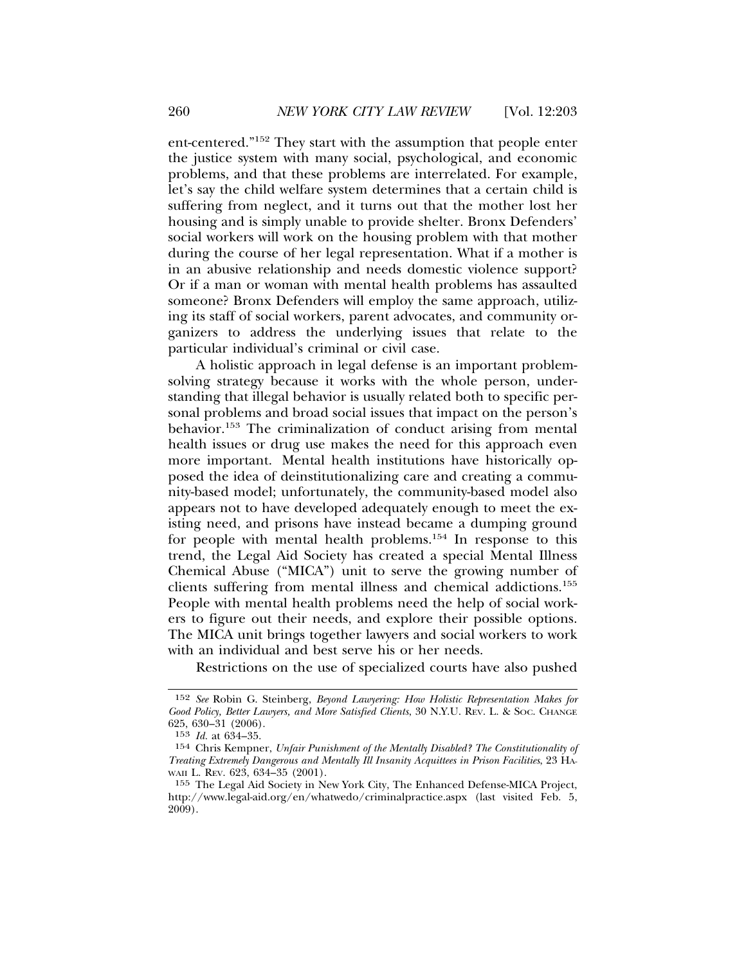ent-centered."152 They start with the assumption that people enter the justice system with many social, psychological, and economic problems, and that these problems are interrelated. For example, let's say the child welfare system determines that a certain child is suffering from neglect, and it turns out that the mother lost her housing and is simply unable to provide shelter. Bronx Defenders' social workers will work on the housing problem with that mother during the course of her legal representation. What if a mother is in an abusive relationship and needs domestic violence support? Or if a man or woman with mental health problems has assaulted someone? Bronx Defenders will employ the same approach, utilizing its staff of social workers, parent advocates, and community organizers to address the underlying issues that relate to the particular individual's criminal or civil case.

A holistic approach in legal defense is an important problemsolving strategy because it works with the whole person, understanding that illegal behavior is usually related both to specific personal problems and broad social issues that impact on the person's behavior.<sup>153</sup> The criminalization of conduct arising from mental health issues or drug use makes the need for this approach even more important. Mental health institutions have historically opposed the idea of deinstitutionalizing care and creating a community-based model; unfortunately, the community-based model also appears not to have developed adequately enough to meet the existing need, and prisons have instead became a dumping ground for people with mental health problems.154 In response to this trend, the Legal Aid Society has created a special Mental Illness Chemical Abuse ("MICA") unit to serve the growing number of clients suffering from mental illness and chemical addictions.155 People with mental health problems need the help of social workers to figure out their needs, and explore their possible options. The MICA unit brings together lawyers and social workers to work with an individual and best serve his or her needs.

Restrictions on the use of specialized courts have also pushed

<sup>152</sup> *See* Robin G. Steinberg, *Beyond Lawyering: How Holistic Representation Makes for Good Policy, Better Lawyers, and More Satisfied Clients*, 30 N.Y.U. REV. L. & SOC. CHANGE 625, 630–31 (2006).

<sup>153</sup> *Id.* at 634–35.

<sup>154</sup> Chris Kempner, *Unfair Punishment of the Mentally Disabled? The Constitutionality of Treating Extremely Dangerous and Mentally Ill Insanity Acquittees in Prison Facilities*, 23 HA-WAII L. REV. 623, 634-35 (2001).

<sup>155</sup> The Legal Aid Society in New York City, The Enhanced Defense-MICA Project, http://www.legal-aid.org/en/whatwedo/criminalpractice.aspx (last visited Feb. 5, 2009).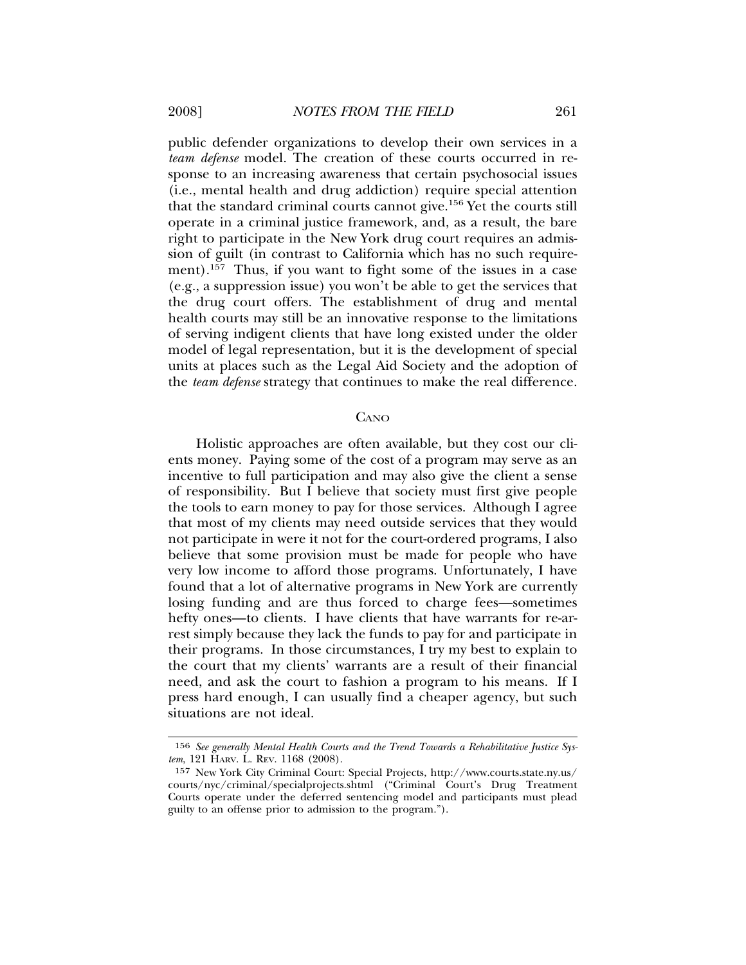public defender organizations to develop their own services in a *team defense* model. The creation of these courts occurred in response to an increasing awareness that certain psychosocial issues (i.e., mental health and drug addiction) require special attention that the standard criminal courts cannot give.156 Yet the courts still operate in a criminal justice framework, and, as a result, the bare right to participate in the New York drug court requires an admission of guilt (in contrast to California which has no such requirement).<sup>157</sup> Thus, if you want to fight some of the issues in a case (e.g., a suppression issue) you won't be able to get the services that the drug court offers. The establishment of drug and mental health courts may still be an innovative response to the limitations of serving indigent clients that have long existed under the older model of legal representation, but it is the development of special units at places such as the Legal Aid Society and the adoption of the *team defense* strategy that continues to make the real difference.

#### **CANO**

Holistic approaches are often available, but they cost our clients money. Paying some of the cost of a program may serve as an incentive to full participation and may also give the client a sense of responsibility. But I believe that society must first give people the tools to earn money to pay for those services. Although I agree that most of my clients may need outside services that they would not participate in were it not for the court-ordered programs, I also believe that some provision must be made for people who have very low income to afford those programs. Unfortunately, I have found that a lot of alternative programs in New York are currently losing funding and are thus forced to charge fees—sometimes hefty ones—to clients. I have clients that have warrants for re-arrest simply because they lack the funds to pay for and participate in their programs. In those circumstances, I try my best to explain to the court that my clients' warrants are a result of their financial need, and ask the court to fashion a program to his means. If I press hard enough, I can usually find a cheaper agency, but such situations are not ideal.

<sup>156</sup> *See generally Mental Health Courts and the Trend Towards a Rehabilitative Justice System*, 121 HARV. L. REV. 1168 (2008).

<sup>157</sup> New York City Criminal Court: Special Projects, http://www.courts.state.ny.us/ courts/nyc/criminal/specialprojects.shtml ("Criminal Court's Drug Treatment Courts operate under the deferred sentencing model and participants must plead guilty to an offense prior to admission to the program.").